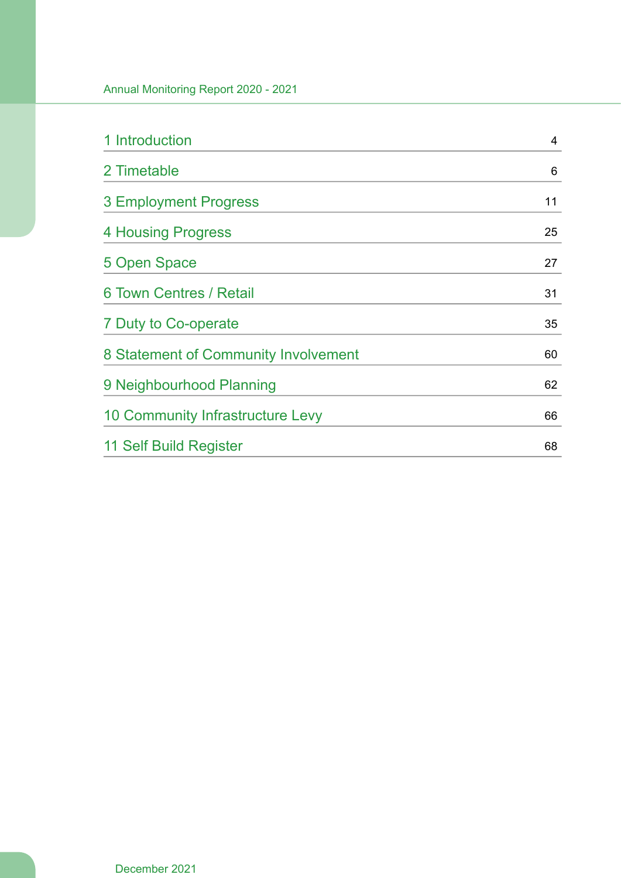| 1 Introduction                       | $\overline{4}$ |
|--------------------------------------|----------------|
| 2 Timetable                          | 6              |
| <b>3 Employment Progress</b>         | 11             |
| 4 Housing Progress                   | 25             |
| 5 Open Space                         | 27             |
| <b>6 Town Centres / Retail</b>       | 31             |
| 7 Duty to Co-operate                 | 35             |
| 8 Statement of Community Involvement | 60             |
| 9 Neighbourhood Planning             | 62             |
| 10 Community Infrastructure Levy     | 66             |
| 11 Self Build Register               | 68             |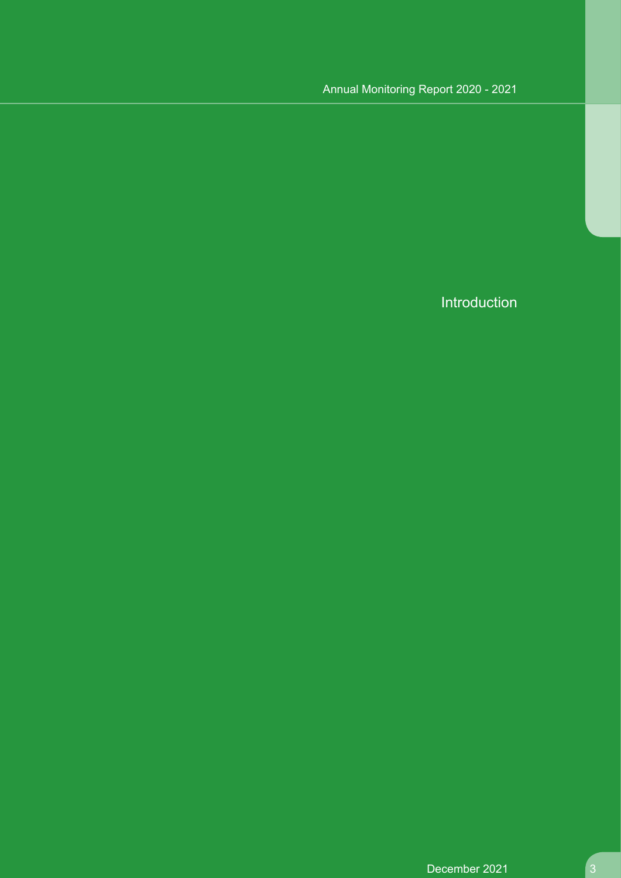Introduction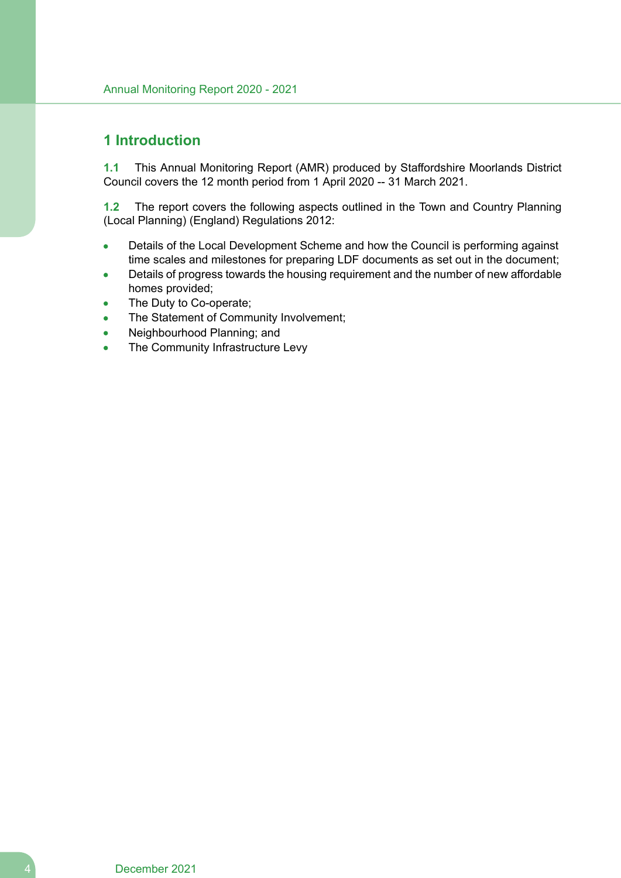# **1 Introduction**

**1.1** This Annual Monitoring Report (AMR) produced by Staffordshire Moorlands District Council covers the 12 month period from 1 April 2020 -- 31 March 2021.

**1.2** The report covers the following aspects outlined in the Town and Country Planning (Local Planning) (England) Regulations 2012:

- Details of the Local Development Scheme and how the Council is performing against time scales and milestones for preparing LDF documents as set out in the document;
- Details of progress towards the housing requirement and the number of new affordable homes provided;
- The Duty to Co-operate;
- The Statement of Community Involvement;  $\blacksquare$
- Neighbourhood Planning; and  $\bullet$
- The Community Infrastructure Levy  $\bullet$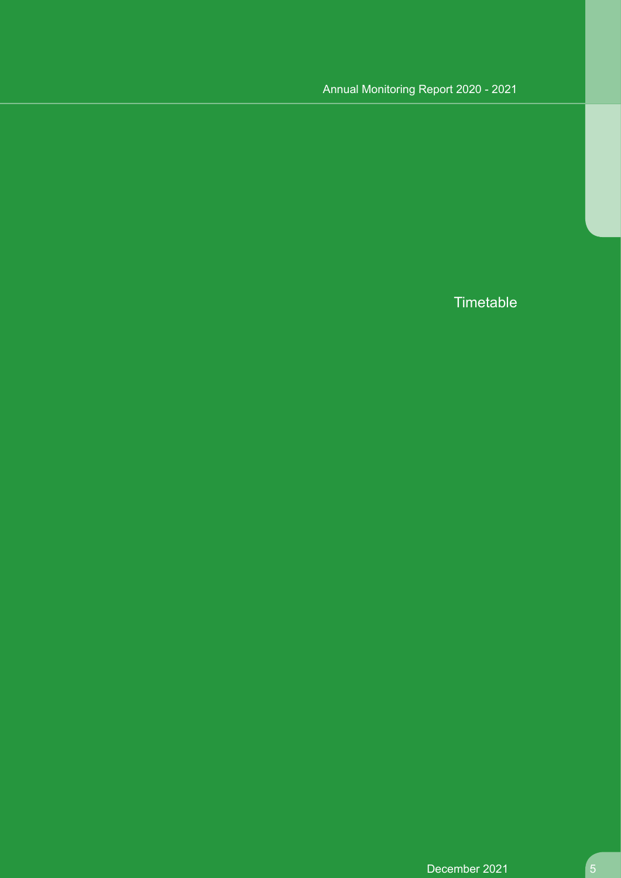**Timetable**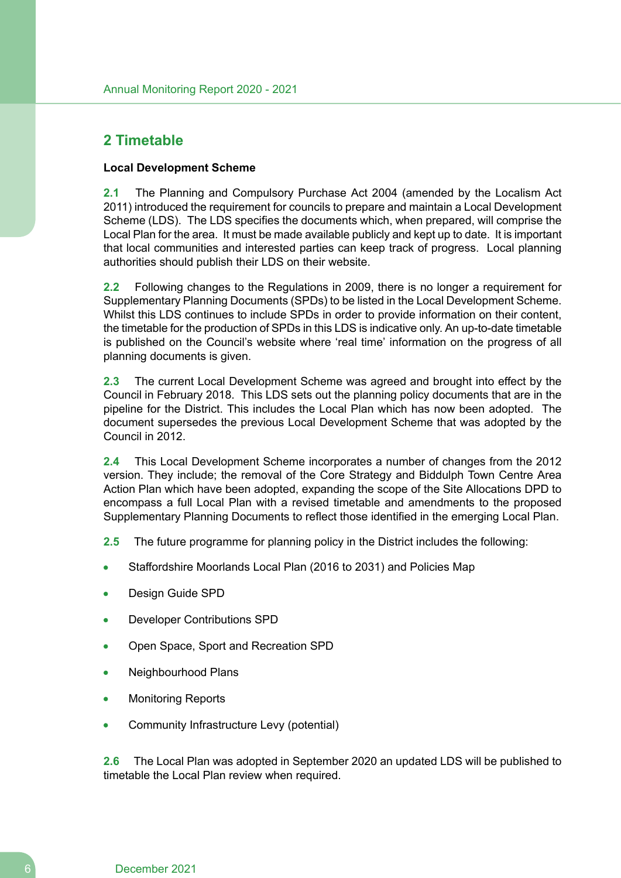# **2 Timetable**

#### **Local Development Scheme**

**2.1** The Planning and Compulsory Purchase Act 2004 (amended by the Localism Act 2011) introduced the requirement for councils to prepare and maintain a Local Development Scheme (LDS). The LDS specifies the documents which, when prepared, will comprise the Local Plan for the area. It must be made available publicly and kept up to date. It is important that local communities and interested parties can keep track of progress. Local planning authorities should publish their LDS on their website.

**2.2** Following changes to the Regulations in 2009, there is no longer a requirement for Supplementary Planning Documents (SPDs) to be listed in the Local Development Scheme. Whilst this LDS continues to include SPDs in order to provide information on their content, the timetable for the production of SPDs in this LDS is indicative only. An up-to-date timetable is published on the Council's website where 'real time' information on the progress of all planning documents is given.

**2.3** The current Local Development Scheme was agreed and brought into effect by the Council in February 2018. This LDS sets out the planning policy documents that are in the pipeline for the District. This includes the Local Plan which has now been adopted. The document supersedes the previous Local Development Scheme that was adopted by the Council in 2012.

**2.4** This Local Development Scheme incorporates a number of changes from the 2012 version. They include; the removal of the Core Strategy and Biddulph Town Centre Area Action Plan which have been adopted, expanding the scope of the Site Allocations DPD to encompass a full Local Plan with a revised timetable and amendments to the proposed Supplementary Planning Documents to reflect those identified in the emerging Local Plan.

**2.5** The future programme for planning policy in the District includes the following:

- Staffordshire Moorlands Local Plan (2016 to 2031) and Policies Map
- Design Guide SPD
- Developer Contributions SPD
- Open Space, Sport and Recreation SPD
- Neighbourhood Plans
- Monitoring Reports
- Community Infrastructure Levy (potential)

**2.6** The Local Plan was adopted in September 2020 an updated LDS will be published to timetable the Local Plan review when required.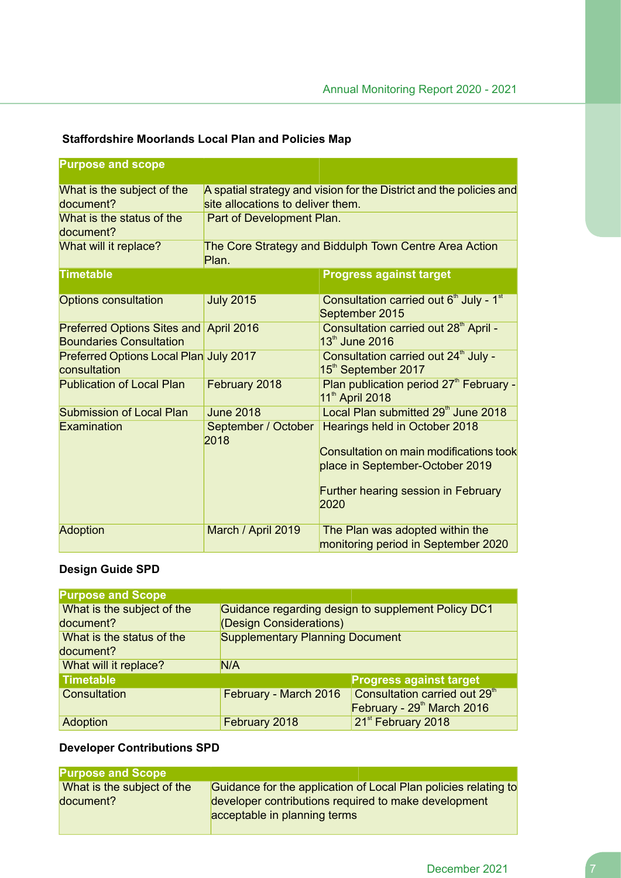| <b>Purpose and scope</b>                                                 |                                                                                                                                       |                                                                                                                                                                   |
|--------------------------------------------------------------------------|---------------------------------------------------------------------------------------------------------------------------------------|-------------------------------------------------------------------------------------------------------------------------------------------------------------------|
| What is the subject of the<br>document?<br>What is the status of the     | A spatial strategy and vision for the District and the policies and<br>site allocations to deliver them.<br>Part of Development Plan. |                                                                                                                                                                   |
| document?<br>What will it replace?                                       | The Core Strategy and Biddulph Town Centre Area Action<br>Plan.                                                                       |                                                                                                                                                                   |
| <b>Timetable</b>                                                         |                                                                                                                                       | <b>Progress against target</b>                                                                                                                                    |
| <b>Options consultation</b>                                              | <b>July 2015</b>                                                                                                                      | Consultation carried out 6 <sup>th</sup> July - 1 <sup>st</sup><br>September 2015                                                                                 |
| Preferred Options Sites and April 2016<br><b>Boundaries Consultation</b> |                                                                                                                                       | Consultation carried out 28 <sup>th</sup> April -<br>13th June 2016                                                                                               |
| Preferred Options Local Plan July 2017<br>consultation                   |                                                                                                                                       | Consultation carried out 24 <sup>th</sup> July -<br>15 <sup>th</sup> September 2017                                                                               |
| <b>Publication of Local Plan</b>                                         | February 2018                                                                                                                         | Plan publication period 27 <sup>th</sup> February -<br>11 <sup>th</sup> April 2018                                                                                |
| <b>Submission of Local Plan</b>                                          | <b>June 2018</b>                                                                                                                      | Local Plan submitted 29 <sup>th</sup> June 2018                                                                                                                   |
| Examination                                                              | September / October<br>2018                                                                                                           | Hearings held in October 2018<br>Consultation on main modifications took<br>place in September-October 2019<br><b>Further hearing session in February</b><br>2020 |
| <b>Adoption</b>                                                          | March / April 2019                                                                                                                    | The Plan was adopted within the<br>monitoring period in September 2020                                                                                            |

# **Staffordshire Moorlands Local Plan and Policies Map**

# **Design Guide SPD**

| <b>Purpose and Scope</b>   |                                                    |                                           |
|----------------------------|----------------------------------------------------|-------------------------------------------|
| What is the subject of the | Guidance regarding design to supplement Policy DC1 |                                           |
| document?                  | (Design Considerations)                            |                                           |
| What is the status of the  | <b>Supplementary Planning Document</b>             |                                           |
| document?                  |                                                    |                                           |
| What will it replace?      | N/A                                                |                                           |
| <b>Timetable</b>           |                                                    | <b>Progress against target</b>            |
| Consultation               | February - March 2016                              | Consultation carried out 29 <sup>th</sup> |
|                            |                                                    | February - 29th March 2016                |
| Adoption                   | February 2018                                      | 21 <sup>st</sup> February 2018            |

## **Developer Contributions SPD**

| <b>Purpose and Scope</b>   |                                                                 |
|----------------------------|-----------------------------------------------------------------|
| What is the subject of the | Guidance for the application of Local Plan policies relating to |
| document?                  | developer contributions required to make development            |
|                            | acceptable in planning terms                                    |
|                            |                                                                 |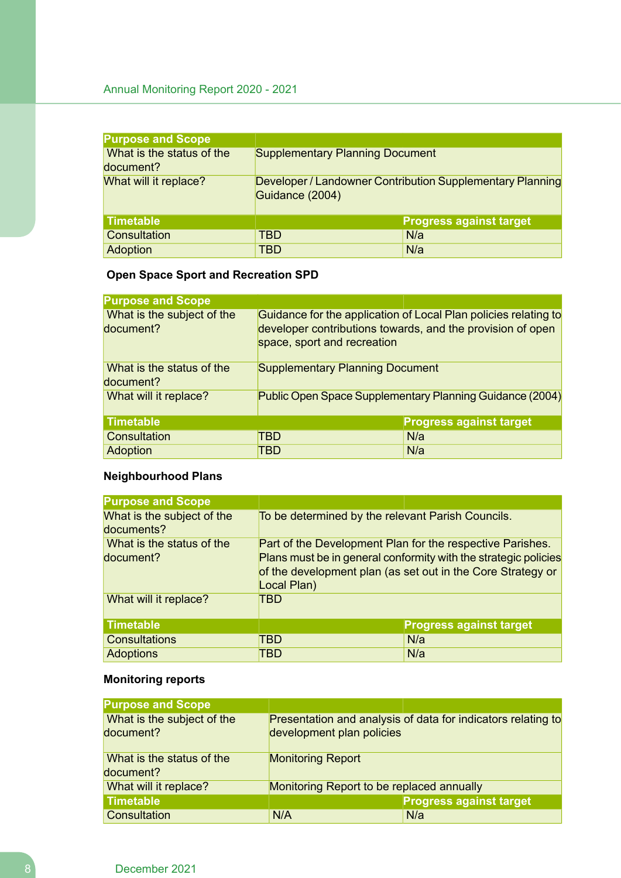| <b>Purpose and Scope</b>               |                                                                              |                                |
|----------------------------------------|------------------------------------------------------------------------------|--------------------------------|
| What is the status of the<br>document? | <b>Supplementary Planning Document</b>                                       |                                |
| What will it replace?                  | Developer / Landowner Contribution Supplementary Planning<br>Guidance (2004) |                                |
| <b>Timetable</b>                       |                                                                              | <b>Progress against target</b> |
| Consultation                           | TBD                                                                          | N/a                            |
| Adoption                               | TBD                                                                          | N/a                            |

# **Open Space Sport and Recreation SPD**

| <b>Purpose and Scope</b>                |                                                                                                                                                              |                                |
|-----------------------------------------|--------------------------------------------------------------------------------------------------------------------------------------------------------------|--------------------------------|
| What is the subject of the<br>document? | Guidance for the application of Local Plan policies relating to<br>developer contributions towards, and the provision of open<br>space, sport and recreation |                                |
| What is the status of the<br>document?  | <b>Supplementary Planning Document</b>                                                                                                                       |                                |
| What will it replace?                   | Public Open Space Supplementary Planning Guidance (2004)                                                                                                     |                                |
| <b>Timetable</b>                        |                                                                                                                                                              | <b>Progress against target</b> |
| Consultation                            | TBD                                                                                                                                                          | N/a                            |
| Adoption                                | TBD                                                                                                                                                          | N/a                            |

# **Neighbourhood Plans**

| <b>Purpose and Scope</b>                 |                                                                                                                                                                                                            |                                |
|------------------------------------------|------------------------------------------------------------------------------------------------------------------------------------------------------------------------------------------------------------|--------------------------------|
| What is the subject of the<br>documents? | To be determined by the relevant Parish Councils.                                                                                                                                                          |                                |
| What is the status of the<br>document?   | Part of the Development Plan for the respective Parishes.<br>Plans must be in general conformity with the strategic policies<br>of the development plan (as set out in the Core Strategy or<br>Local Plan) |                                |
| What will it replace?                    | TBD                                                                                                                                                                                                        |                                |
| <b>Timetable</b>                         |                                                                                                                                                                                                            | <b>Progress against target</b> |
| <b>Consultations</b>                     | TBD                                                                                                                                                                                                        | N/a                            |
| <b>Adoptions</b>                         | TBD                                                                                                                                                                                                        | N/a                            |

## **Monitoring reports**

| <b>Purpose and Scope</b>   |                                           |                                                              |
|----------------------------|-------------------------------------------|--------------------------------------------------------------|
| What is the subject of the |                                           | Presentation and analysis of data for indicators relating to |
| document?                  | development plan policies                 |                                                              |
| What is the status of the  | <b>Monitoring Report</b>                  |                                                              |
| document?                  |                                           |                                                              |
| What will it replace?      | Monitoring Report to be replaced annually |                                                              |
| <b>Timetable</b>           |                                           | <b>Progress against target</b>                               |
| Consultation               | N/A                                       | N/a                                                          |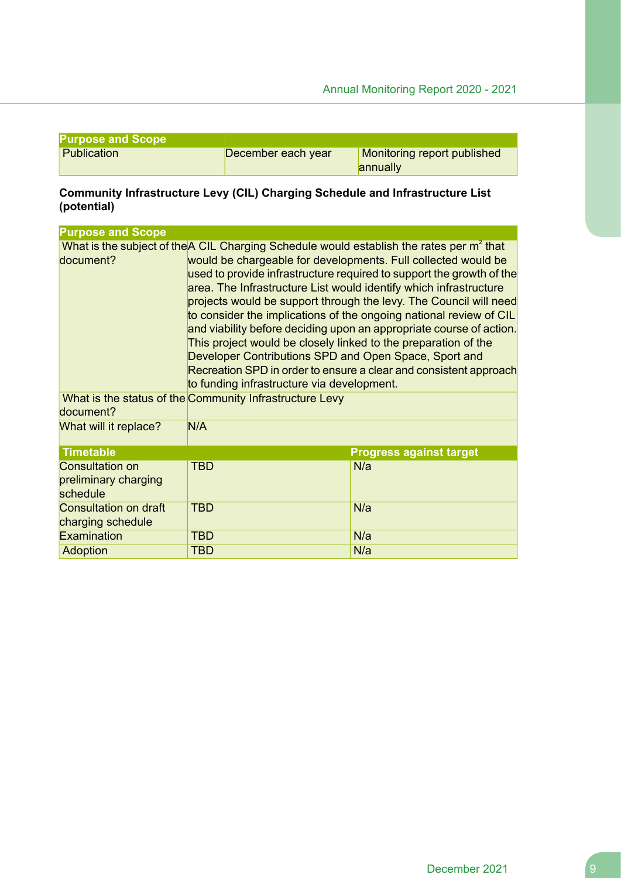| <b>Purpose and Scope</b> |                    |                             |
|--------------------------|--------------------|-----------------------------|
| Publication              | December each year | Monitoring report published |
|                          |                    | annually                    |

#### **Community Infrastructure Levy (CIL) Charging Schedule and Infrastructure List (potential)**

| <b>Purpose and Scope</b>                                   |                                                                                                                                                                                                                                                                                                                                                                                                                                                                                                                                                                                                                                                                                                                                                                                                                                                      |                                |
|------------------------------------------------------------|------------------------------------------------------------------------------------------------------------------------------------------------------------------------------------------------------------------------------------------------------------------------------------------------------------------------------------------------------------------------------------------------------------------------------------------------------------------------------------------------------------------------------------------------------------------------------------------------------------------------------------------------------------------------------------------------------------------------------------------------------------------------------------------------------------------------------------------------------|--------------------------------|
| document?<br>document?<br>What will it replace?            | What is the subject of the A CIL Charging Schedule would establish the rates per m <sup>2</sup> that<br>would be chargeable for developments. Full collected would be<br>used to provide infrastructure required to support the growth of the<br>area. The Infrastructure List would identify which infrastructure<br>projects would be support through the levy. The Council will need<br>to consider the implications of the ongoing national review of CIL<br>and viability before deciding upon an appropriate course of action.<br>This project would be closely linked to the preparation of the<br>Developer Contributions SPD and Open Space, Sport and<br>Recreation SPD in order to ensure a clear and consistent approach<br>to funding infrastructure via development.<br>What is the status of the Community Infrastructure Levy<br>N/A |                                |
| <b>Timetable</b>                                           |                                                                                                                                                                                                                                                                                                                                                                                                                                                                                                                                                                                                                                                                                                                                                                                                                                                      | <b>Progress against target</b> |
| <b>Consultation on</b><br>preliminary charging<br>schedule | TBD                                                                                                                                                                                                                                                                                                                                                                                                                                                                                                                                                                                                                                                                                                                                                                                                                                                  | N/a                            |
| Consultation on draft<br>charging schedule                 | <b>TBD</b>                                                                                                                                                                                                                                                                                                                                                                                                                                                                                                                                                                                                                                                                                                                                                                                                                                           | N/a                            |
| Examination                                                | <b>TBD</b>                                                                                                                                                                                                                                                                                                                                                                                                                                                                                                                                                                                                                                                                                                                                                                                                                                           | N/a                            |
| Adoption                                                   | <b>TBD</b>                                                                                                                                                                                                                                                                                                                                                                                                                                                                                                                                                                                                                                                                                                                                                                                                                                           | N/a                            |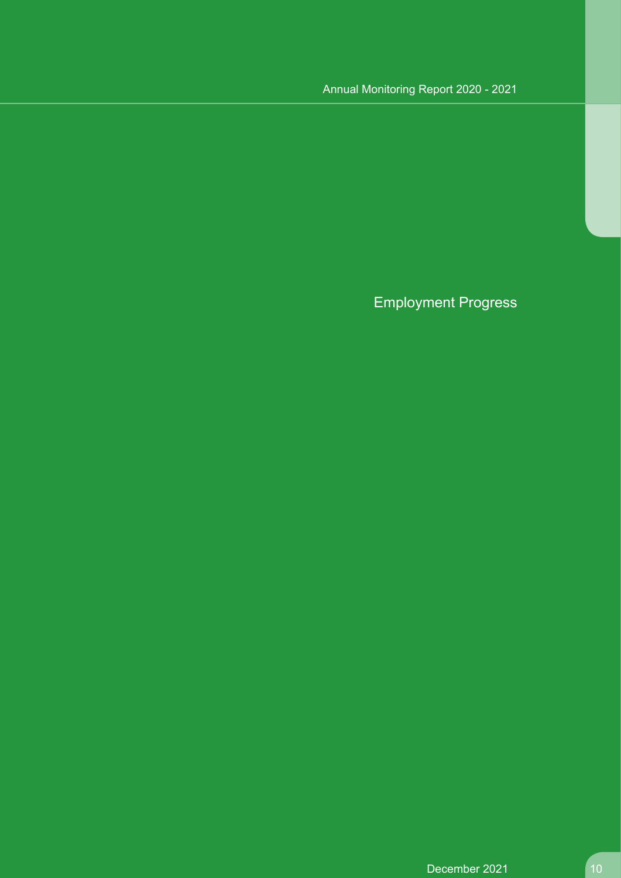Employment Progress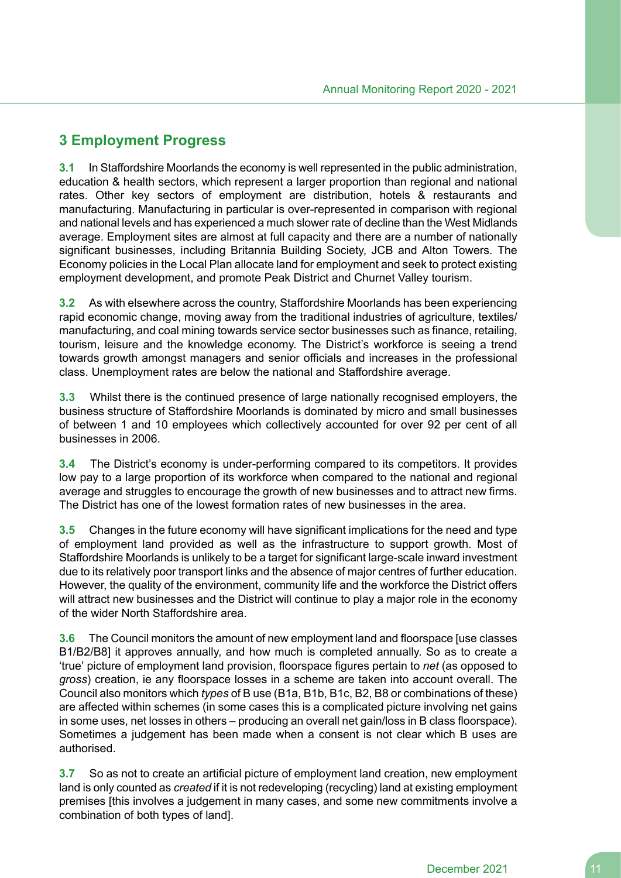# **3 Employment Progress**

**3.1** In Staffordshire Moorlands the economy is well represented in the public administration, education & health sectors, which represent a larger proportion than regional and national rates. Other key sectors of employment are distribution, hotels & restaurants and manufacturing. Manufacturing in particular is over-represented in comparison with regional and national levels and has experienced a much slower rate of decline than the West Midlands average. Employment sites are almost at full capacity and there are a number of nationally significant businesses, including Britannia Building Society, JCB and Alton Towers. The Economy policies in the Local Plan allocate land for employment and seek to protect existing employment development, and promote Peak District and Churnet Valley tourism.

**3.2** As with elsewhere across the country, Staffordshire Moorlands has been experiencing rapid economic change, moving away from the traditional industries of agriculture, textiles/ manufacturing, and coal mining towards service sector businesses such as finance, retailing, tourism, leisure and the knowledge economy. The District's workforce is seeing a trend towards growth amongst managers and senior officials and increases in the professional class. Unemployment rates are below the national and Staffordshire average.

**3.3** Whilst there is the continued presence of large nationally recognised employers, the business structure of Staffordshire Moorlands is dominated by micro and small businesses of between 1 and 10 employees which collectively accounted for over 92 per cent of all businesses in 2006.

**3.4** The District's economy is under-performing compared to its competitors. It provides low pay to a large proportion of its workforce when compared to the national and regional average and struggles to encourage the growth of new businesses and to attract new firms. The District has one of the lowest formation rates of new businesses in the area.

**3.5** Changes in the future economy will have significant implications for the need and type of employment land provided as well as the infrastructure to support growth. Most of Staffordshire Moorlands is unlikely to be a target for significant large-scale inward investment due to its relatively poor transport links and the absence of major centres of further education. However, the quality of the environment, community life and the workforce the District offers will attract new businesses and the District will continue to play a major role in the economy of the wider North Staffordshire area.

**3.6** The Council monitors the amount of new employment land and floorspace [use classes B1/B2/B8] it approves annually, and how much is completed annually. So as to create a 'true' picture of employment land provision, floorspace figures pertain to *net* (as opposed to *gross*) creation, ie any floorspace losses in a scheme are taken into account overall. The Council also monitors which *types* of B use (B1a, B1b, B1c, B2, B8 or combinations of these) are affected within schemes (in some cases this is a complicated picture involving net gains in some uses, net losses in others – producing an overall net gain/loss in B class floorspace). Sometimes a judgement has been made when a consent is not clear which B uses are authorised.

**3.7** So as not to create an artificial picture of employment land creation, new employment land is only counted as *created* if it is not redeveloping (recycling) land at existing employment premises [this involves a judgement in many cases, and some new commitments involve a combination of both types of land].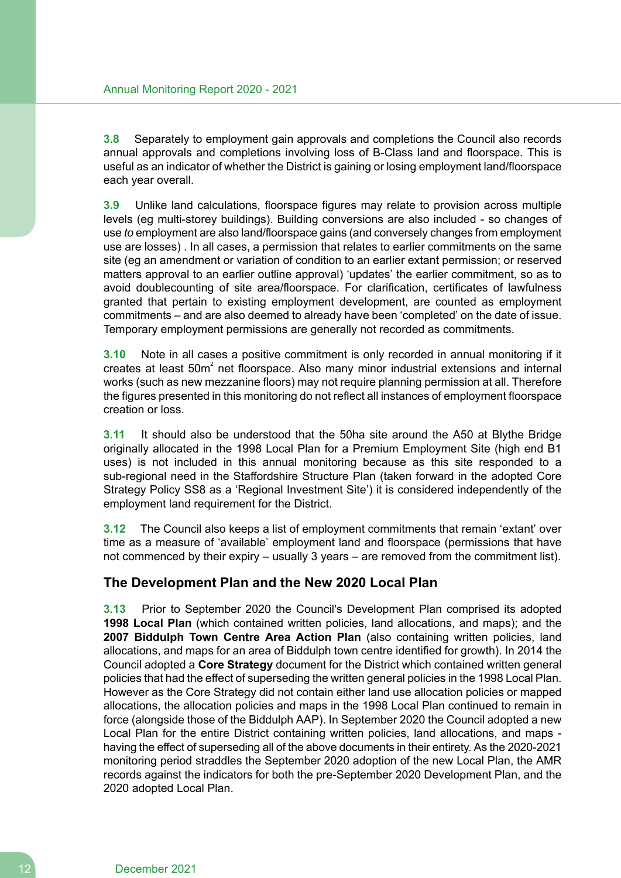**3.8** Separately to employment gain approvals and completions the Council also records annual approvals and completions involving loss of B-Class land and floorspace. This is useful as an indicator of whether the District is gaining or losing employment land/floorspace each year overall.

**3.9** Unlike land calculations, floorspace figures may relate to provision across multiple levels (eg multi-storey buildings). Building conversions are also included - so changes of use *to* employment are also land/floorspace gains (and conversely changes from employment use are losses) . In all cases, a permission that relates to earlier commitments on the same site (eg an amendment or variation of condition to an earlier extant permission; or reserved matters approval to an earlier outline approval) 'updates' the earlier commitment, so as to avoid doublecounting of site area/floorspace. For clarification, certificates of lawfulness granted that pertain to existing employment development, are counted as employment commitments – and are also deemed to already have been 'completed' on the date of issue. Temporary employment permissions are generally not recorded as commitments.

**3.10** Note in all cases a positive commitment is only recorded in annual monitoring if it creates at least  $50m^2$  net floorspace. Also many minor industrial extensions and internal works (such as new mezzanine floors) may not require planning permission at all. Therefore the figures presented in this monitoring do not reflect all instances of employment floorspace creation or loss.

**3.11** It should also be understood that the 50ha site around the A50 at Blythe Bridge originally allocated in the 1998 Local Plan for a Premium Employment Site (high end B1 uses) is not included in this annual monitoring because as this site responded to a sub-regional need in the Staffordshire Structure Plan (taken forward in the adopted Core Strategy Policy SS8 as a 'Regional Investment Site') it is considered independently of the employment land requirement for the District.

**3.12** The Council also keeps a list of employment commitments that remain 'extant' over time as a measure of 'available' employment land and floorspace (permissions that have not commenced by their expiry – usually 3 years – are removed from the commitment list).

# **The Development Plan and the New 2020 Local Plan**

**3.13** Prior to September 2020 the Council's Development Plan comprised its adopted **1998 Local Plan** (which contained written policies, land allocations, and maps); and the **2007 Biddulph Town Centre Area Action Plan** (also containing written policies, land allocations, and maps for an area of Biddulph town centre identified for growth). In 2014 the Council adopted a **Core Strategy** document for the District which contained written general policies that had the effect of superseding the written general policies in the 1998 Local Plan. However as the Core Strategy did not contain either land use allocation policies or mapped allocations, the allocation policies and maps in the 1998 Local Plan continued to remain in force (alongside those of the Biddulph AAP). In September 2020 the Council adopted a new Local Plan for the entire District containing written policies, land allocations, and maps having the effect of superseding all of the above documents in their entirety. As the 2020-2021 monitoring period straddles the September 2020 adoption of the new Local Plan, the AMR records against the indicators for both the pre-September 2020 Development Plan, and the 2020 adopted Local Plan.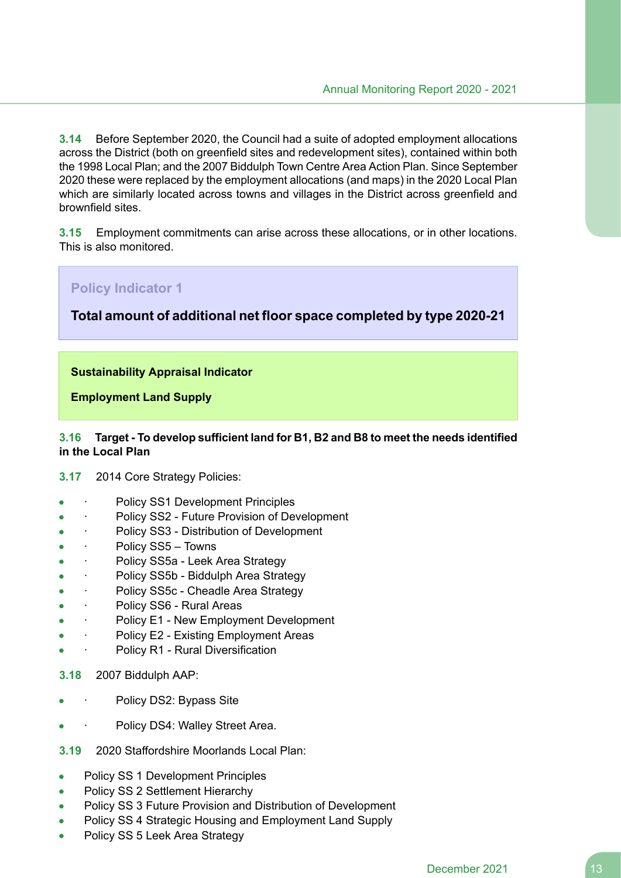**3.14** Before September 2020, the Council had a suite of adopted employment allocations across the District (both on greenfield sites and redevelopment sites), contained within both the 1998 Local Plan; and the 2007 Biddulph Town Centre Area Action Plan. Since September 2020 these were replaced by the employment allocations (and maps) in the 2020 Local Plan which are similarly located across towns and villages in the District across greenfield and brownfield sites.

**3.15** Employment commitments can arise across these allocations, or in other locations. This is also monitored.

# **Policy Indicator 1 Total amount of additional net floor space completed by type 2020-21 Sustainability Appraisal Indicator Employment Land Supply**

#### **3.16 Target - To develop sufficient land for B1, B2 and B8 to meet the needs identified in the Local Plan**

**3.17** 2014 Core Strategy Policies:

- Policy SS1 Development Principles
- Policy SS2 Future Provision of Development
- Policy SS3 Distribution of Development
- · Policy SS5 Towns Ä
- Policy SS5a Leek Area Strategy
- · Policy SS5b Biddulph Area Strategy
- · Policy SS5c Cheadle Area Strategy
- · Policy SS6 Rural Areas
- Policy E1 New Employment Development
- · Policy E2 Existing Employment Areas
- Policy R1 Rural Diversification
- **3.18** 2007 Biddulph AAP:
- Policy DS2: Bypass Site
- Policy DS4: Walley Street Area.
- **3.19** 2020 Staffordshire Moorlands Local Plan:
- Policy SS 1 Development Principles
- Policy SS 2 Settlement Hierarchy
- Policy SS 3 Future Provision and Distribution of Development
- Policy SS 4 Strategic Housing and Employment Land Supply
- Policy SS 5 Leek Area Strategy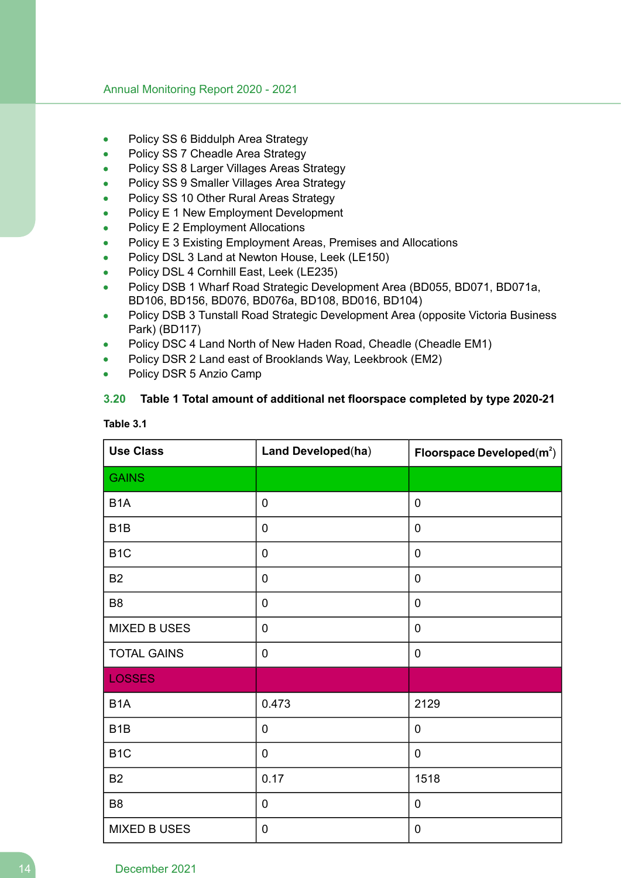- Policy SS 6 Biddulph Area Strategy
- Policy SS 7 Cheadle Area Strategy
- Policy SS 8 Larger Villages Areas Strategy
- Policy SS 9 Smaller Villages Area Strategy
- Policy SS 10 Other Rural Areas Strategy
- Policy E 1 New Employment Development
- Policy E 2 Employment Allocations
- Policy E 3 Existing Employment Areas, Premises and Allocations
- Policy DSL 3 Land at Newton House, Leek (LE150)
- Policy DSL 4 Cornhill East, Leek (LE235)
- Policy DSB 1 Wharf Road Strategic Development Area (BD055, BD071, BD071a, BD106, BD156, BD076, BD076a, BD108, BD016, BD104)
- Policy DSB 3 Tunstall Road Strategic Development Area (opposite Victoria Business Park) (BD117)
- Policy DSC 4 Land North of New Haden Road, Cheadle (Cheadle EM1)
- Policy DSR 2 Land east of Brooklands Way, Leekbrook (EM2)
- Policy DSR 5 Anzio Camp

#### **3.20 Table 1 Total amount of additional net floorspace completed by type 2020-21**

| <b>Use Class</b>    | Land Developed(ha) | Floorspace Developed $(m^2)$ |
|---------------------|--------------------|------------------------------|
| <b>GAINS</b>        |                    |                              |
| B <sub>1</sub> A    | $\pmb{0}$          | 0                            |
| B <sub>1</sub> B    | $\mathbf 0$        | 0                            |
| B <sub>1</sub> C    | $\mathbf 0$        | 0                            |
| <b>B2</b>           | $\pmb{0}$          | 0                            |
| B <sub>8</sub>      | $\mathbf 0$        | 0                            |
| <b>MIXED B USES</b> | $\pmb{0}$          | 0                            |
| <b>TOTAL GAINS</b>  | $\mathbf 0$        | 0                            |
| <b>LOSSES</b>       |                    |                              |
| B <sub>1</sub> A    | 0.473              | 2129                         |
| B <sub>1</sub> B    | $\pmb{0}$          | 0                            |
| B <sub>1</sub> C    | $\mathbf 0$        | 0                            |
| <b>B2</b>           | 0.17               | 1518                         |
| B <sub>8</sub>      | $\mathbf 0$        | 0                            |
| <b>MIXED B USES</b> | $\mathbf 0$        | 0                            |

**Table 3.1**

#### 14 December 2021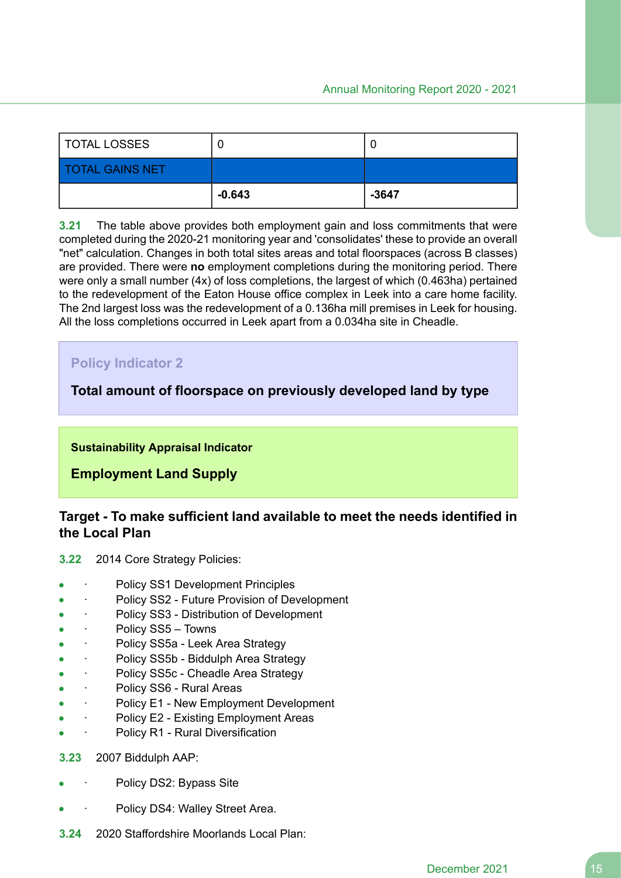| TOTAL LOSSES           |          | u       |
|------------------------|----------|---------|
| <b>TOTAL GAINS NET</b> |          |         |
|                        | $-0.643$ | $-3647$ |

**3.21** The table above provides both employment gain and loss commitments that were completed during the 2020-21 monitoring year and 'consolidates' these to provide an overall "net" calculation. Changes in both total sites areas and total floorspaces (across B classes) are provided. There were **no** employment completions during the monitoring period. There were only a small number (4x) of loss completions, the largest of which (0.463ha) pertained to the redevelopment of the Eaton House office complex in Leek into a care home facility. The 2nd largest loss was the redevelopment of a 0.136ha mill premises in Leek for housing. All the loss completions occurred in Leek apart from a 0.034ha site in Cheadle.

# **Policy Indicator 2**

## **Total amount of floorspace on previously developed land by type**

#### **Sustainability Appraisal Indicator**

**Employment Land Supply**

## **Target - To make sufficient land available to meet the needs identified in the Local Plan**

- **3.22** 2014 Core Strategy Policies:
- Policy SS1 Development Principles
- Policy SS2 Future Provision of Development
- · Policy SS3 Distribution of Development
- · Policy SS5 Towns
- Policy SS5a Leek Area Strategy
- · Policy SS5b Biddulph Area Strategy
- Policy SS5c Cheadle Area Strategy
- Policy SS6 Rural Areas
- Policy E1 New Employment Development
- Policy E2 Existing Employment Areas
- Policy R1 Rural Diversification
- **3.23** 2007 Biddulph AAP:
- Policy DS2: Bypass Site
- Policy DS4: Walley Street Area.
- **3.24** 2020 Staffordshire Moorlands Local Plan: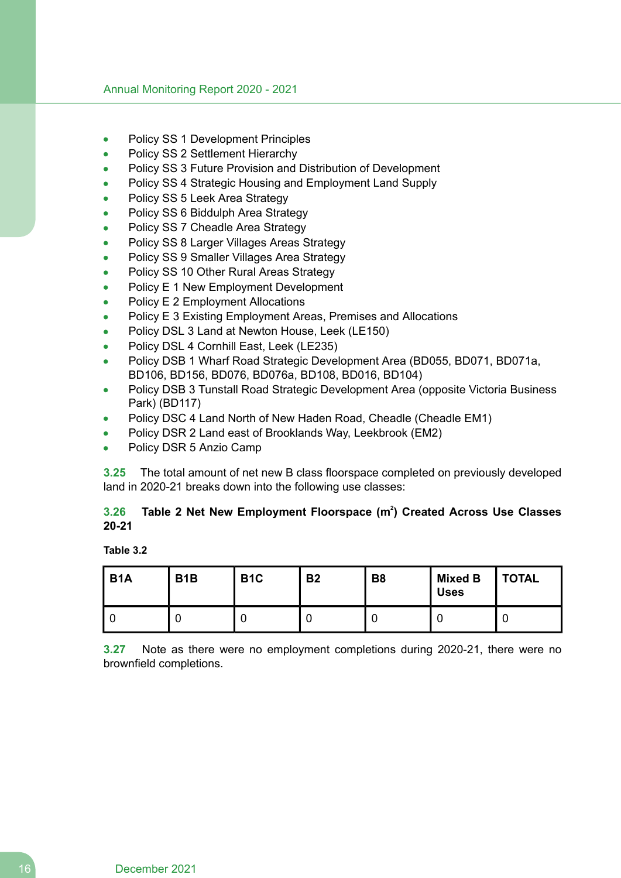- Policy SS 1 Development Principles
- Policy SS 2 Settlement Hierarchy
- Policy SS 3 Future Provision and Distribution of Development
- Policy SS 4 Strategic Housing and Employment Land Supply
- Policy SS 5 Leek Area Strategy
- Policy SS 6 Biddulph Area Strategy
- Policy SS 7 Cheadle Area Strategy
- Policy SS 8 Larger Villages Areas Strategy
- Policy SS 9 Smaller Villages Area Strategy
- Policy SS 10 Other Rural Areas Strategy
- Policy E 1 New Employment Development
- Policy E 2 Employment Allocations
- Policy E 3 Existing Employment Areas, Premises and Allocations
- Policy DSL 3 Land at Newton House, Leek (LE150)
- Policy DSL 4 Cornhill East, Leek (LE235)
- Policy DSB 1 Wharf Road Strategic Development Area (BD055, BD071, BD071a, BD106, BD156, BD076, BD076a, BD108, BD016, BD104)
- Policy DSB 3 Tunstall Road Strategic Development Area (opposite Victoria Business Park) (BD117)
- Policy DSC 4 Land North of New Haden Road, Cheadle (Cheadle EM1)
- Policy DSR 2 Land east of Brooklands Way, Leekbrook (EM2)
- Policy DSR 5 Anzio Camp

**3.25** The total amount of net new B class floorspace completed on previously developed land in 2020-21 breaks down into the following use classes:

## **3.26 Table 2 Net New Employment Floorspace (m<sup>2</sup> ) Created Across Use Classes 20-21**

#### **Table 3.2**

| B <sub>1</sub> A | B <sub>1</sub> B | B <sub>1</sub> C | <b>B2</b> | <b>B8</b> | Mixed B<br><b>Uses</b> | <b>TOTAL</b> |
|------------------|------------------|------------------|-----------|-----------|------------------------|--------------|
|                  |                  |                  |           |           |                        |              |

**3.27** Note as there were no employment completions during 2020-21, there were no brownfield completions.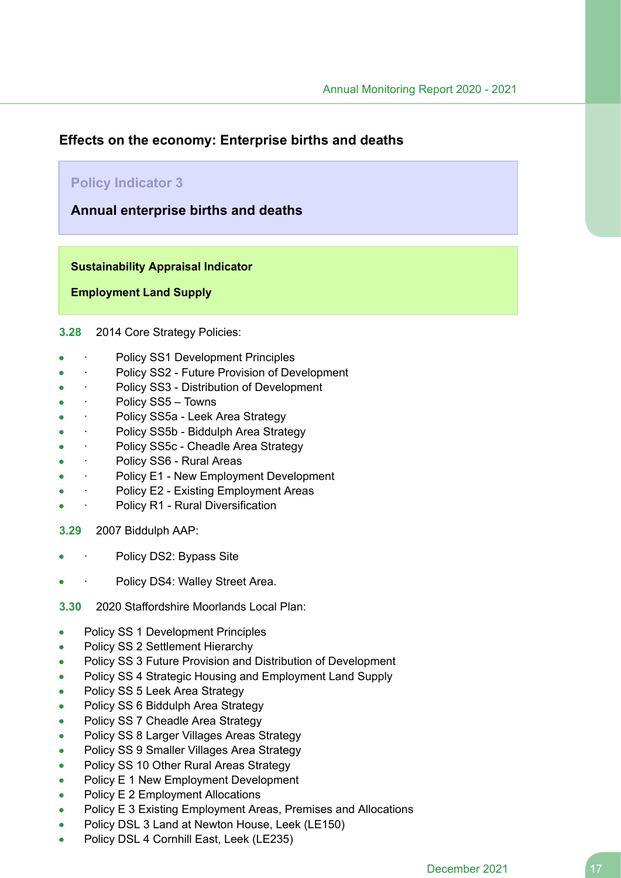## **Effects on the economy: Enterprise births and deaths**

## **Policy Indicator 3**

**Annual enterprise births and deaths**

**Sustainability Appraisal Indicator**

**Employment Land Supply**

**3.28** 2014 Core Strategy Policies:

- Policy SS1 Development Principles
- · Policy SS2 Future Provision of Development
- Policy SS3 Distribution of Development
- Policy SS5 Towns
- Policy SS5a Leek Area Strategy  $\bullet$
- Policy SS5b Biddulph Area Strategy
- Policy SS5c Cheadle Area Strategy
- Policy SS6 Rural Areas
- · Policy E1 New Employment Development  $\blacksquare$
- Policy E2 Existing Employment Areas
- Policy R1 Rural Diversification
- **3.29** 2007 Biddulph AAP:
- Policy DS2: Bypass Site
- Policy DS4: Walley Street Area.
- **3.30** 2020 Staffordshire Moorlands Local Plan:
- Policy SS 1 Development Principles  $\bullet$
- Policy SS 2 Settlement Hierarchy  $\bullet$
- Policy SS 3 Future Provision and Distribution of Development  $\bullet$
- Policy SS 4 Strategic Housing and Employment Land Supply  $\bullet$
- Policy SS 5 Leek Area Strategy  $\bullet$
- Policy SS 6 Biddulph Area Strategy  $\bullet$
- Policy SS 7 Cheadle Area Strategy  $\bullet$
- Policy SS 8 Larger Villages Areas Strategy  $\bullet$
- Policy SS 9 Smaller Villages Area Strategy
- Policy SS 10 Other Rural Areas Strategy  $\bullet$
- Policy E 1 New Employment Development  $\bullet$
- Policy E 2 Employment Allocations
- Policy E 3 Existing Employment Areas, Premises and Allocations  $\bullet$
- Policy DSL 3 Land at Newton House, Leek (LE150)
- Policy DSL 4 Cornhill East, Leek (LE235)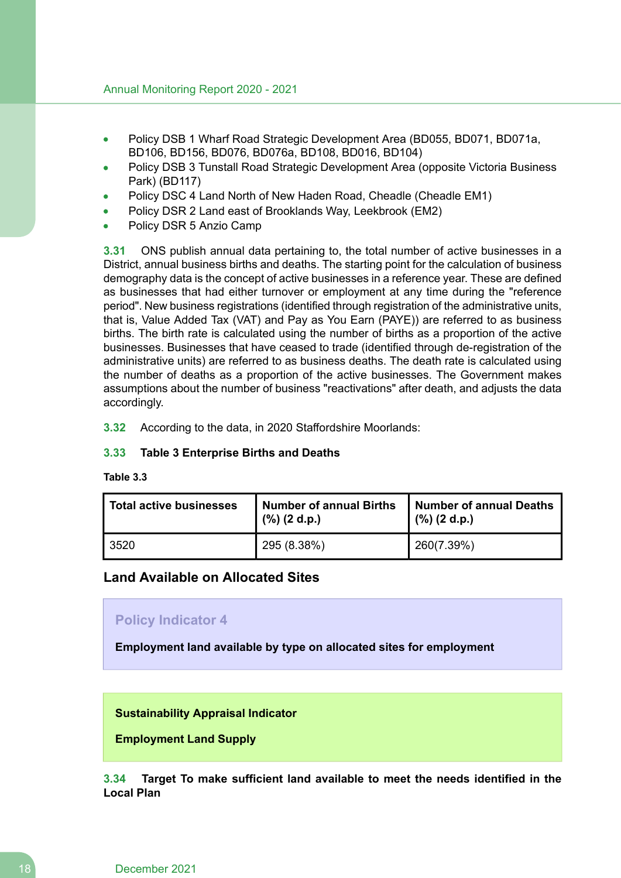- Policy DSB 1 Wharf Road Strategic Development Area (BD055, BD071, BD071a, BD106, BD156, BD076, BD076a, BD108, BD016, BD104)
- Policy DSB 3 Tunstall Road Strategic Development Area (opposite Victoria Business Park) (BD117)
- Policy DSC 4 Land North of New Haden Road, Cheadle (Cheadle EM1)
- Policy DSR 2 Land east of Brooklands Way, Leekbrook (EM2)
- Policy DSR 5 Anzio Camp

**3.31** ONS publish annual data pertaining to, the total number of active businesses in a District, annual business births and deaths. The starting point for the calculation of business demography data is the concept of active businesses in a reference year. These are defined as businesses that had either turnover or employment at any time during the "reference period". New business registrations (identified through registration of the administrative units, that is, Value Added Tax (VAT) and Pay as You Earn (PAYE)) are referred to as business births. The birth rate is calculated using the number of births as a proportion of the active businesses. Businesses that have ceased to trade (identified through de-registration of the administrative units) are referred to as business deaths. The death rate is calculated using the number of deaths as a proportion of the active businesses. The Government makes assumptions about the number of business "reactivations" after death, and adjusts the data accordingly.

**3.32** According to the data, in 2020 Staffordshire Moorlands:

#### **3.33 Table 3 Enterprise Births and Deaths**

**Table 3.3**

| <b>Total active businesses</b> | <b>Number of annual Births</b><br>$(\%)$ (2 d.p.) | <b>Number of annual Deaths</b><br>$(\%)$ (2 d.p.) |
|--------------------------------|---------------------------------------------------|---------------------------------------------------|
| 3520                           | 295 (8.38%)                                       | 260(7.39%)                                        |

## **Land Available on Allocated Sites**

#### **Policy Indicator 4**

**Employment land available by type on allocated sites for employment**

#### **Sustainability Appraisal Indicator**

**Employment Land Supply**

**3.34 Target To make sufficient land available to meet the needs identified in the Local Plan**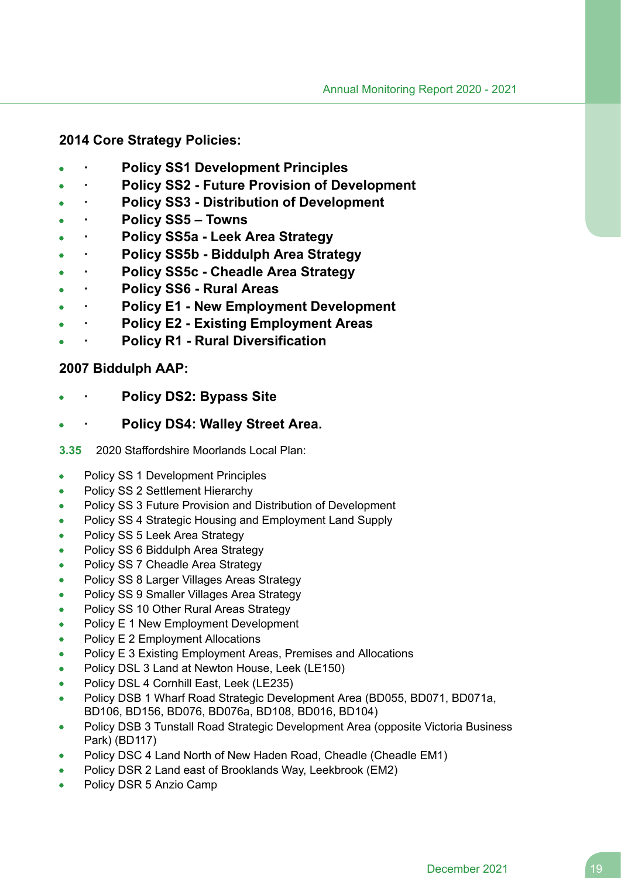## **2014 Core Strategy Policies:**

- **· Policy SS1 Development Principles**
- **· Policy SS2 - Future Provision of Development**
- **· Policy SS3 - Distribution of Development**
- **· Policy SS5 – Towns**
- **· Policy SS5a - Leek Area Strategy**
- **· Policy SS5b - Biddulph Area Strategy**
- **· Policy SS5c - Cheadle Area Strategy**
- **· Policy SS6 - Rural Areas**
- **· Policy E1 - New Employment Development**
- **· Policy E2 - Existing Employment Areas**
- **· Policy R1 - Rural Diversification**

## **2007 Biddulph AAP:**

- **· Policy DS2: Bypass Site**
- **· Policy DS4: Walley Street Area.**
- **3.35** 2020 Staffordshire Moorlands Local Plan:
- Policy SS 1 Development Principles  $\bullet$
- Policy SS 2 Settlement Hierarchy
- Policy SS 3 Future Provision and Distribution of Development
- Policy SS 4 Strategic Housing and Employment Land Supply
- Policy SS 5 Leek Area Strategy
- Policy SS 6 Biddulph Area Strategy
- Policy SS 7 Cheadle Area Strategy
- Policy SS 8 Larger Villages Areas Strategy  $\bullet$
- Policy SS 9 Smaller Villages Area Strategy  $\bullet$
- Policy SS 10 Other Rural Areas Strategy  $\bullet$
- Policy E 1 New Employment Development  $\bullet$
- Policy E 2 Employment Allocations  $\bullet$
- Policy E 3 Existing Employment Areas, Premises and Allocations  $\bullet$
- Policy DSL 3 Land at Newton House, Leek (LE150)
- Policy DSL 4 Cornhill East, Leek (LE235)  $\bullet$
- Policy DSB 1 Wharf Road Strategic Development Area (BD055, BD071, BD071a,  $\blacksquare$ BD106, BD156, BD076, BD076a, BD108, BD016, BD104)
- Policy DSB 3 Tunstall Road Strategic Development Area (opposite Victoria Business  $\bullet$ Park) (BD117)
- Policy DSC 4 Land North of New Haden Road, Cheadle (Cheadle EM1)
- Policy DSR 2 Land east of Brooklands Way, Leekbrook (EM2)  $\bullet$
- Policy DSR 5 Anzio Camp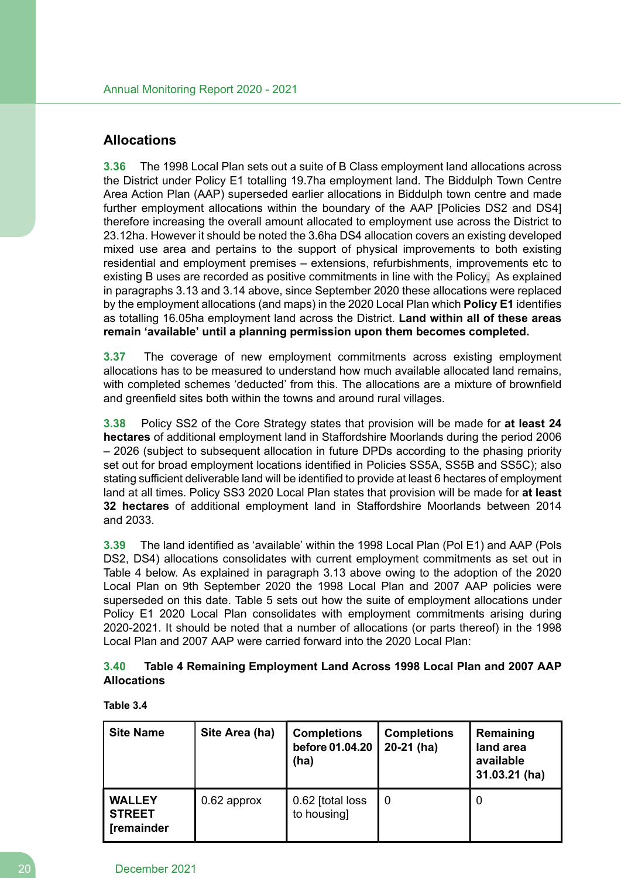## **Allocations**

**3.36** The 1998 Local Plan sets out a suite of B Class employment land allocations across the District under Policy E1 totalling 19.7ha employment land. The Biddulph Town Centre Area Action Plan (AAP) superseded earlier allocations in Biddulph town centre and made further employment allocations within the boundary of the AAP [Policies DS2 and DS4] therefore increasing the overall amount allocated to employment use across the District to 23.12ha. However it should be noted the 3.6ha DS4 allocation covers an existing developed mixed use area and pertains to the support of physical improvements to both existing residential and employment premises – extensions, refurbishments, improvements etc to existing B uses are recorded as positive commitments in line with the Policy. As explained in paragraphs 3.13 and 3.14 above, since September 2020 these allocations were replaced by the employment allocations (and maps) in the 2020 Local Plan which **Policy E1** identifies as totalling 16.05ha employment land across the District. **Land within all of these areas remain 'available' until a planning permission upon them becomes completed.**

**3.37** The coverage of new employment commitments across existing employment allocations has to be measured to understand how much available allocated land remains, with completed schemes 'deducted' from this. The allocations are a mixture of brownfield and greenfield sites both within the towns and around rural villages.

**3.38** Policy SS2 of the Core Strategy states that provision will be made for **at least 24 hectares** of additional employment land in Staffordshire Moorlands during the period 2006 – 2026 (subject to subsequent allocation in future DPDs according to the phasing priority set out for broad employment locations identified in Policies SS5A, SS5B and SS5C); also stating sufficient deliverable land will be identified to provide at least 6 hectares of employment land at all times. Policy SS3 2020 Local Plan states that provision will be made for **at least 32 hectares** of additional employment land in Staffordshire Moorlands between 2014 and 2033.

**3.39** The land identified as 'available' within the 1998 Local Plan (Pol E1) and AAP (Pols DS2, DS4) allocations consolidates with current employment commitments as set out in Table 4 below. As explained in paragraph 3.13 above owing to the adoption of the 2020 Local Plan on 9th September 2020 the 1998 Local Plan and 2007 AAP policies were superseded on this date. Table 5 sets out how the suite of employment allocations under Policy E1 2020 Local Plan consolidates with employment commitments arising during 2020-2021. It should be noted that a number of allocations (or parts thereof) in the 1998 Local Plan and 2007 AAP were carried forward into the 2020 Local Plan:

## **3.40 Table 4 Remaining Employment Land Across 1998 Local Plan and 2007 AAP Allocations**

#### **Table 3.4**

| <b>Site Name</b>                                    | Site Area (ha) | <b>Completions</b><br>before 01.04.20<br>(ha) | <b>Completions</b><br>$20-21$ (ha) | Remaining<br>land area<br>available<br>31.03.21 (ha) |
|-----------------------------------------------------|----------------|-----------------------------------------------|------------------------------------|------------------------------------------------------|
| <b>WALLEY</b><br><b>STREET</b><br><b>[remainder</b> | 0.62 approx    | 0.62 [total loss<br>to housing]               | 0                                  | 0                                                    |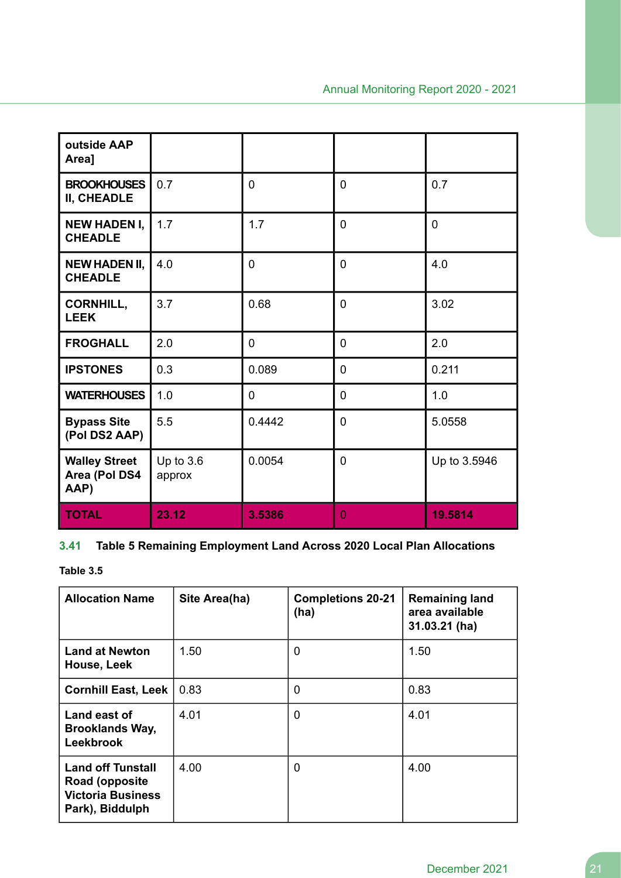| outside AAP<br>Area]                          |                       |                |                |              |
|-----------------------------------------------|-----------------------|----------------|----------------|--------------|
| <b>BROOKHOUSES</b><br>II, CHEADLE             | 0.7                   | $\overline{0}$ | 0              | 0.7          |
| <b>NEW HADEN I,</b><br><b>CHEADLE</b>         | 1.7                   | 1.7            | 0              | 0            |
| <b>NEW HADEN II,</b><br><b>CHEADLE</b>        | 4.0                   | $\overline{0}$ | $\overline{0}$ | 4.0          |
| <b>CORNHILL,</b><br><b>LEEK</b>               | 3.7                   | 0.68           | 0              | 3.02         |
| <b>FROGHALL</b>                               | 2.0                   | 0              | 0              | 2.0          |
| <b>IPSTONES</b>                               | 0.3                   | 0.089          | 0              | 0.211        |
| <b>WATERHOUSES</b>                            | 1.0                   | 0              | 0              | 1.0          |
| <b>Bypass Site</b><br>(Pol DS2 AAP)           | 5.5                   | 0.4442         | 0              | 5.0558       |
| <b>Walley Street</b><br>Area (Pol DS4<br>AAP) | Up to $3.6$<br>approx | 0.0054         | 0              | Up to 3.5946 |
| <b>TOTAL</b>                                  | 23.12                 | 3.5386         | $\overline{0}$ | 19.5814      |

# **3.41 Table 5 Remaining Employment Land Across 2020 Local Plan Allocations**

**Table 3.5**

| <b>Allocation Name</b>                                                                    | Site Area(ha) | <b>Completions 20-21</b><br>(ha) | <b>Remaining land</b><br>area available<br>31.03.21 (ha) |
|-------------------------------------------------------------------------------------------|---------------|----------------------------------|----------------------------------------------------------|
| <b>Land at Newton</b><br>House, Leek                                                      | 1.50          | 0                                | 1.50                                                     |
| <b>Cornhill East, Leek</b>                                                                | 0.83          | $\overline{0}$                   | 0.83                                                     |
| Land east of<br><b>Brooklands Way,</b><br><b>Leekbrook</b>                                | 4.01          | $\overline{0}$                   | 4.01                                                     |
| <b>Land off Tunstall</b><br>Road (opposite<br><b>Victoria Business</b><br>Park), Biddulph | 4.00          | 0                                | 4.00                                                     |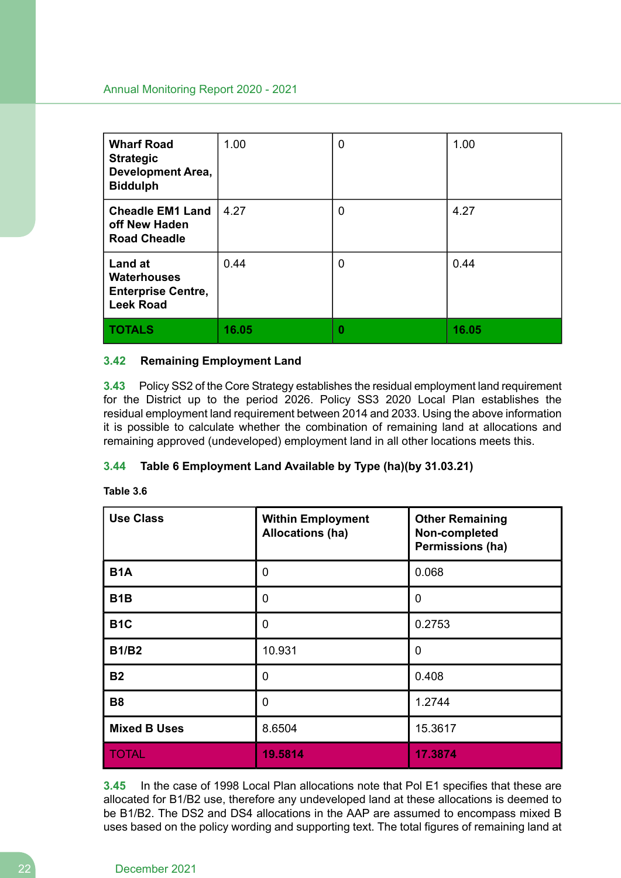| <b>Wharf Road</b><br><b>Strategic</b><br><b>Development Area,</b><br><b>Biddulph</b>  | 1.00  | $\mathbf 0$ | 1.00  |
|---------------------------------------------------------------------------------------|-------|-------------|-------|
| <b>Cheadle EM1 Land</b><br>off New Haden<br><b>Road Cheadle</b>                       | 4.27  | 0           | 4.27  |
| <b>Land at</b><br><b>Waterhouses</b><br><b>Enterprise Centre,</b><br><b>Leek Road</b> | 0.44  | $\mathbf 0$ | 0.44  |
| <b>TOTALS</b>                                                                         | 16.05 | 0           | 16.05 |

#### **3.42 Remaining Employment Land**

**3.43** Policy SS2 of the Core Strategy establishes the residual employment land requirement for the District up to the period 2026. Policy SS3 2020 Local Plan establishes the residual employment land requirement between 2014 and 2033. Using the above information it is possible to calculate whether the combination of remaining land at allocations and remaining approved (undeveloped) employment land in all other locations meets this.

## **3.44 Table 6 Employment Land Available by Type (ha)(by 31.03.21)**

| Table ∶ | 3.6 |
|---------|-----|
|---------|-----|

| <b>Use Class</b>    | <b>Within Employment</b><br><b>Allocations (ha)</b> | <b>Other Remaining</b><br>Non-completed<br>Permissions (ha) |
|---------------------|-----------------------------------------------------|-------------------------------------------------------------|
| <b>B1A</b>          | $\overline{0}$                                      | 0.068                                                       |
| B <sub>1</sub> B    | 0                                                   | 0                                                           |
| <b>B1C</b>          | $\mathbf 0$                                         | 0.2753                                                      |
| <b>B1/B2</b>        | 10.931                                              | 0                                                           |
| <b>B2</b>           | $\overline{0}$                                      | 0.408                                                       |
| <b>B8</b>           | $\mathbf 0$                                         | 1.2744                                                      |
| <b>Mixed B Uses</b> | 8.6504                                              | 15.3617                                                     |
| <b>TOTAL</b>        | 19.5814                                             | 17.3874                                                     |

**3.45** In the case of 1998 Local Plan allocations note that Pol E1 specifies that these are allocated for B1/B2 use, therefore any undeveloped land at these allocations is deemed to be B1/B2. The DS2 and DS4 allocations in the AAP are assumed to encompass mixed B uses based on the policy wording and supporting text. The total figures of remaining land at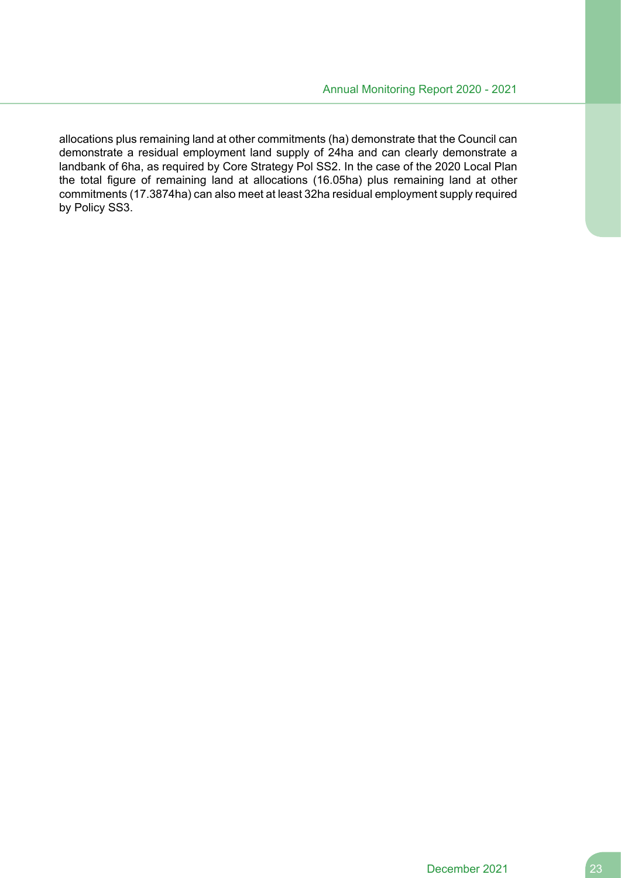allocations plus remaining land at other commitments (ha) demonstrate that the Council can demonstrate a residual employment land supply of 24ha and can clearly demonstrate a landbank of 6ha, as required by Core Strategy Pol SS2. In the case of the 2020 Local Plan the total figure of remaining land at allocations (16.05ha) plus remaining land at other commitments (17.3874ha) can also meet at least 32ha residual employment supply required by Policy SS3.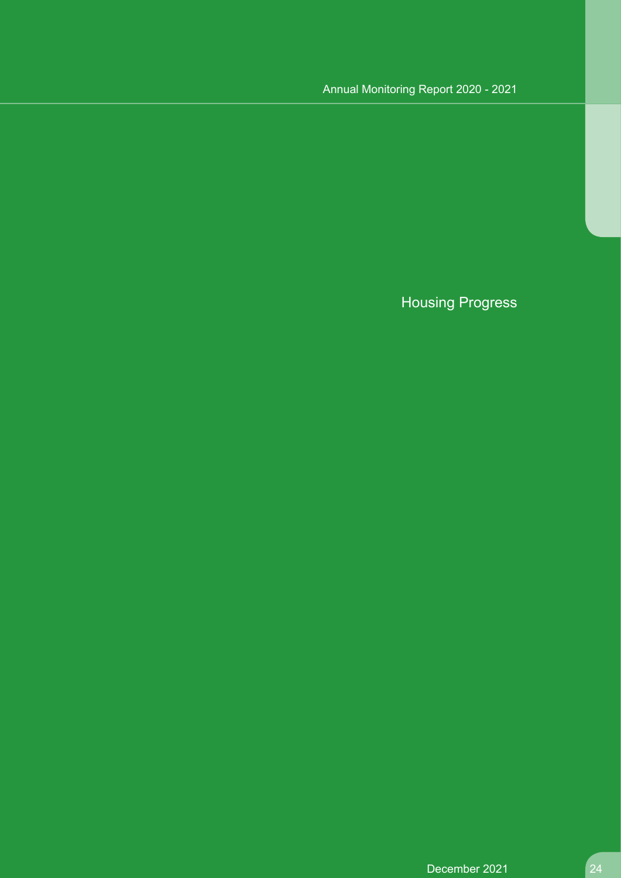# Housing Progress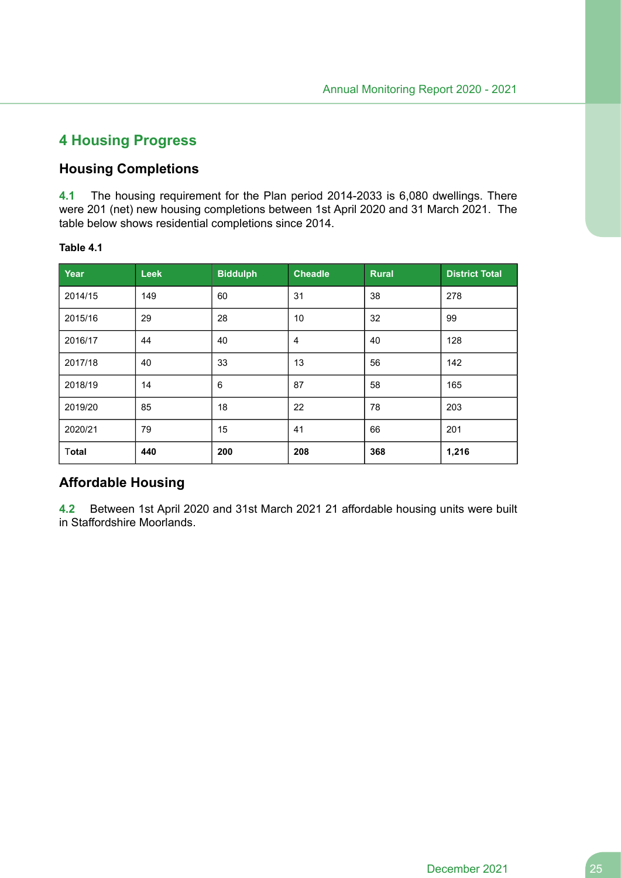# **4 Housing Progress**

# **Housing Completions**

**4.1** The housing requirement for the Plan period 2014-2033 is 6,080 dwellings. There were 201 (net) new housing completions between 1st April 2020 and 31 March 2021. The table below shows residential completions since 2014.

#### **Table 4.1**

| Year    | <b>Leek</b> | <b>Biddulph</b> | <b>Cheadle</b> | <b>Rural</b> | <b>District Total</b> |
|---------|-------------|-----------------|----------------|--------------|-----------------------|
| 2014/15 | 149         | 60              | 31             | 38           | 278                   |
| 2015/16 | 29          | 28              | 10             | 32           | 99                    |
| 2016/17 | 44          | 40              | $\overline{4}$ | 40           | 128                   |
| 2017/18 | 40          | 33              | 13             | 56           | 142                   |
| 2018/19 | 14          | 6               | 87             | 58           | 165                   |
| 2019/20 | 85          | 18              | 22             | 78           | 203                   |
| 2020/21 | 79          | 15              | 41             | 66           | 201                   |
| Total   | 440         | 200             | 208            | 368          | 1,216                 |

# **Affordable Housing**

**4.2** Between 1st April 2020 and 31st March 2021 21 affordable housing units were built in Staffordshire Moorlands.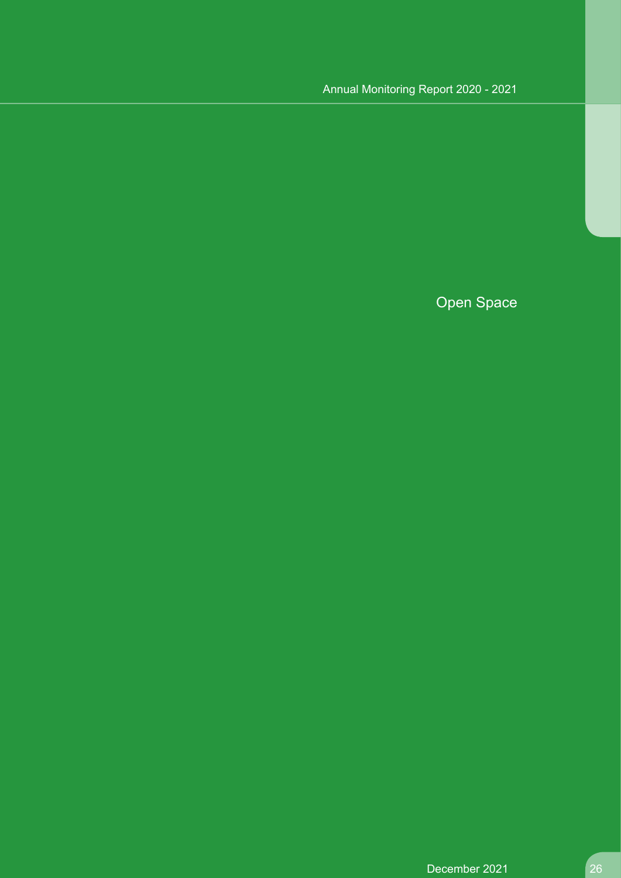Open Space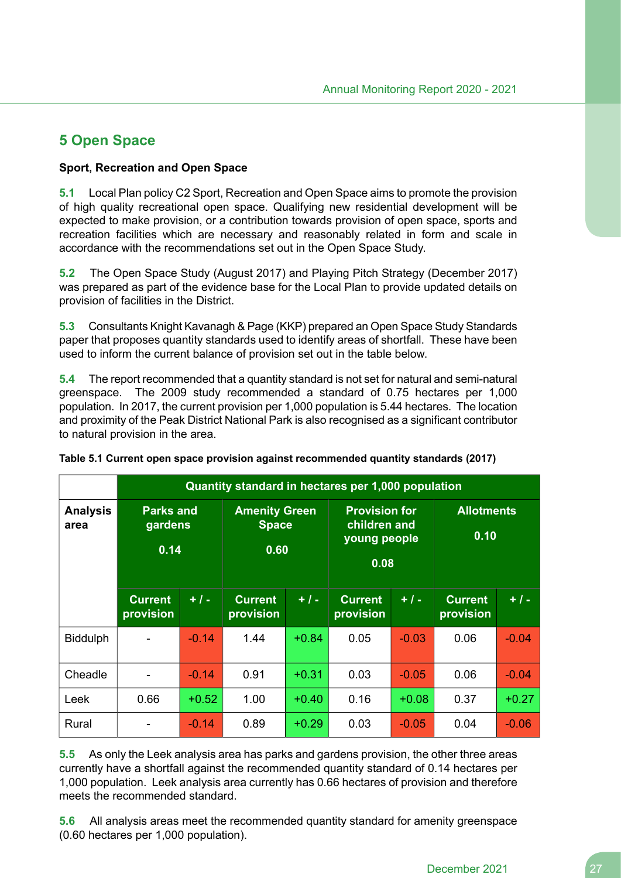# **5 Open Space**

#### **Sport, Recreation and Open Space**

**5.1** Local Plan policy C2 Sport, Recreation and Open Space aims to promote the provision of high quality recreational open space. Qualifying new residential development will be expected to make provision, or a contribution towards provision of open space, sports and recreation facilities which are necessary and reasonably related in form and scale in accordance with the recommendations set out in the Open Space Study.

**5.2** The Open Space Study (August 2017) and Playing Pitch Strategy (December 2017) was prepared as part of the evidence base for the Local Plan to provide updated details on provision of facilities in the District.

**5.3** Consultants Knight Kavanagh & Page (KKP) prepared an Open Space Study Standards paper that proposes quantity standards used to identify areas of shortfall. These have been used to inform the current balance of provision set out in the table below.

**5.4** The report recommended that a quantity standard is not set for natural and semi-natural greenspace. The 2009 study recommended a standard of 0.75 hectares per 1,000 population. In 2017, the current provision per 1,000 population is 5.44 hectares. The location and proximity of the Peak District National Park is also recognised as a significant contributor to natural provision in the area.

|                         |                                     |         | Quantity standard in hectares per 1,000 population |         |                                                              |         |                             |         |
|-------------------------|-------------------------------------|---------|----------------------------------------------------|---------|--------------------------------------------------------------|---------|-----------------------------|---------|
| <b>Analysis</b><br>area | <b>Parks and</b><br>gardens<br>0.14 |         | <b>Amenity Green</b><br><b>Space</b><br>0.60       |         | <b>Provision for</b><br>children and<br>young people<br>0.08 |         | <b>Allotments</b><br>0.10   |         |
|                         | <b>Current</b><br>provision         | $+ 1 -$ | <b>Current</b><br>provision                        | $+1-$   | <b>Current</b><br>provision                                  | $+1-$   | <b>Current</b><br>provision | $+1-$   |
| <b>Biddulph</b>         |                                     | $-0.14$ | 1.44                                               | $+0.84$ | 0.05                                                         | $-0.03$ | 0.06                        | $-0.04$ |
| Cheadle                 |                                     | $-0.14$ | 0.91                                               | $+0.31$ | 0.03                                                         | $-0.05$ | 0.06                        | $-0.04$ |
| Leek                    | 0.66                                | $+0.52$ | 1.00                                               | $+0.40$ | 0.16                                                         | $+0.08$ | 0.37                        | $+0.27$ |
| Rural                   |                                     | $-0.14$ | 0.89                                               | $+0.29$ | 0.03                                                         | $-0.05$ | 0.04                        | $-0.06$ |

**Table 5.1 Current open space provision against recommended quantity standards (2017)**

**5.5** As only the Leek analysis area has parks and gardens provision, the other three areas currently have a shortfall against the recommended quantity standard of 0.14 hectares per 1,000 population. Leek analysis area currently has 0.66 hectares of provision and therefore meets the recommended standard.

**5.6** All analysis areas meet the recommended quantity standard for amenity greenspace (0.60 hectares per 1,000 population).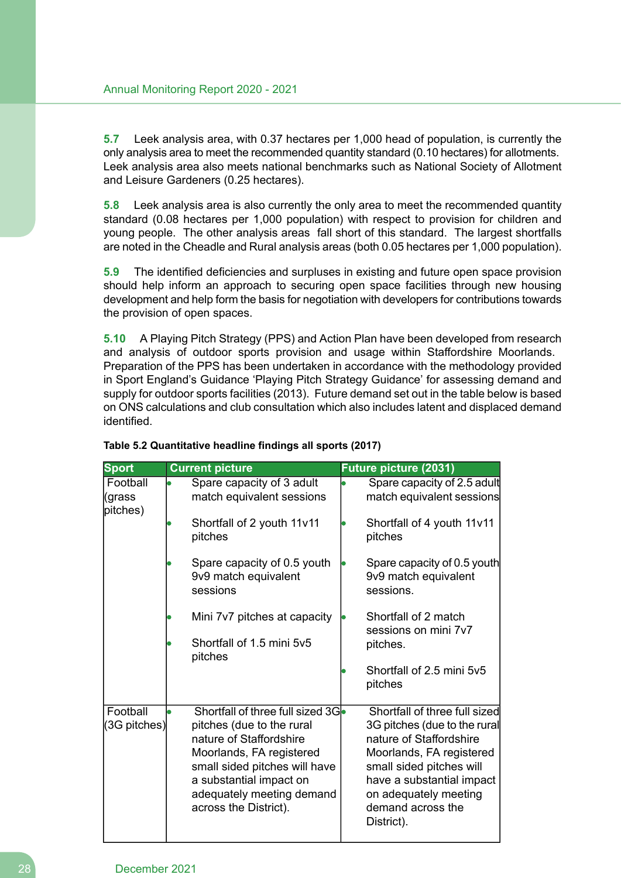**5.7** Leek analysis area, with 0.37 hectares per 1,000 head of population, is currently the only analysis area to meet the recommended quantity standard (0.10 hectares) for allotments. Leek analysis area also meets national benchmarks such as National Society of Allotment and Leisure Gardeners (0.25 hectares).

**5.8** Leek analysis area is also currently the only area to meet the recommended quantity standard (0.08 hectares per 1,000 population) with respect to provision for children and young people. The other analysis areas fall short of this standard. The largest shortfalls are noted in the Cheadle and Rural analysis areas (both 0.05 hectares per 1,000 population).

**5.9** The identified deficiencies and surpluses in existing and future open space provision should help inform an approach to securing open space facilities through new housing development and help form the basis for negotiation with developers for contributions towards the provision of open spaces.

**5.10** A Playing Pitch Strategy (PPS) and Action Plan have been developed from research and analysis of outdoor sports provision and usage within Staffordshire Moorlands. Preparation of the PPS has been undertaken in accordance with the methodology provided in Sport England's Guidance 'Playing Pitch Strategy Guidance' for assessing demand and supply for outdoor sports facilities (2013). Future demand set out in the table below is based on ONS calculations and club consultation which also includes latent and displaced demand identified.

| <b>Sport</b>                   | <b>Current picture</b>                                          | Future picture (2031)                                            |
|--------------------------------|-----------------------------------------------------------------|------------------------------------------------------------------|
| Football<br>(grass<br>pitches) | Spare capacity of 3 adult<br>match equivalent sessions          | Spare capacity of 2.5 adult<br>match equivalent sessions         |
|                                | Shortfall of 2 youth 11v11<br>pitches                           | Shortfall of 4 youth 11v11<br>pitches                            |
|                                | Spare capacity of 0.5 youth<br>9v9 match equivalent<br>sessions | Spare capacity of 0.5 youth<br>9v9 match equivalent<br>sessions. |
|                                | Mini 7v7 pitches at capacity                                    | Shortfall of 2 match<br>sessions on mini 7v7                     |
|                                | Shortfall of 1.5 mini 5y5<br>pitches                            | pitches.                                                         |
|                                |                                                                 | Shortfall of 2.5 mini 5v5<br>pitches                             |
| Football                       | Shortfall of three full sized 3G                                | Shortfall of three full sized                                    |
| (3G pitches)                   | pitches (due to the rural                                       | 3G pitches (due to the rural                                     |
|                                | nature of Staffordshire                                         | nature of Staffordshire                                          |
|                                | Moorlands, FA registered<br>small sided pitches will have       | Moorlands, FA registered<br>small sided pitches will             |
|                                | a substantial impact on                                         | have a substantial impact                                        |
|                                | adequately meeting demand<br>across the District).              | on adequately meeting<br>demand across the<br>District).         |
|                                |                                                                 |                                                                  |

#### **Table 5.2 Quantitative headline findings all sports (2017)**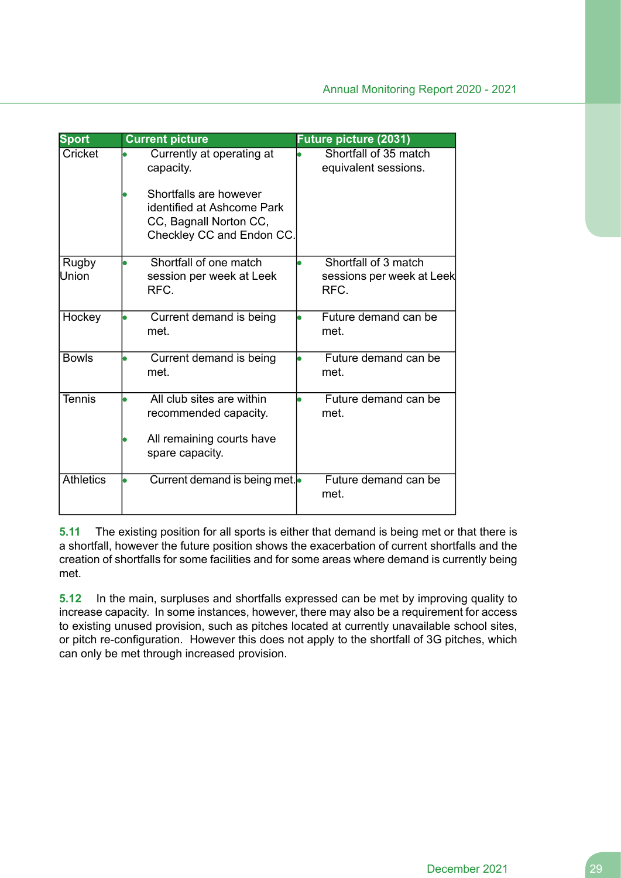| <b>Sport</b>     | <b>Current picture</b>                                                                                      | <b>Future picture (2031)</b>                              |
|------------------|-------------------------------------------------------------------------------------------------------------|-----------------------------------------------------------|
| Cricket          | Currently at operating at<br>capacity.                                                                      | Shortfall of 35 match<br>equivalent sessions.             |
|                  | Shortfalls are however<br>identified at Ashcome Park<br>CC, Bagnall Norton CC,<br>Checkley CC and Endon CC. |                                                           |
| Rugby<br>Union   | Shortfall of one match<br>session per week at Leek<br>RFC.                                                  | Shortfall of 3 match<br>sessions per week at Leek<br>RFC. |
| Hockey           | Current demand is being<br>met.                                                                             | Future demand can be<br>met.                              |
| <b>Bowls</b>     | Current demand is being<br>met.                                                                             | Future demand can be<br>met.                              |
| <b>Tennis</b>    | All club sites are within<br>recommended capacity.                                                          | Future demand can be<br>met.                              |
|                  | All remaining courts have<br>spare capacity.                                                                |                                                           |
| <b>Athletics</b> | Current demand is being met.                                                                                | Future demand can be<br>met.                              |

**5.11** The existing position for all sports is either that demand is being met or that there is a shortfall, however the future position shows the exacerbation of current shortfalls and the creation of shortfalls for some facilities and for some areas where demand is currently being met.

**5.12** In the main, surpluses and shortfalls expressed can be met by improving quality to increase capacity. In some instances, however, there may also be a requirement for access to existing unused provision, such as pitches located at currently unavailable school sites, or pitch re-configuration. However this does not apply to the shortfall of 3G pitches, which can only be met through increased provision.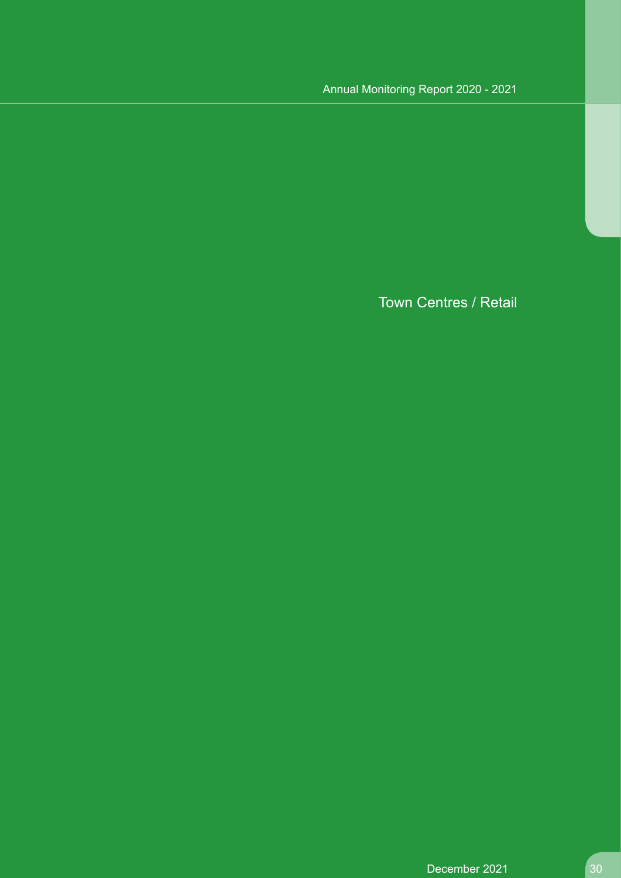Town Centres / Retail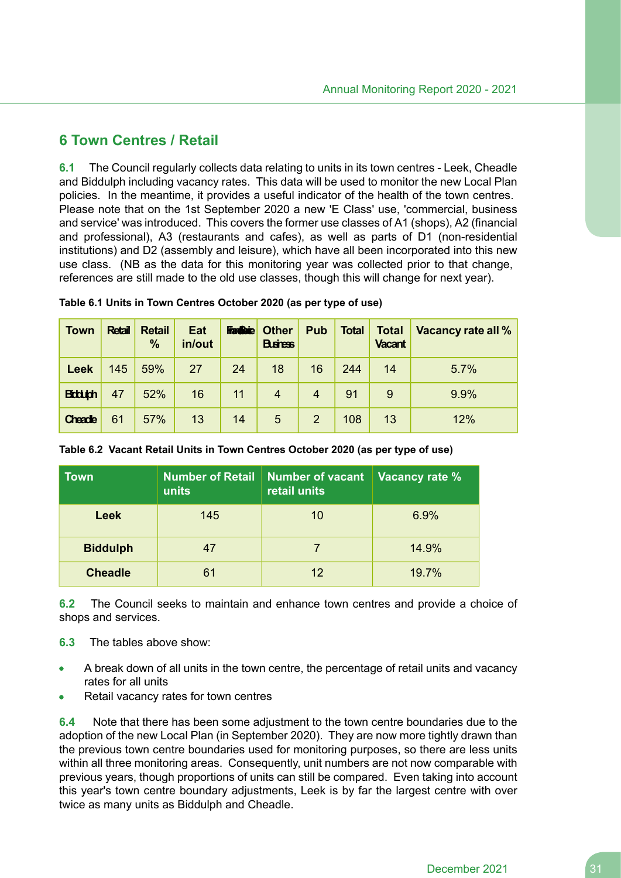# **6 Town Centres / Retail**

**6.1** The Council regularly collects data relating to units in its town centres - Leek, Cheadle and Biddulph including vacancy rates. This data will be used to monitor the new Local Plan policies. In the meantime, it provides a useful indicator of the health of the town centres. Please note that on the 1st September 2020 a new 'E Class' use, 'commercial, business and service' was introduced. This covers the former use classes of A1 (shops), A2 (financial and professional), A3 (restaurants and cafes), as well as parts of D1 (non-residential institutions) and D2 (assembly and leisure), which have all been incorporated into this new use class. (NB as the data for this monitoring year was collected prior to that change, references are still made to the old use classes, though this will change for next year).

| <b>Town</b>    | <b>Retail</b> | <b>Retail</b><br>$\%$ | Eat<br>in/out | <b>Faction</b> | <b>Other</b><br><b>Buires</b> | Pub            | <b>Total</b> | <b>Total</b><br><b>Vacant</b> | Vacancy rate all % |
|----------------|---------------|-----------------------|---------------|----------------|-------------------------------|----------------|--------------|-------------------------------|--------------------|
| <b>Leek</b>    | 145           | 59%                   | 27            | 24             | 18                            | 16             | 244          | 14                            | 5.7%               |
| <b>Biddigh</b> | 47            | 52%                   | 16            | 11             | $\overline{4}$                | $\overline{4}$ | 91           | 9                             | 9.9%               |
| Cheade         | 61            | 57%                   | 13            | 14             | 5                             | 2              | 108          | 13                            | 12%                |

**Table 6.1 Units in Town Centres October 2020 (as per type of use)**

| <b>Town</b>     | <b>Number of Retail</b><br>units | <b>Number of vacant</b><br>retail units | Vacancy rate % |
|-----------------|----------------------------------|-----------------------------------------|----------------|
| <b>Leek</b>     | 145                              | 10                                      | 6.9%           |
| <b>Biddulph</b> | 47                               |                                         | 14.9%          |
| <b>Cheadle</b>  | 61                               | 12                                      | 19.7%          |

**Table 6.2 Vacant Retail Units in Town Centres October 2020 (as per type of use)**

**6.2** The Council seeks to maintain and enhance town centres and provide a choice of shops and services.

- **6.3** The tables above show:
- A break down of all units in the town centre, the percentage of retail units and vacancy rates for all units
- Retail vacancy rates for town centres

**6.4** Note that there has been some adjustment to the town centre boundaries due to the adoption of the new Local Plan (in September 2020). They are now more tightly drawn than the previous town centre boundaries used for monitoring purposes, so there are less units within all three monitoring areas. Consequently, unit numbers are not now comparable with previous years, though proportions of units can still be compared. Even taking into account this year's town centre boundary adjustments, Leek is by far the largest centre with over twice as many units as Biddulph and Cheadle.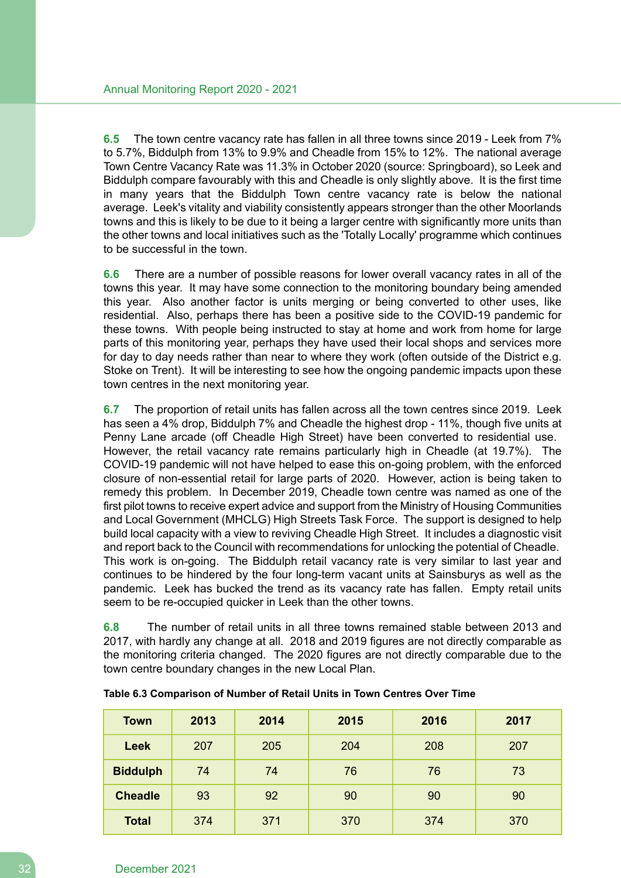**6.5** The town centre vacancy rate has fallen in all three towns since 2019 - Leek from 7% to 5.7%, Biddulph from 13% to 9.9% and Cheadle from 15% to 12%. The national average Town Centre Vacancy Rate was 11.3% in October 2020 (source: Springboard), so Leek and Biddulph compare favourably with this and Cheadle is only slightly above. It is the first time in many years that the Biddulph Town centre vacancy rate is below the national average. Leek's vitality and viability consistently appears stronger than the other Moorlands towns and this is likely to be due to it being a larger centre with significantly more units than the other towns and local initiatives such as the 'Totally Locally' programme which continues to be successful in the town.

**6.6** There are a number of possible reasons for lower overall vacancy rates in all of the towns this year. It may have some connection to the monitoring boundary being amended this year. Also another factor is units merging or being converted to other uses, like residential. Also, perhaps there has been a positive side to the COVID-19 pandemic for these towns. With people being instructed to stay at home and work from home for large parts of this monitoring year, perhaps they have used their local shops and services more for day to day needs rather than near to where they work (often outside of the District e.g. Stoke on Trent). It will be interesting to see how the ongoing pandemic impacts upon these town centres in the next monitoring year.

**6.7** The proportion of retail units has fallen across all the town centres since 2019. Leek has seen a 4% drop, Biddulph 7% and Cheadle the highest drop - 11%, though five units at Penny Lane arcade (off Cheadle High Street) have been converted to residential use. However, the retail vacancy rate remains particularly high in Cheadle (at 19.7%). The COVID-19 pandemic will not have helped to ease this on-going problem, with the enforced closure of non-essential retail for large parts of 2020. However, action is being taken to remedy this problem. In December 2019, Cheadle town centre was named as one of the first pilot towns to receive expert advice and support from the Ministry of Housing Communities and Local Government (MHCLG) High Streets Task Force. The support is designed to help build local capacity with a view to reviving Cheadle High Street. It includes a diagnostic visit and report back to the Council with recommendations for unlocking the potential of Cheadle. This work is on-going. The Biddulph retail vacancy rate is very similar to last year and continues to be hindered by the four long-term vacant units at Sainsburys as well as the pandemic. Leek has bucked the trend as its vacancy rate has fallen. Empty retail units seem to be re-occupied quicker in Leek than the other towns.

**6.8** The number of retail units in all three towns remained stable between 2013 and 2017, with hardly any change at all. 2018 and 2019 figures are not directly comparable as the monitoring criteria changed. The 2020 figures are not directly comparable due to the town centre boundary changes in the new Local Plan.

| <b>Town</b>     | 2013 | 2014 | 2015 | 2016 | 2017 |
|-----------------|------|------|------|------|------|
| Leek            | 207  | 205  | 204  | 208  | 207  |
| <b>Biddulph</b> | 74   | 74   | 76   | 76   | 73   |
| <b>Cheadle</b>  | 93   | 92   | 90   | 90   | 90   |
| <b>Total</b>    | 374  | 371  | 370  | 374  | 370  |

| Table 6.3 Comparison of Number of Retail Units in Town Centres Over Time |  |
|--------------------------------------------------------------------------|--|
|--------------------------------------------------------------------------|--|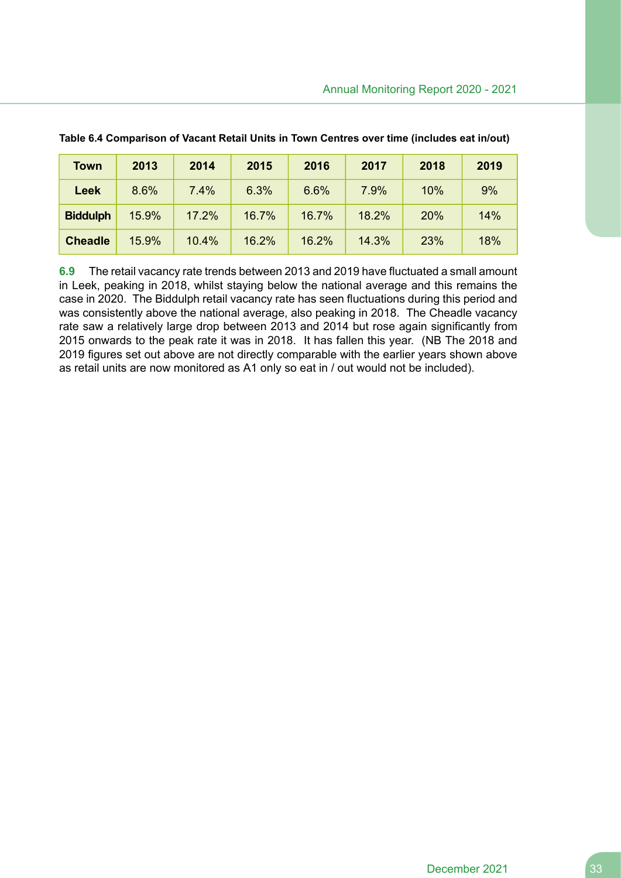| <b>Town</b>     | 2013  | 2014  | 2015  | 2016  | 2017  | 2018 | 2019 |
|-----------------|-------|-------|-------|-------|-------|------|------|
| <b>Leek</b>     | 8.6%  | 7.4%  | 6.3%  | 6.6%  | 7.9%  | 10%  | 9%   |
| <b>Biddulph</b> | 15.9% | 17.2% | 16.7% | 16.7% | 18.2% | 20%  | 14%  |
| <b>Cheadle</b>  | 15.9% | 10.4% | 16.2% | 16.2% | 14.3% | 23%  | 18%  |

**Table 6.4 Comparison of Vacant Retail Units in Town Centres over time (includes eat in/out)**

**6.9** The retail vacancy rate trends between 2013 and 2019 have fluctuated a small amount in Leek, peaking in 2018, whilst staying below the national average and this remains the case in 2020. The Biddulph retail vacancy rate has seen fluctuations during this period and was consistently above the national average, also peaking in 2018. The Cheadle vacancy rate saw a relatively large drop between 2013 and 2014 but rose again significantly from 2015 onwards to the peak rate it was in 2018. It has fallen this year. (NB The 2018 and 2019 figures set out above are not directly comparable with the earlier years shown above as retail units are now monitored as A1 only so eat in / out would not be included).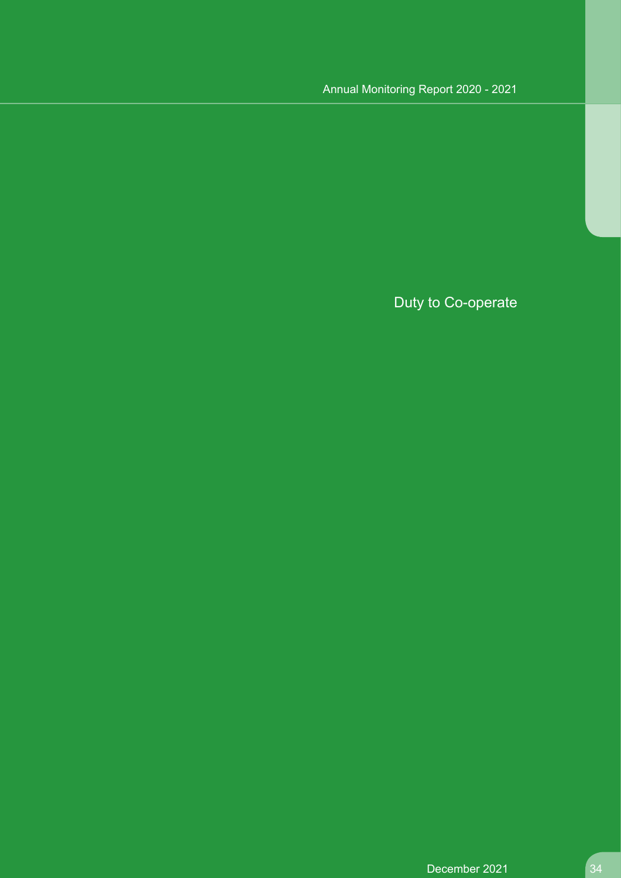Duty to Co-operate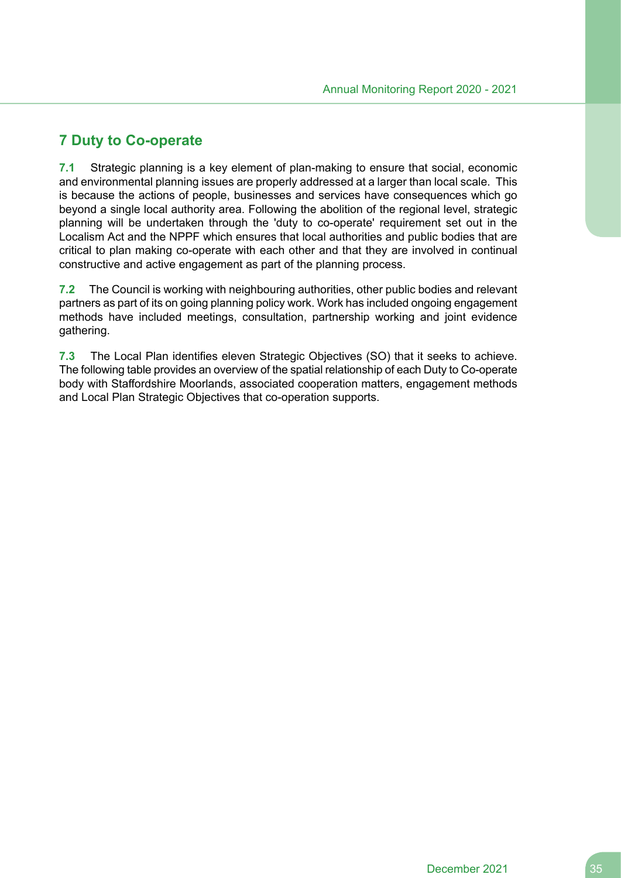# **7 Duty to Co-operate**

**7.1** Strategic planning is a key element of plan-making to ensure that social, economic and environmental planning issues are properly addressed at a larger than local scale. This is because the actions of people, businesses and services have consequences which go beyond a single local authority area. Following the abolition of the regional level, strategic planning will be undertaken through the 'duty to co-operate' requirement set out in the Localism Act and the NPPF which ensures that local authorities and public bodies that are critical to plan making co-operate with each other and that they are involved in continual constructive and active engagement as part of the planning process.

**7.2** The Council is working with neighbouring authorities, other public bodies and relevant partners as part of its on going planning policy work. Work has included ongoing engagement methods have included meetings, consultation, partnership working and joint evidence gathering.

**7.3** The Local Plan identifies eleven Strategic Objectives (SO) that it seeks to achieve. The following table provides an overview of the spatial relationship of each Duty to Co-operate body with Staffordshire Moorlands, associated cooperation matters, engagement methods and Local Plan Strategic Objectives that co-operation supports.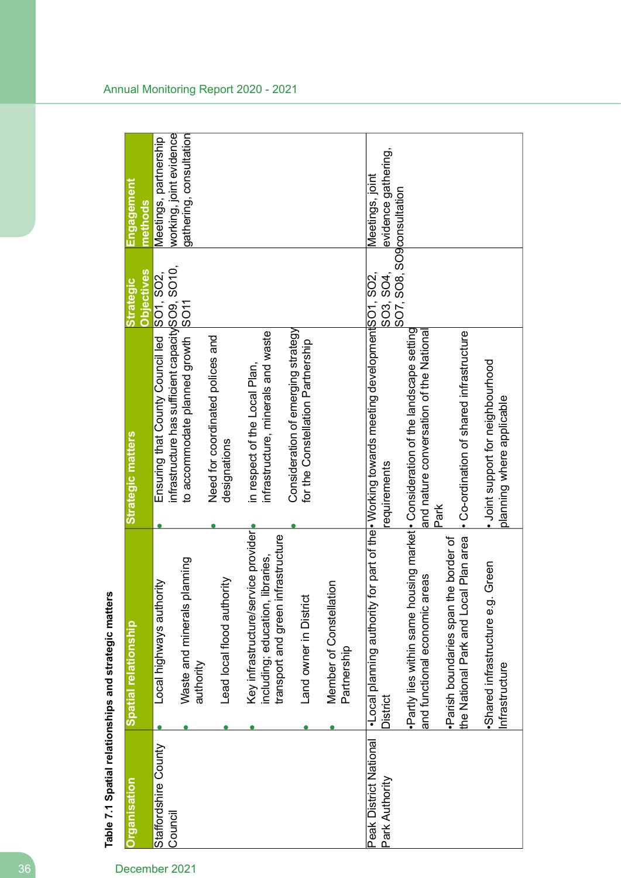| Organisation                             | Spatial relationship                                                                                                   | <b>Strategic matters</b>                                                                                        | <b>Objectives</b><br><b>Strategic</b> | <u>Engagement</u><br>methods                     |
|------------------------------------------|------------------------------------------------------------------------------------------------------------------------|-----------------------------------------------------------------------------------------------------------------|---------------------------------------|--------------------------------------------------|
| Staffordshire County<br>Council          | Local highways authority                                                                                               | infrastructure has sufficient capacity SO <sub>9</sub> , SO <sub>10</sub> ,<br>Ensuring that County Council led | SO1, SO2,                             | working, joint evidence<br>Meetings, partnership |
|                                          | Waste and minerals planning<br>authority                                                                               | to accommodate planned growth SO11                                                                              |                                       | gathering, consultation                          |
|                                          | Lead local flood authority                                                                                             | Need for coordinated polices and<br>designations                                                                |                                       |                                                  |
|                                          | Key infrastructure/service provider <br>nfrastructure<br>libraries,<br>transport and green in<br>including; education, | infrastructure, minerals and waste<br>in respect of the Local Plan,                                             |                                       |                                                  |
|                                          | Land owner in District                                                                                                 | Consideration of emerging strategy<br>for the Constellation Partnership                                         |                                       |                                                  |
|                                          | tion<br>Member of Constellat<br>Partnership                                                                            |                                                                                                                 |                                       |                                                  |
| Peak District National<br>Park Authority | •Local planning authority<br>District                                                                                  | for part of the <b>Working towards meeting development</b> SO1, SO2,<br>equirements                             | SO3, SO4,                             | evidence gathering,<br>Meetings, joint           |
|                                          | ·Partly lies within same housing market · Consideration of the landscape setting<br>and functional economic areas      | and nature conversation of the National                                                                         | SO7, SO8, SO9consultation             |                                                  |
|                                          | the National Park and Local Plan area<br>Parish boundaries span the border of                                          | • Co-ordination of shared infrastructure<br>Park                                                                |                                       |                                                  |
|                                          | Green<br>·Shared infrastructure e.g.<br>Infrastructure                                                                 | · Joint support for neighbourhood<br>planning where applicable                                                  |                                       |                                                  |
|                                          |                                                                                                                        |                                                                                                                 |                                       |                                                  |

Table 7.1 Spatial relationships and strategic matters **Table 7.1 Spatial relationships and strategic matters**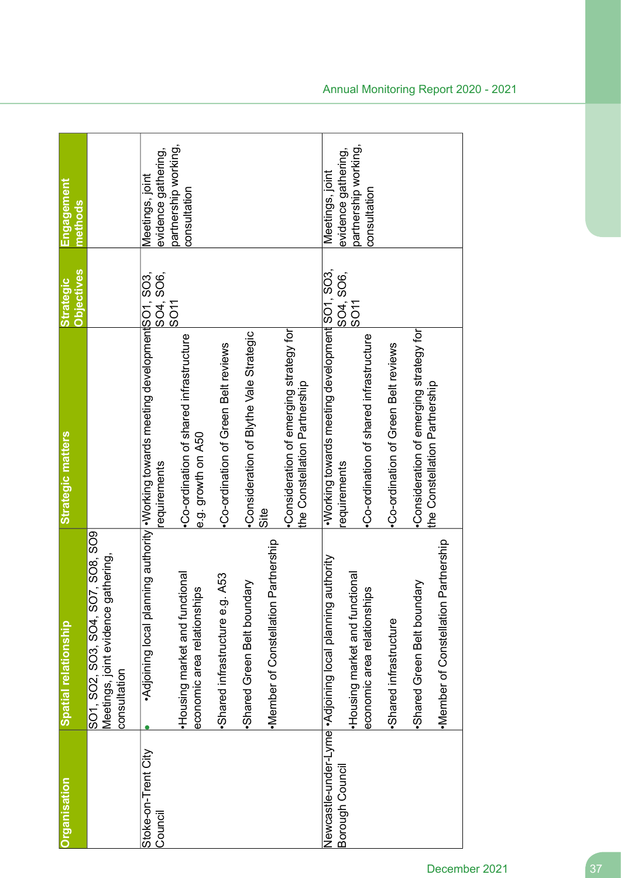| <b>Organisation</b>            | Spatial relationship                                                                     | <b>Strategic matters</b>                                                      | <b>Objectives</b><br><b>Strategic</b> | Engagement<br>methods                  |
|--------------------------------|------------------------------------------------------------------------------------------|-------------------------------------------------------------------------------|---------------------------------------|----------------------------------------|
|                                | SO1, SO2, SO3, SO4, SO7, SO8, SO9<br>Meetings, joint evidence gathering,<br>consultation |                                                                               |                                       |                                        |
| Stoke-on-Trent City<br>Council | Adjoining local planr                                                                    | on SOO, COMPLED CONSTRATE STATE CONTROLS AND CONTROLLER SOONS<br>requirements | SO4, SO6,<br><b>SO11</b>              | evidence gathering,<br>Meetings, joint |
|                                | Housing market and functional<br>economic area relationships                             | -Co-ordination of shared infrastructure<br>e.g. growth on A50                 |                                       | partnership working,<br>consultation   |
|                                | A53<br>Shared infrastructure e.g.                                                        | Co-ordination of Green Belt reviews                                           |                                       |                                        |
|                                | <b>Ngl</b><br>Shared Green Belt bound                                                    | Consideration of Blythe Vale Strategic                                        |                                       |                                        |
|                                | Partnership<br>·Member of Constellation                                                  | Site                                                                          |                                       |                                        |
|                                |                                                                                          | •Consideration of emerging strategy for<br>the Constellation Partnership      |                                       |                                        |
| Borough Council                | Newcastle-under-Lyme • Adjoining local planning authority                                | • Voltaria development or and SOS.<br>equirements                             | SO4, SO6,                             | evidence gathering,<br>Meetings, joint |
|                                | Housing market and functional<br>economic area relationships                             | Co-ordination of shared infrastructure                                        | <b>SO11</b>                           | partnership working,<br>consultation   |
|                                | ·Shared infrastructure                                                                   | Co-ordination of Green Belt reviews                                           |                                       |                                        |
|                                | Partnership<br>lary<br>Shared Green Belt bound<br>·Member of Constellation               | Consideration of emerging strategy for<br>the Constellation Partnership       |                                       |                                        |
|                                |                                                                                          |                                                                               |                                       |                                        |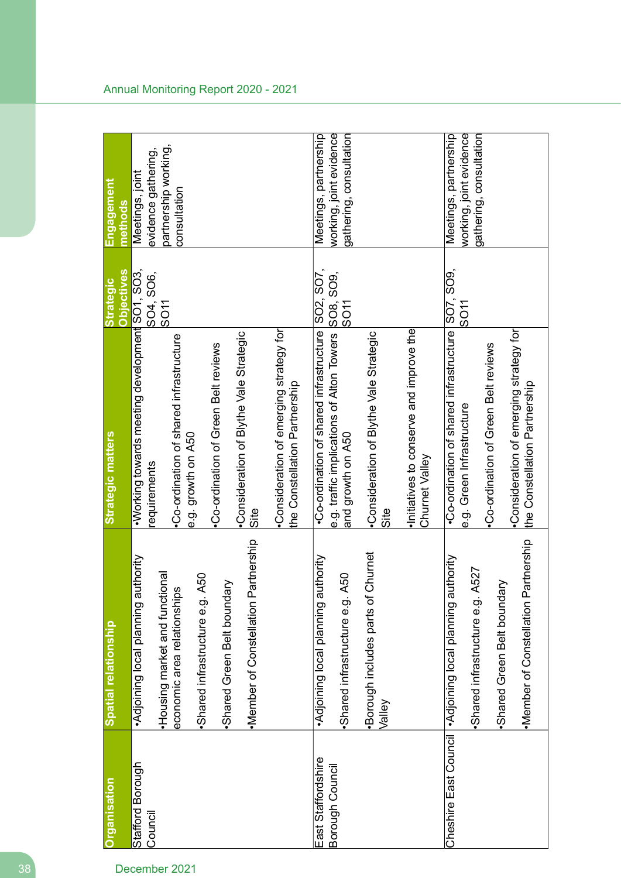| Organisation                          | Spatial relationship                                                                                                                                                                                                         | Strategic matters                                                                                                                                                                                                                                                                                    | <b>Objectives</b><br><b>Strategic</b> | Engagement<br>methods                                                          |
|---------------------------------------|------------------------------------------------------------------------------------------------------------------------------------------------------------------------------------------------------------------------------|------------------------------------------------------------------------------------------------------------------------------------------------------------------------------------------------------------------------------------------------------------------------------------------------------|---------------------------------------|--------------------------------------------------------------------------------|
| Stafford Borough<br>Council           | Partnership<br>authority<br>Housing market and functional<br><b>1. A50</b><br>Shared Green Belt boundary<br>economic area relationships<br>Adjoining local planning<br>Shared infrastructure e.g<br>·Member of Constellation | . Working towards meeting development SO1, SO3,<br>•Consideration of emerging strategy for<br>Consideration of Blythe Vale Strategic<br>Co-ordination of shared infrastructure<br>Co-ordination of Green Belt reviews<br>the Constellation Partnership<br>e.g. growth on A50<br>requirements<br>Site | SO4, SO6,<br><b>SO11</b>              | partnership working,<br>evidence gathering,<br>Meetings, joint<br>consultation |
| East Staffordshire<br>Borough Council | ·Borough includes parts of Churnet<br>authority<br><b>1. A50</b><br>Adjoining local planning<br>Shared infrastructure e.g<br>Valley                                                                                          | e.g. traffic implications of Alton Towers SO8, SO9,<br>•Co-ordination of shared infrastructure<br>Initiatives to conserve and improve the<br>Consideration of Blythe Vale Strategic<br>and growth on A50<br>Churnet Valley<br>Site                                                                   | SO2, SO7,<br>IPO <sub>11</sub>        | working, joint evidence<br>Meetings, partnership<br>gathering, consultation    |
|                                       | Partnership<br>authority<br><b>J. A527</b><br>Shared Green Belt boundary<br>Cheshire East Council   ^Adjoining local planning<br>Shared infrastructure e.g<br>·Member of Constellation                                       | .Co-ordination of shared infrastructure SO7, SO9,<br>Consideration of emerging strategy for<br>Co-ordination of Green Belt reviews<br>the Constellation Partnership<br>e.g. Green Infrastructure                                                                                                     | SO11                                  | working, joint evidence<br>Meetings, partnership<br>gathering, consultation    |

#### Annual Monitoring Report 2020 - 2021

# 38 December 2021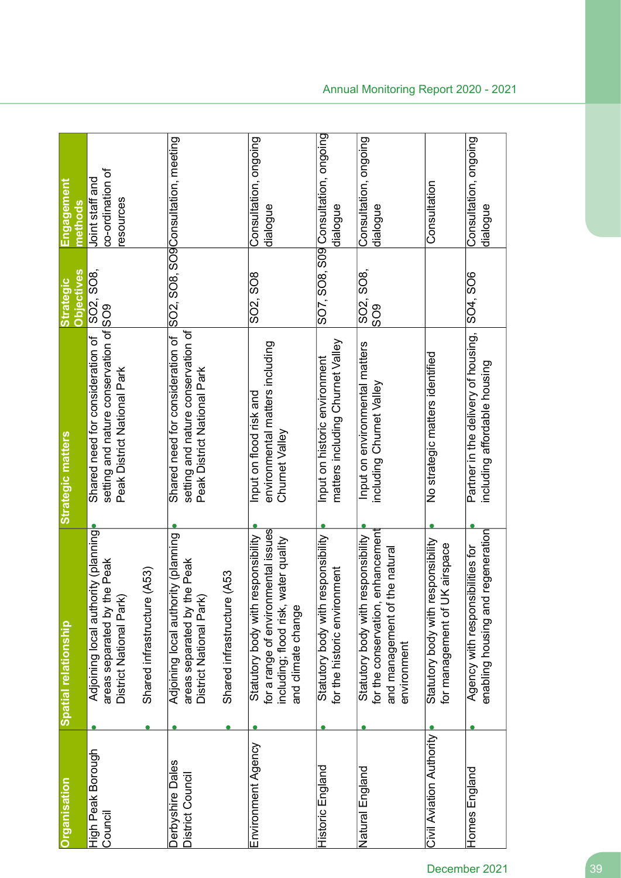| <b>Organisation</b>                  | Spatial relationship                                                                                                                    | Strategic matters                                                                                         | <b>Objectives</b><br><b>Strategic</b> | <u>Engagement</u><br>methods                    |
|--------------------------------------|-----------------------------------------------------------------------------------------------------------------------------------------|-----------------------------------------------------------------------------------------------------------|---------------------------------------|-------------------------------------------------|
| High Peak Borough<br>Council         | Adjoining local authority (planning)<br>areas separated by the Peak<br>District National Park                                           | setting and nature conservation of SO9<br>Shared need for consideration of<br>Peak District National Park | SO2, SO8,                             | co-ordination of<br>Joint staff and<br>esources |
|                                      | (A53)<br>Shared infrastructure                                                                                                          |                                                                                                           |                                       |                                                 |
| Derbyshire Dales<br>District Council | Adjoining local authority (planning<br>areas separated by the Peak<br>District National Park)                                           | setting and nature conservation of<br>Shared need for consideration of<br>Peak District National Park     |                                       | SO2, SO8, SO9Consultation, meeting              |
|                                      | (A53<br>Shared infrastructure                                                                                                           |                                                                                                           |                                       |                                                 |
| Environment Agency                   | for a range of environmental issues<br>Statutory body with responsibility<br>including; flood risk, water quality<br>and climate change | environmental matters including<br>Input on flood risk and<br>Churnet Valley                              | SO2, SO8                              | Consultation, ongoing<br>dialogue               |
| Historic England                     | Statutory body with responsibility<br>for the historic environment                                                                      | matters including Churnet Valley<br>Input on historic environment                                         |                                       | SO7, SO8, S09 Consultation, ongoing<br>dialogue |
| Natural England                      | enhancement<br>Statutory body with responsibility<br>the natural<br>and management of<br>for the conservation,<br>environment           | Input on environmental matters<br>including Churnet Valley                                                | SO8,<br>SO2,<br>809                   | Consultation, ongoing<br>dialogue               |
| Civil Aviation Authority             | Statutory body with responsibility<br>for management of UK airspace                                                                     | No strategic matters identified                                                                           |                                       | Consultation                                    |
| Homes England                        | regeneration<br>Agency with responsibilities for<br>enabling housing and                                                                | Partner in the delivery of housing,<br>including affordable housing                                       | SO4, SO6                              | Consultation, ongoing<br>dialogue               |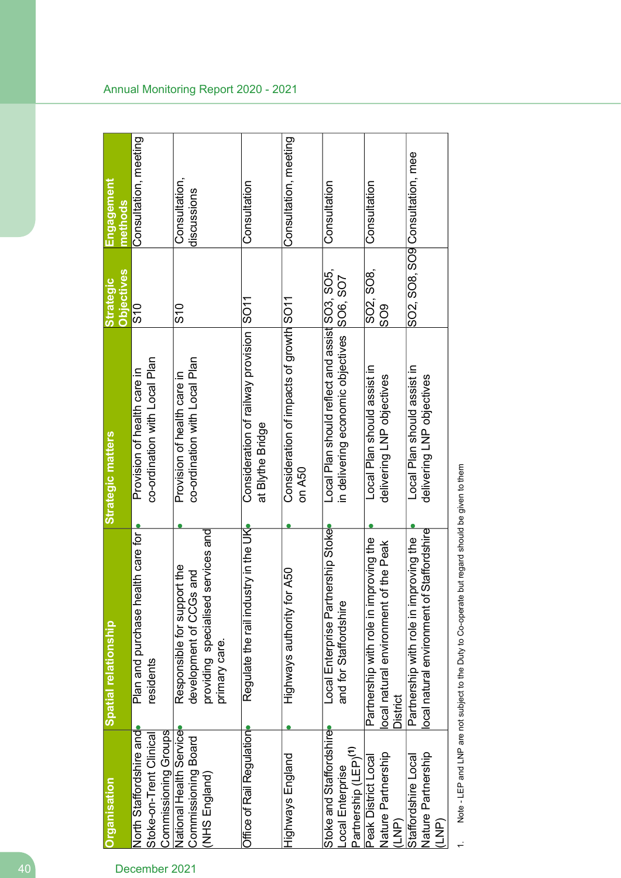| Spatial relationship                                                                                              | <b>Strategic matters</b>                                     | <b>Objectives</b><br><b>Strategic</b> | Engagement<br>methods                                                                                              |
|-------------------------------------------------------------------------------------------------------------------|--------------------------------------------------------------|---------------------------------------|--------------------------------------------------------------------------------------------------------------------|
| lealth care for<br>Plan and purchase h<br>residents                                                               | co-ordination with Local Plan<br>Provision of health care in | $\frac{0}{2}$                         | Consultation, meeting                                                                                              |
| d services and<br>Responsible for support the<br>development of CCGs and<br>providing specialise<br>primary care. | co-ordination with Local Plan<br>Provision of health care in | $\frac{6}{5}$                         | Consultation,<br>discussions                                                                                       |
| Regulate the rail ind                                                                                             | Consideration of railway provision<br>at Blythe Bridge       | SO11                                  | Consultation                                                                                                       |
| Highways authority for A50                                                                                        | on A50                                                       |                                       | Consultation, meeting                                                                                              |
| Local Enterprise Partnership Stoke<br>and for Staffordshire                                                       | in delivering economic objectives                            |                                       | Consultation                                                                                                       |
| Partnership with role in improving the<br>of the Peak<br>ocal natural environment<br>District                     | Local Plan should assist in<br>delivering LNP objectives     | $\frac{8}{2}$                         | Consultation                                                                                                       |
| of Staffordshire<br>Partnership with role in improving the<br>ocal natural environment                            | Local Plan should assist in<br>delivering LNP objectives     |                                       | SO2, SO8, SO9 Consultation, mee                                                                                    |
|                                                                                                                   | ustry in the UK                                              |                                       | SO2, SO8,<br>Local Plan should reflect and assist SO3, SO5,<br>SO6, SO7<br>Consideration of impacts of growth SO11 |

Note - LEP and LNP are not subject to the Duty to Co-operate but regard should be given to them 1. Note - LEP and LNP are not subject to the Duty to Co-operate but regard should be given to them

 $\leftarrow$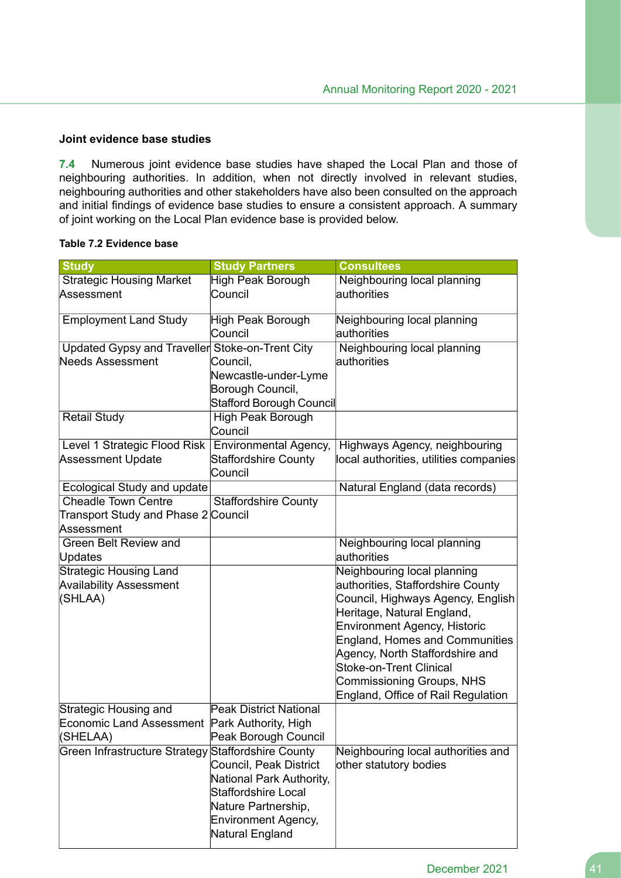# **Joint evidence base studies**

**7.4** Numerous joint evidence base studies have shaped the Local Plan and those of neighbouring authorities. In addition, when not directly involved in relevant studies, neighbouring authorities and other stakeholders have also been consulted on the approach and initial findings of evidence base studies to ensure a consistent approach. A summary of joint working on the Local Plan evidence base is provided below.

#### **Table 7.2 Evidence base**

| <b>Study</b>                                    | <b>Study Partners</b>                  | <b>Consultees</b>                      |
|-------------------------------------------------|----------------------------------------|----------------------------------------|
| <b>Strategic Housing Market</b>                 | High Peak Borough                      | Neighbouring local planning            |
| Assessment                                      | Council                                | authorities                            |
| <b>Employment Land Study</b>                    | High Peak Borough                      | Neighbouring local planning            |
|                                                 | Council                                | authorities                            |
| Updated Gypsy and Traveller Stoke-on-Trent City |                                        | Neighbouring local planning            |
| <b>Needs Assessment</b>                         | Council,                               | authorities                            |
|                                                 | Newcastle-under-Lyme                   |                                        |
|                                                 | Borough Council,                       |                                        |
|                                                 | Stafford Borough Council               |                                        |
| <b>Retail Study</b>                             | <b>High Peak Borough</b>               |                                        |
|                                                 | Council                                |                                        |
| Level 1 Strategic Flood Risk                    | Environmental Agency,                  | Highways Agency, neighbouring          |
| Assessment Update                               | <b>Staffordshire County</b><br>Council | local authorities, utilities companies |
| Ecological Study and update                     |                                        | Natural England (data records)         |
| <b>Cheadle Town Centre</b>                      | <b>Staffordshire County</b>            |                                        |
| Transport Study and Phase 2 Council             |                                        |                                        |
| Assessment                                      |                                        |                                        |
| Green Belt Review and                           |                                        | Neighbouring local planning            |
| Updates                                         |                                        | authorities                            |
| <b>Strategic Housing Land</b>                   |                                        | Neighbouring local planning            |
| <b>Availability Assessment</b>                  |                                        | authorities, Staffordshire County      |
| (SHLAA)                                         |                                        | Council, Highways Agency, English      |
|                                                 |                                        | Heritage, Natural England,             |
|                                                 |                                        | Environment Agency, Historic           |
|                                                 |                                        | <b>England, Homes and Communities</b>  |
|                                                 |                                        | Agency, North Staffordshire and        |
|                                                 |                                        | <b>Stoke-on-Trent Clinical</b>         |
|                                                 |                                        | <b>Commissioning Groups, NHS</b>       |
|                                                 |                                        | England, Office of Rail Regulation     |
| Strategic Housing and                           | <b>Peak District National</b>          |                                        |
| <b>Economic Land Assessment</b>                 | Park Authority, High                   |                                        |
| (SHELAA)                                        | Peak Borough Council                   |                                        |
| <b>Green Infrastructure Strategy</b>            | <b>Staffordshire County</b>            | Neighbouring local authorities and     |
|                                                 | Council, Peak District                 | other statutory bodies                 |
|                                                 | National Park Authority,               |                                        |
|                                                 | Staffordshire Local                    |                                        |
|                                                 | Nature Partnership,                    |                                        |
|                                                 | <b>Environment Agency,</b>             |                                        |
|                                                 | Natural England                        |                                        |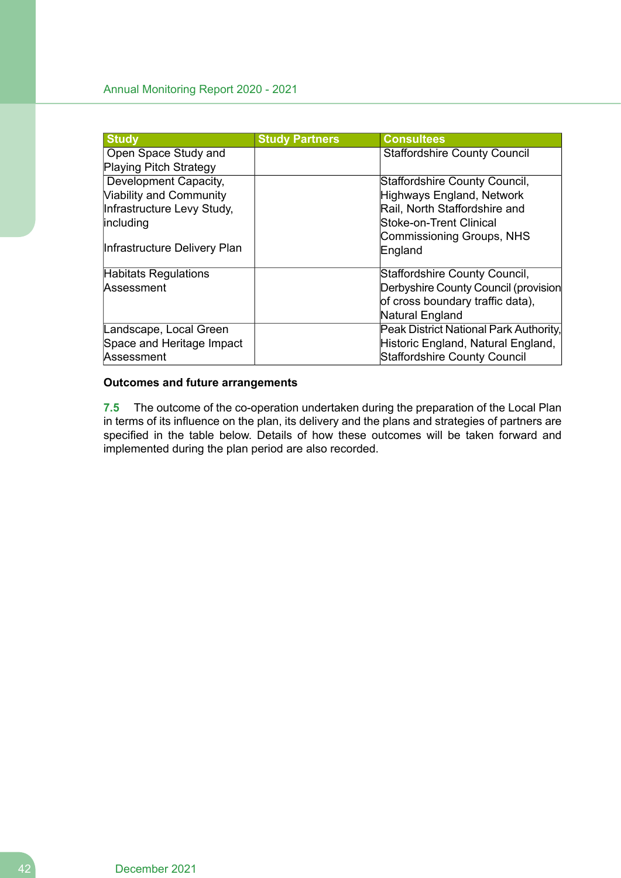| <b>Study</b>                   | <b>Study Partners</b> | <b>Consultees</b>                      |
|--------------------------------|-----------------------|----------------------------------------|
| Open Space Study and           |                       | <b>Staffordshire County Council</b>    |
| <b>Playing Pitch Strategy</b>  |                       |                                        |
| Development Capacity,          |                       | Staffordshire County Council,          |
| <b>Viability and Community</b> |                       | Highways England, Network              |
| Infrastructure Levy Study,     |                       | Rail, North Staffordshire and          |
| including                      |                       | Stoke-on-Trent Clinical                |
|                                |                       | Commissioning Groups, NHS              |
| Infrastructure Delivery Plan   |                       | England                                |
| <b>Habitats Regulations</b>    |                       | Staffordshire County Council,          |
| Assessment                     |                       | Derbyshire County Council (provision   |
|                                |                       | of cross boundary traffic data),       |
|                                |                       | Natural England                        |
| Landscape, Local Green         |                       | Peak District National Park Authority, |
| Space and Heritage Impact      |                       | Historic England, Natural England,     |
| Assessment                     |                       | <b>Staffordshire County Council</b>    |

# **Outcomes and future arrangements**

**7.5** The outcome of the co-operation undertaken during the preparation of the Local Plan in terms of its influence on the plan, its delivery and the plans and strategies of partners are specified in the table below. Details of how these outcomes will be taken forward and implemented during the plan period are also recorded.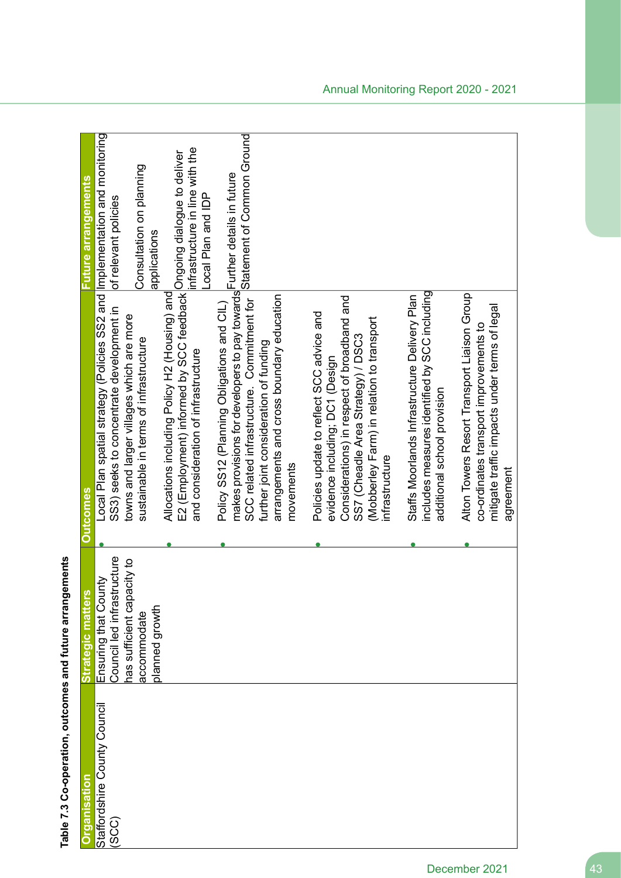| Future arrangements | of relevant policies                                                                                                    | Consultation on planning<br>applications                                           | infrastructure in line with the<br>Local Plan and IDP                                                                                                        | Statement of Common Ground                                                                                                                                                                                     |                                                        |                                                                                                                                                                                                                                  |                                                                                                                               |                                                                                                                                                     |
|---------------------|-------------------------------------------------------------------------------------------------------------------------|------------------------------------------------------------------------------------|--------------------------------------------------------------------------------------------------------------------------------------------------------------|----------------------------------------------------------------------------------------------------------------------------------------------------------------------------------------------------------------|--------------------------------------------------------|----------------------------------------------------------------------------------------------------------------------------------------------------------------------------------------------------------------------------------|-------------------------------------------------------------------------------------------------------------------------------|-----------------------------------------------------------------------------------------------------------------------------------------------------|
| <b>Qutcomes</b>     | Local Plan spatial strategy (Policies SS2 and Implementation and monitoring<br>SS3) seeks to concentrate development in | towns and larger villages which are more<br>sustainable in terms of infrastructure | E2 (Employment) informed by SCC feedback Ongoing dialogue to deliver<br>Allocations including Policy H2 (Housing) and<br>and consideration of infrastructure | makes provisions for developers to pay towards Further details in future<br>SCC related infrastructure. Commitment for<br>Policy SS12 (Planning Obligations and CIL)<br>further joint consideration of funding | arrangements and cross boundary education<br>movements | Considerations) in respect of broadband and<br>Policies update to reflect SCC advice and<br>(Mobberley Farm) in relation to transport<br>SS7 (Cheadle Area Strategy) / DSC3<br>evidence including; DC1 (Design<br>infrastructure | includes measures identified by SCC including<br>Staffs Moorlands Infrastructure Delivery Plan<br>additional school provision | Alton Towers Resort Transport Liaison Group<br>mitigate traffic impacts under terms of legal<br>co-ordinates transport improvements to<br>agreement |
| Strategic matter    | Ensuring that County<br>Council led infrastructure                                                                      | nas sufficient capacity to<br>planned growth<br>accommodate                        |                                                                                                                                                              |                                                                                                                                                                                                                |                                                        |                                                                                                                                                                                                                                  |                                                                                                                               |                                                                                                                                                     |
| <b>Organisation</b> | Staffordshire County Council<br>(SCC)                                                                                   |                                                                                    |                                                                                                                                                              |                                                                                                                                                                                                                |                                                        |                                                                                                                                                                                                                                  |                                                                                                                               |                                                                                                                                                     |

Table 7.3 Co-operation, outcomes and future arrangements **Table 7.3 Co-operation, outcomes and future arrangements**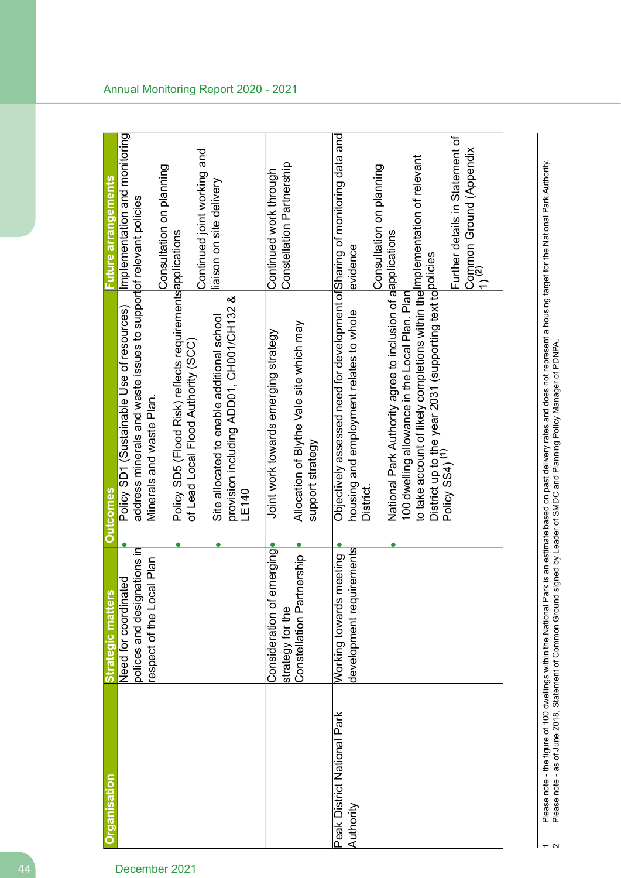|                                          | <b>Strategic matters</b>                                     | comes                                                                                                                                                                                                                                 | uture arrangements                                                              |
|------------------------------------------|--------------------------------------------------------------|---------------------------------------------------------------------------------------------------------------------------------------------------------------------------------------------------------------------------------------|---------------------------------------------------------------------------------|
|                                          | Need for coordinated                                         | Policy SD1 (Sustainable Use of resources)                                                                                                                                                                                             | Implementation and monitoring                                                   |
|                                          | nations in<br>respect of the Local Plan<br>polices and desig | address minerals and waste issues to supportof relevant policies<br>Minerals and waste Plan.                                                                                                                                          |                                                                                 |
|                                          |                                                              |                                                                                                                                                                                                                                       | Consultation on planning                                                        |
|                                          |                                                              | Policy SD5 (Flood Risk) reflects requirements applications<br>of Lead Local Flood Authority (SCC)                                                                                                                                     | Continued joint working and                                                     |
|                                          |                                                              | provision including ADD01/CH132 &<br>Site allocated to enable additional school<br>LE140                                                                                                                                              | liaison on site delivery                                                        |
|                                          | emerging<br>Consideration of                                 | Joint work towards emerging strategy                                                                                                                                                                                                  | Continued work through                                                          |
|                                          | tnership<br>Constellation Par<br>strategy for the            | Allocation of Blythe Vale site which may<br>support strategy                                                                                                                                                                          | Constellation Partnership                                                       |
| Peak District National Park<br>Authority | development requirements<br>meeting<br>Working towards       | Objectively assessed need for development of Sharing of monitoring data and<br>housing and employment relates to whole<br>District                                                                                                    | evidence                                                                        |
|                                          |                                                              | National Park Authority agree to inclusion of alapplications                                                                                                                                                                          | Consultation on planning                                                        |
|                                          |                                                              | to take account of likely completions within the Implementation of relevant<br>District up to the year 2031 (supporting text to <mark>policies</mark><br>Policy SS4) <sup>(1)</sup><br>100 dwelling allowance in the Local Plan. Plan |                                                                                 |
|                                          |                                                              |                                                                                                                                                                                                                                       | Further details in Statement of<br>Common Ground (Appendix<br>1) <sup>(2)</sup> |

Please note - the figure of 100 dwellings within the National Park is an estimate based on past delivery rates and does not represent a housing target for the National Park Authority.<br>Please note - as of June 2018, Stateme Please note - the figure of 100 dwellings within the National Park is an estimate based on past delivery rates and does not represent a housing target for the National Park Authority. Please note - as of June 2018, Statement of Common Ground signed by Leader of SMDC and Planning Policy Manager of PDNPA.

 $\overline{\phantom{a}}$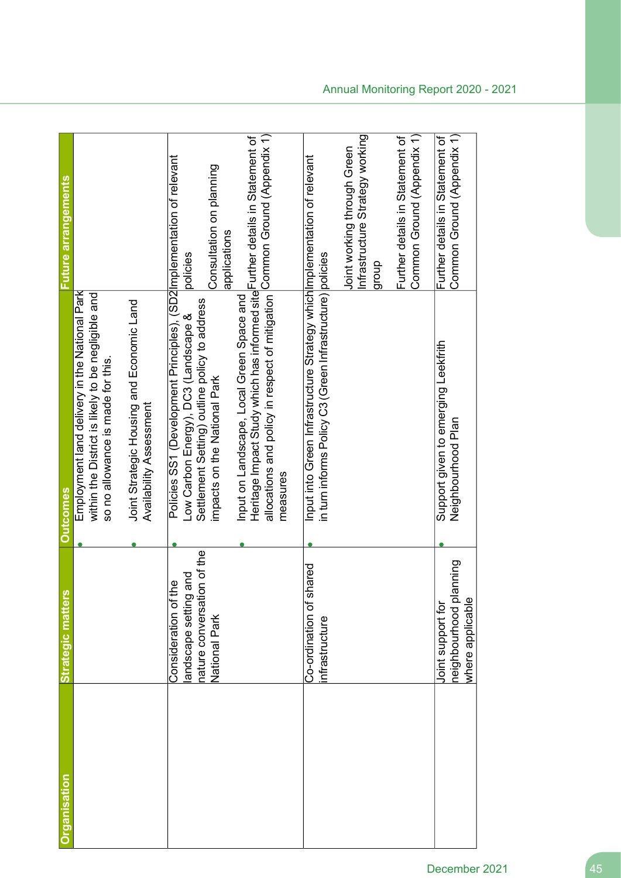| Organisation | <b>Strategic matters</b>                                                                              | <b>Outcomes</b>                                                                                                                                                                                                      | <b>-uture arrangements</b>                                               |
|--------------|-------------------------------------------------------------------------------------------------------|----------------------------------------------------------------------------------------------------------------------------------------------------------------------------------------------------------------------|--------------------------------------------------------------------------|
|              |                                                                                                       | Employment land delivery in the National Park<br>within the District is likely to be negligible and<br>so no allowance is made for this.                                                                             |                                                                          |
|              |                                                                                                       | Joint Strategic Housing and Economic Land<br>Availability Assessment                                                                                                                                                 |                                                                          |
|              | nature conversation of the<br>and<br>e<br>At<br>andscape setting<br>Consideration of<br>National Park | Policies SS1 (Development Principles), (SD2 Implementation of relevant<br>Settlement Setting) outline policy to address<br>Low Carbon Energy), DC3 (Landscape &<br>impacts on the National Park                      | Consultation on planning<br>applications<br>policies                     |
|              |                                                                                                       | allocations and policy in respect of mitigation Common Ground (Appendix 1)<br>Heritage Impact Study which has informed site Further details in Statement of<br>Input on Landscape, Local Green Space and<br>measures |                                                                          |
|              | Co-ordination of shared<br>nfrastructure                                                              | Input into Green Infrastructure Strategy which Implementation of relevant<br>in turn informs Policy C3 (Green Infrastructure) policies                                                                               |                                                                          |
|              |                                                                                                       |                                                                                                                                                                                                                      | Infrastructure Strategy working<br>Joint working through Green<br>dho.fa |
|              |                                                                                                       |                                                                                                                                                                                                                      | Common Ground (Appendix 1)<br>Further details in Statement of            |
|              | anning<br>where applicable<br>neighbourhood pl<br>Joint support for                                   | Support given to emerging Leekfrith<br>Neighbourhood Plan                                                                                                                                                            | Common Ground (Appendix 1)<br>Further details in Statement of            |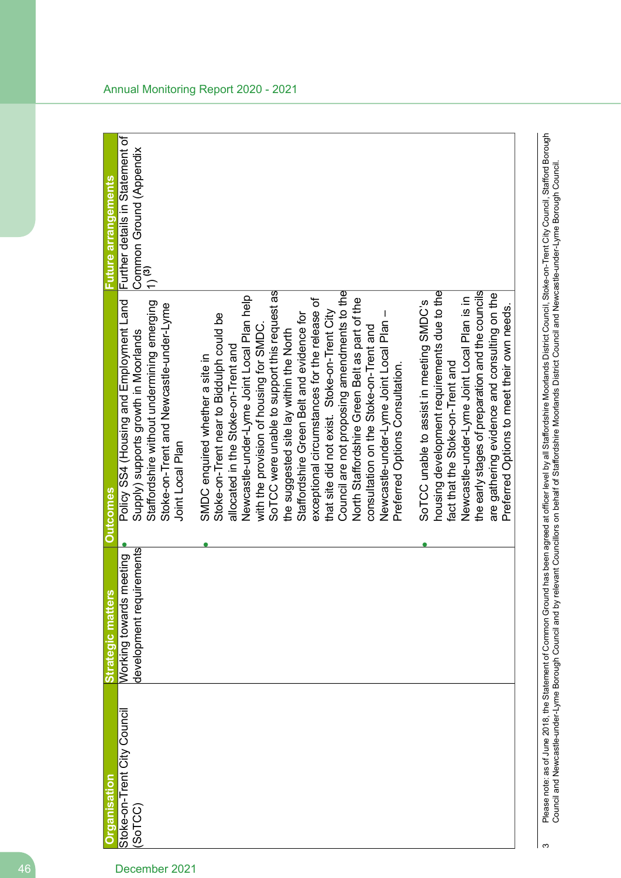| <b>Organisation</b>         | <b>Strategic matters</b> | <b>Outcomes</b>                                  | <b>Future arrangements</b>                   |
|-----------------------------|--------------------------|--------------------------------------------------|----------------------------------------------|
| Stoke-on-Trent City Council | Working towards meeting  | Policy SS4 (Housing and Employment Land          | Further details in Statement of              |
| (SoTCC)                     | development requirements | Supply) supports growth in Moorlands             | Common Ground (Appendix<br>1) <sup>(3)</sup> |
|                             |                          | Staffordshire without undermining emerging       |                                              |
|                             |                          | Stoke-on-Trent and Newcastle-under-Lyme          |                                              |
|                             |                          | Joint Local Plan                                 |                                              |
|                             |                          | SMDC enquired whether a site in                  |                                              |
|                             |                          | Stoke-on-Trent near to Biddulph could be         |                                              |
|                             |                          | allocated in the Stoke-on-Trent and              |                                              |
|                             |                          | Newcastle-under-Lyme Joint Local Plan help       |                                              |
|                             |                          | with the provision of housing for SMDC.          |                                              |
|                             |                          | SoTCC were unable to support this request as     |                                              |
|                             |                          | the suggested site lay within the North          |                                              |
|                             |                          | Staffordshire Green Belt and evidence for        |                                              |
|                             |                          | exceptional circumstances for the release of     |                                              |
|                             |                          | that site did not exist. Stoke-on-Trent City     |                                              |
|                             |                          | Council are not proposing amendments to the      |                                              |
|                             |                          | North Staffordshire Green Belt as part of the    |                                              |
|                             |                          | consultation on the Stoke-on-Trent and           |                                              |
|                             |                          | Newcastle-under-Lyme Joint Local Plan -          |                                              |
|                             |                          | Preferred Options Consultation.                  |                                              |
|                             |                          | SoTCC unable to assist in meeting SMDC's         |                                              |
|                             |                          | housing development requirements due to the      |                                              |
|                             |                          | fact that the Stoke-on-Trent and                 |                                              |
|                             |                          | Newcastle-under-Lyme Joint Local Plan is in      |                                              |
|                             |                          | the early stages of preparation and the councils |                                              |
|                             |                          | are gathering evidence and consulting on the     |                                              |
|                             |                          | Preferred Options to meet their own needs.       |                                              |

Please note: as of June 2018, the Statement of Common Ground has been agreed at officer level by all Staffordshire Moorlands District Council, Stoke-on-Trent City Council, Stafford Borough<br>Council and Newcastle-under-Lyme Please note: as of June 2018, the Statement of current of Common Ground of Common Ground has been agreed at othcer at officer level by all Staffordshire Moorlands District Council, Stafford Borough<br>3 Council and Newcastle-under-Lyme Borough Council and be a staffordshire Staffordshire on behalf Grands on behalf Council and New Porough Council and Newcastle-under-Lyme Borough Council.

 $\infty$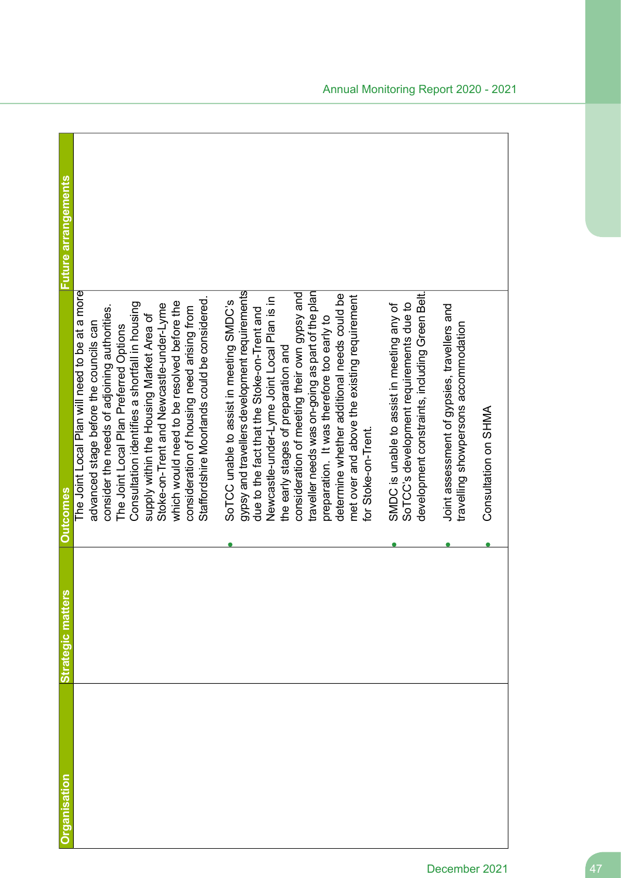| Organisation | Strategic matter | <b>Qutcomes</b>                                                                                                                                                                                                                                                                                                                                                                                                                                                                                       | Future arrangements |
|--------------|------------------|-------------------------------------------------------------------------------------------------------------------------------------------------------------------------------------------------------------------------------------------------------------------------------------------------------------------------------------------------------------------------------------------------------------------------------------------------------------------------------------------------------|---------------------|
|              |                  | The Joint Local Plan will need to be at a more<br>Staffordshire Moorlands could be considered.<br>which would need to be resolved before the<br>Consultation identifies a shortfall in housing<br>Stoke-on-Trent and Newcastle-under-Lyme<br>consider the needs of adjoining authorities.<br>consideration of housing need arising from<br>supply within the Housing Market Area of<br>advanced stage before the councils can<br>The Joint Local Plan Preferred Options                               |                     |
|              |                  | gypsy and travellers development requirements<br>traveller needs was on-going as part of the plan<br>consideration of meeting their own gypsy and<br>determine whether additional needs could be<br>met over and above the existing requirement<br>Newcastle-under-Lyme Joint Local Plan is in<br>SoTCC unable to assist in meeting SMDC's<br>due to the fact that the Stoke-on-Trent and<br>preparation. It was therefore too early to<br>the early stages of preparation and<br>for Stoke-on-Trent. |                     |
|              |                  | development constraints, including Green Belt.<br>SoTCC's development requirements due to<br>SMDC is unable to assist in meeting any of                                                                                                                                                                                                                                                                                                                                                               |                     |
|              |                  | Joint assessment of gypsies, travellers and<br>travelling showpersons accommodation<br>Consultation on SHMA                                                                                                                                                                                                                                                                                                                                                                                           |                     |
|              |                  |                                                                                                                                                                                                                                                                                                                                                                                                                                                                                                       |                     |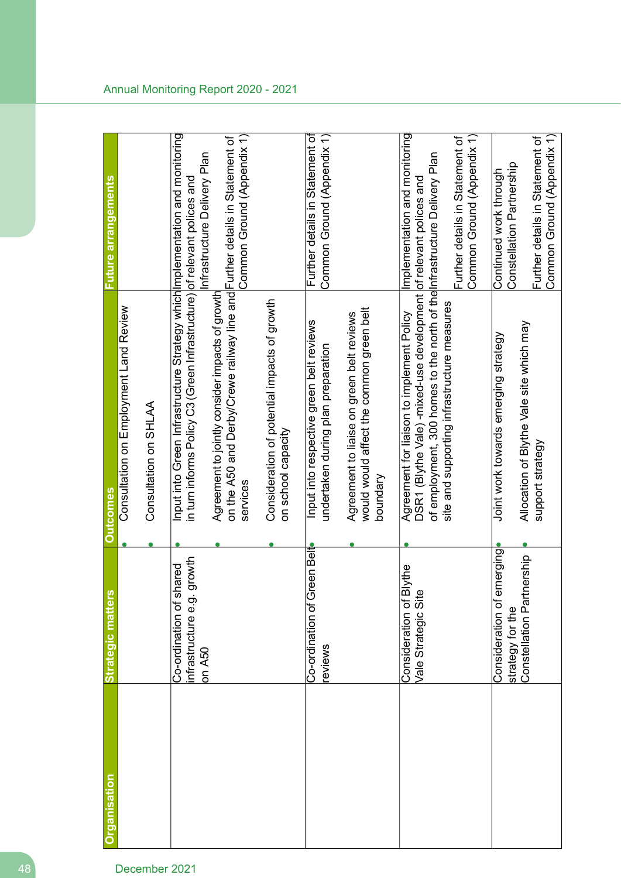| <b>Organisation</b> | <b>Strategic matters</b>                                | <b>Outcomes</b>                                                                                                                                                                            | <b>Future arrangements</b>                                    |
|---------------------|---------------------------------------------------------|--------------------------------------------------------------------------------------------------------------------------------------------------------------------------------------------|---------------------------------------------------------------|
|                     |                                                         | Consultation on Employment Land Review                                                                                                                                                     |                                                               |
|                     |                                                         | Consultation on SHLAA                                                                                                                                                                      |                                                               |
|                     | growth<br>Co-ordination of shared<br>nfrastructure e.g. | Input into Green Infrastructure Strategy which Implementation and monitoring<br>in turn informs Policy C3 (Green Infrastructure) of relevant polices and                                   |                                                               |
|                     | on A50                                                  | on the A50 and Derby/Crewe railway line and Further details in Statement of<br>Agreement to jointly consider impacts of growth<br>services                                                 | Common Ground (Appendix 1)<br>Infrastructure Delivery Plan    |
|                     |                                                         | Consideration of potential impacts of growth<br>on school capacity                                                                                                                         |                                                               |
|                     | ireen Belt<br>Co-ordination of G<br>eviews              | Input into respective green belt reviews<br>undertaken during plan preparation                                                                                                             | Further details in Statement of<br>Common Ground (Appendix 1) |
|                     |                                                         | would would affect the common green belt<br>Agreement to liaise on green belt reviews<br>boundary                                                                                          |                                                               |
|                     | <b>Blythe</b><br>Vale Strategic Sit<br>Consideration of | of employment, 300 homes to the north of the Infrastructure Delivery Plan<br>DSR1 (Blythe Vale)-mixed-use development of relevant polices and<br>Agreement for liaison to implement Policy | Implementation and monitoring                                 |
|                     |                                                         | site and supporting infrastructure measures                                                                                                                                                | Common Ground (Appendix 1)<br>Further details in Statement of |
|                     | emerging<br>Consideration of<br>strategy for the        | Joint work towards emerging strategy                                                                                                                                                       | Constellation Partnership<br>Continued work through           |
|                     | tnership<br>Constellation Part                          | Allocation of Blythe Vale site which may<br>support strategy                                                                                                                               | Common Ground (Appendix 1)<br>Further details in Statement of |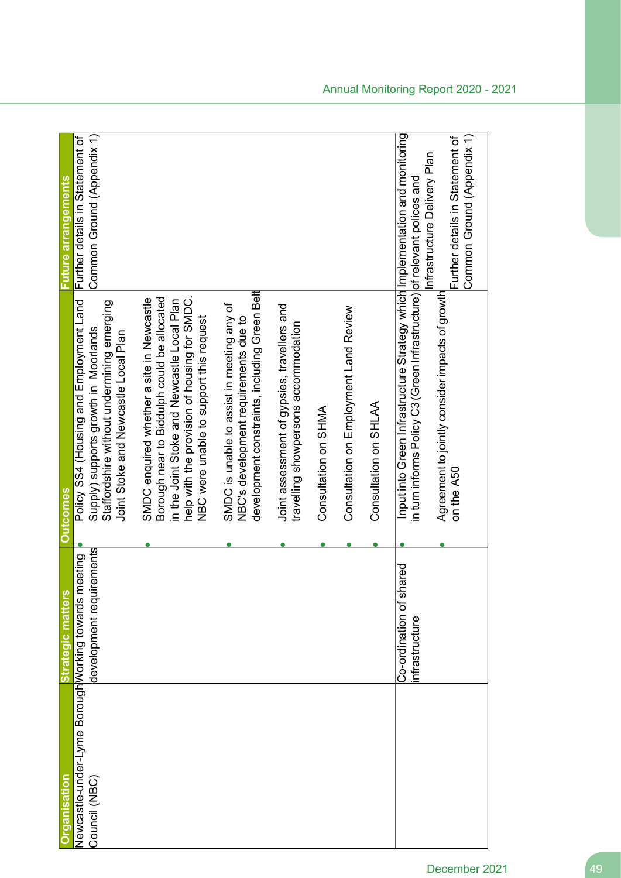| rganisation                                                   |                                                                 |                                                                                                                                                                                                                                    |                                                                                      |
|---------------------------------------------------------------|-----------------------------------------------------------------|------------------------------------------------------------------------------------------------------------------------------------------------------------------------------------------------------------------------------------|--------------------------------------------------------------------------------------|
| Newcastle-under-Lyme Borough Morking towards<br>Council (NBC) | development requirements<br>meeting<br><b>Strategic matters</b> | Policy SS4 (Housing and Employment Land<br>Staffordshire without undermining emerging<br>Supply) supports growth in Moorlands<br>Joint Stoke and Newcastle Local Plan<br><b>Outcomes</b>                                           | Common Ground (Appendix 1)<br>Further details in Statement of<br>Future arrangements |
|                                                               |                                                                 | Borough near to Biddulph could be allocated<br>SMDC enquired whether a site in Newcastle<br>help with the provision of housing for SMDC.<br>in the Joint Stoke and Newcastle Local Plan<br>NBC were unable to support this request |                                                                                      |
|                                                               |                                                                 | development constraints, including Green Belt<br>SMDC is unable to assist in meeting any of<br>NBC's development requirements due to                                                                                               |                                                                                      |
|                                                               |                                                                 | Joint assessment of gypsies, travellers and<br>travelling showpersons accommodation                                                                                                                                                |                                                                                      |
|                                                               |                                                                 | Consultation on SHMA                                                                                                                                                                                                               |                                                                                      |
|                                                               |                                                                 | Consultation on Employment Land Review                                                                                                                                                                                             |                                                                                      |
|                                                               |                                                                 | Consultation on SHLAA                                                                                                                                                                                                              |                                                                                      |
|                                                               | hared<br>Co-ordination of s<br>nfrastructure                    | Input into Green Infrastructure Strategy which Implementation and monitoring<br>in turn informs Policy C3 (Green Infrastructure) of relevant polices and                                                                           | Infrastructure Delivery Plan                                                         |
|                                                               |                                                                 | Agreement to jointly consider impacts of growth<br>on the A50                                                                                                                                                                      | Common Ground (Appendix 1)<br>Further details in Statement of                        |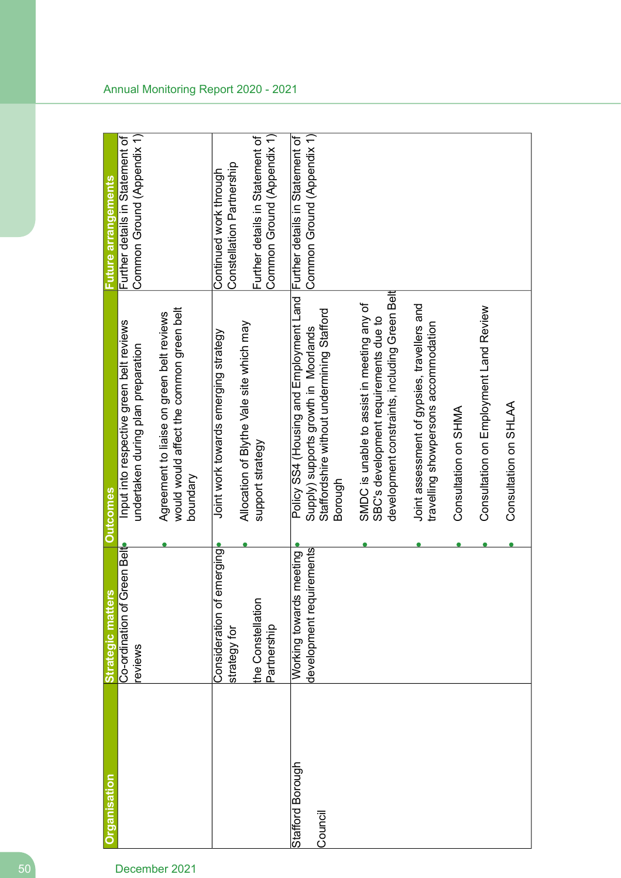| <b>Organisation</b>         | Strategic matters   Outcomes                            |                                                                                                                                          | Future arrangements                                           |
|-----------------------------|---------------------------------------------------------|------------------------------------------------------------------------------------------------------------------------------------------|---------------------------------------------------------------|
|                             | Co-ordination of Green Belt<br>eviews                   | Input into respective green belt reviews<br>undertaken during plan preparation                                                           | Common Ground (Appendix 1)<br>Further details in Statement of |
|                             |                                                         | would would affect the common green belt<br>Agreement to liaise on green belt reviews<br>poundary                                        |                                                               |
|                             | emerging<br>Consideration of<br>strategy for            | Allocation of Blythe Vale site which may<br>Joint work towards emerging strategy                                                         | Constellation Partnership<br>Continued work through           |
|                             | the Constellation<br>Partnership                        | support strategy                                                                                                                         | Common Ground (Appendix 1)<br>Further details in Statement of |
| Stafford Borough<br>Council | uirements<br>Working towards meeting<br>development req | Policy SS4 (Housing and Employment Land<br>Staffordshire without undermining Stafford<br>Supply) supports growth in Moorlands<br>Borough | Common Ground (Appendix 1)<br>Further details in Statement of |
|                             |                                                         | development constraints, including Green Belt<br>SMDC is unable to assist in meeting any of<br>SBC's development requirements due to     |                                                               |
|                             |                                                         | Joint assessment of gypsies, travellers and<br>travelling showpersons accommodation                                                      |                                                               |
|                             |                                                         | Consultation on SHMA                                                                                                                     |                                                               |
|                             |                                                         | Consultation on Employment Land Review                                                                                                   |                                                               |
|                             |                                                         | Consultation on SHLAA                                                                                                                    |                                                               |
|                             |                                                         |                                                                                                                                          |                                                               |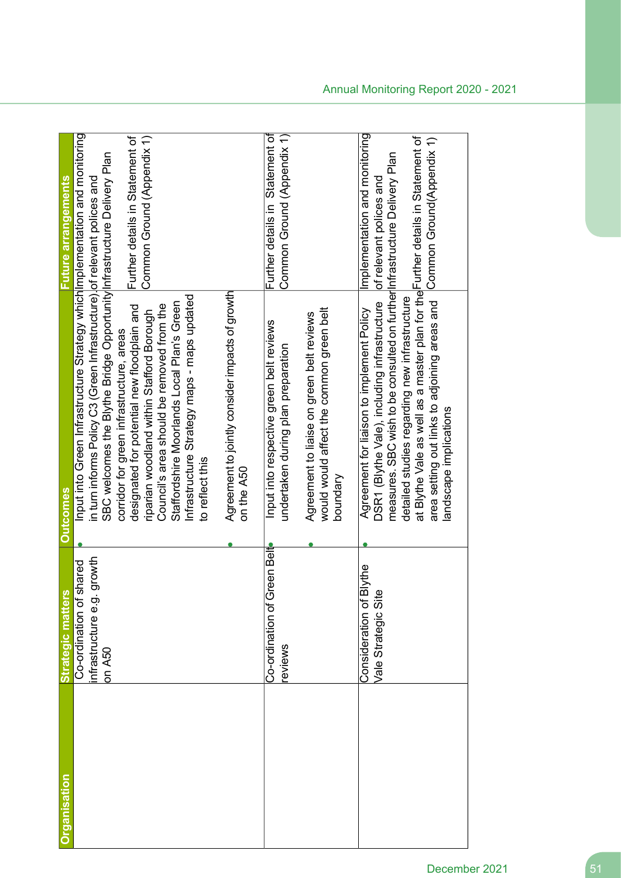| hrganisation | U)<br><b>Strategic matter</b>                                       | <b>Outcomes</b>                                                                                                                                                                                                                                                                                                                                                                                                                                                                                                                     | Future arrangements                                                                   |
|--------------|---------------------------------------------------------------------|-------------------------------------------------------------------------------------------------------------------------------------------------------------------------------------------------------------------------------------------------------------------------------------------------------------------------------------------------------------------------------------------------------------------------------------------------------------------------------------------------------------------------------------|---------------------------------------------------------------------------------------|
|              | growth<br>shared<br>Co-ordination of<br>nfrastructure e.g<br>on A50 | Input into Green Infrastructure Strategy which Implementation and monitoring<br>SBC welcomes the Blythe Bridge Opportunity Infrastructure Delivery Plan<br>in turn informs Policy C3 (Green Infrastructure). of relevant polices and<br>Infrastructure Strategy maps uparated<br>Staffordshire Moorlands Local Plan's Green<br>Council's area should be removed from the<br>designated for potential new floodplain and<br>riparian woodland within Stafford Borough<br>corridor for green infrastructure, areas<br>to reflect this | Common Ground (Appendix 1)<br>Further details in Statement of                         |
|              |                                                                     | Agreement to jointly consider impacts of growth<br>on the A50                                                                                                                                                                                                                                                                                                                                                                                                                                                                       |                                                                                       |
|              | Green Belt<br>Co-ordination of<br>eviews                            | Input into respective green belt reviews<br>undertaken during plan preparation                                                                                                                                                                                                                                                                                                                                                                                                                                                      | Further details in Statement of<br>Common Ground (Appendix 1)                         |
|              |                                                                     | would would affect the common green belt<br>Agreement to liaise on green belt reviews<br>houndary                                                                                                                                                                                                                                                                                                                                                                                                                                   |                                                                                       |
|              | <b>Blythe</b><br>Φ<br>Consideration of<br>Vale Strategic Sit        | at Blythe Vale as well as a master plan for the Further details in Statement of<br>measures. SBC wish to be consulted on further Infrastructure Delivery Plan<br>detailed studies regarding new infrastructure<br>area setting out links to adjoining areas and<br>DSR1 (Blythe Vale), including infrastructure<br>Agreement for liaison to implement Policy<br>landscape implications                                                                                                                                              | Implementation and monitoring<br>Common Ground(Appendix 1)<br>of relevant polices and |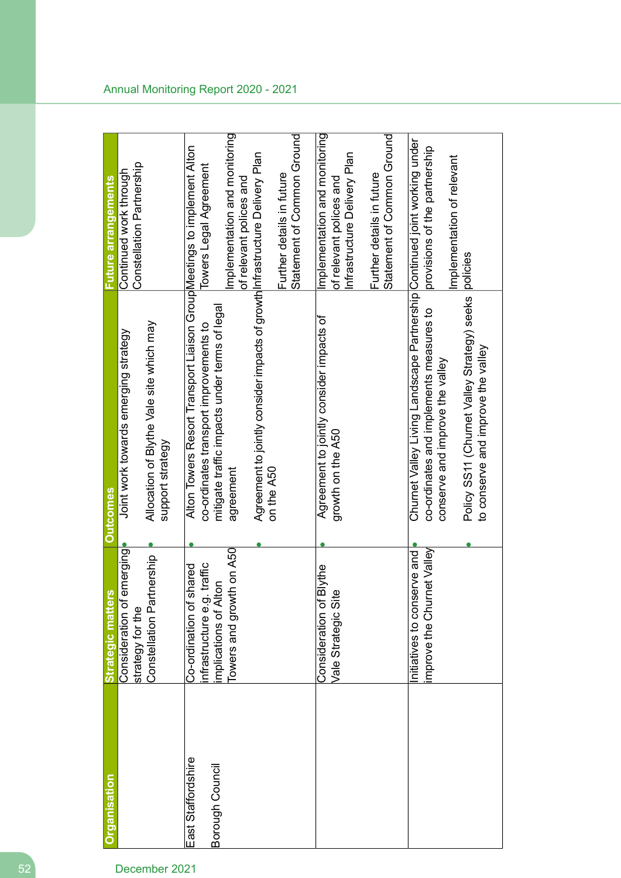| Organisation                          | Strategic matters                                                                                            | <b>Outcomes</b>                                                                                                                                                                                                                                                               | <b>Future arrangements</b>                                                                                                                          |
|---------------------------------------|--------------------------------------------------------------------------------------------------------------|-------------------------------------------------------------------------------------------------------------------------------------------------------------------------------------------------------------------------------------------------------------------------------|-----------------------------------------------------------------------------------------------------------------------------------------------------|
|                                       | emerging<br>tnership<br>Constellation Par<br>Consideration of<br>strategy for the                            | Allocation of Blythe Vale site which may<br>Joint work towards emerging strategy<br>support strategy                                                                                                                                                                          | Constellation Partnership<br>Continued work through                                                                                                 |
| East Staffordshire<br>Borough Council | Towers and growth on A50<br>traffic<br>Co-ordination of shared<br>mplications of Alton<br>nfrastructure e.g. | Alton Towers Resort Transport Liaison Group Meetings to implement Alton<br>Agreement to jointly consider impacts of growth Infrastructure Delivery Plan<br>mitigate traffic impacts under terms of legal<br>co-ordinates transport improvements to<br>on the A50<br>agreement | Implementation and monitoring<br>Statement of Common Ground<br>Towers Legal Agreement<br>Further details in future<br>of relevant polices and       |
|                                       | <b>Blythe</b><br>Vale Strategic Site<br>Consideration of                                                     | Agreement to jointly consider impacts of<br>growth on the A50                                                                                                                                                                                                                 | Implementation and monitoring<br>Statement of Common Ground<br>Infrastructure Delivery Plan<br>Further details in future<br>of relevant polices and |
|                                       | mprove the Churnet Valley<br>initiatives to conserve and                                                     | Churnet Valley Living Landscape Partnership Continued joint working under<br>Policy SS11 (Churnet Valley Strategy) seeks<br>co-ordinates and implements measures to<br>to conserve and improve the valley<br>conserve and improve the valley                                  | provisions of the partnership<br>Implementation of relevant<br>policies                                                                             |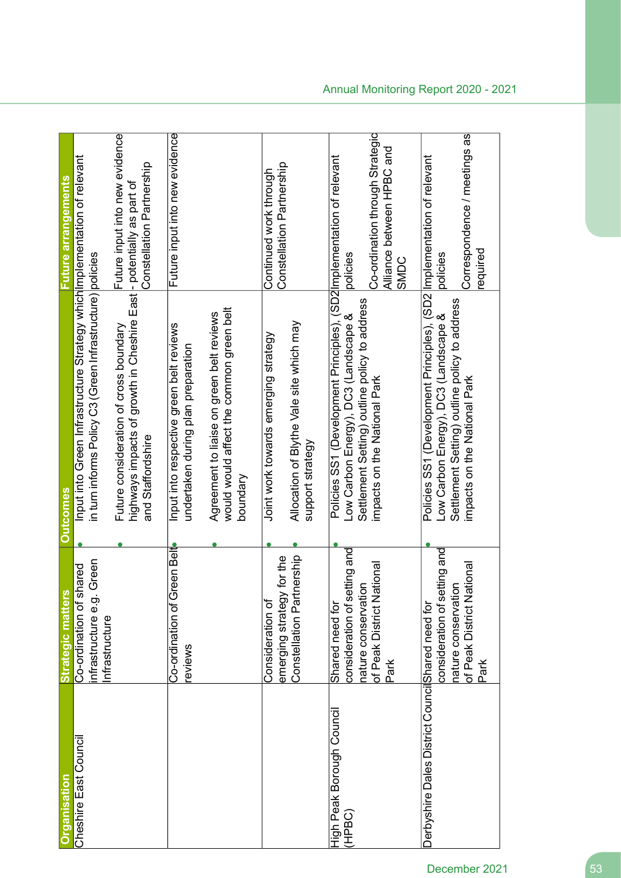| rganisation                                      | <b>Strategic matters</b>                                                                                    | <b>Outcomes</b>                                                                                                                                                                                 |                                                                                  |
|--------------------------------------------------|-------------------------------------------------------------------------------------------------------------|-------------------------------------------------------------------------------------------------------------------------------------------------------------------------------------------------|----------------------------------------------------------------------------------|
| Cheshire East Council                            | Green<br>Co-ordination of shared<br>infrastructure e.g.<br>Infrastructure                                   | Input into Green Infrastructure Strategy which Implementation of relevant<br>in turn informs Policy C3 (Green Infrastructure) policies                                                          | <b>-uture arrangements</b>                                                       |
|                                                  |                                                                                                             | highways impacts of growth in Cheshire East  - potentially as part of<br>Future consideration of cross boundary<br>and Staffordshire                                                            | Future input into new evidence<br>Constellation Partnership                      |
|                                                  | Co-ordination of Green Belt<br>reviews                                                                      | Input into respective green belt reviews<br>undertaken during plan preparation                                                                                                                  | Future input into new evidence                                                   |
|                                                  |                                                                                                             | would would affect the common green belt<br>Agreement to liaise on green belt reviews<br>poundary                                                                                               |                                                                                  |
|                                                  | nership<br>emerging strategy for the<br>Constellation Part<br>Consideration of                              | Allocation of Blythe Vale site which may<br>Joint work towards emerging strategy<br>support strategy                                                                                            | Constellation Partnership<br>Continued work through                              |
| High Peak Borough Council<br>(HPBC)              | consideration of setting and<br>of Peak District National<br>nature conservation<br>Shared need for<br>Park | Policies SS1 (Development Principles), (SD2 Implementation of relevant<br>Settlement Setting) outline policy to address<br>Low Carbon Energy), DC3 (Landscape &<br>impacts on the National Park | Co-ordination through Strategic<br>Alliance between HPBC and<br>policies<br>SMDC |
| Derbyshire Dales District CouncilShared need for | consideration of setting and<br>of Peak District National<br>nature conservation<br>Park                    | Policies SS1 (Development Principles), (SD2 Implementation of relevant<br>Settlement Setting) outline policy to address<br>Low Carbon Energy), DC3 (Landscape &<br>impacts on the National Park | Correspondence / meetings as<br>required<br>policies                             |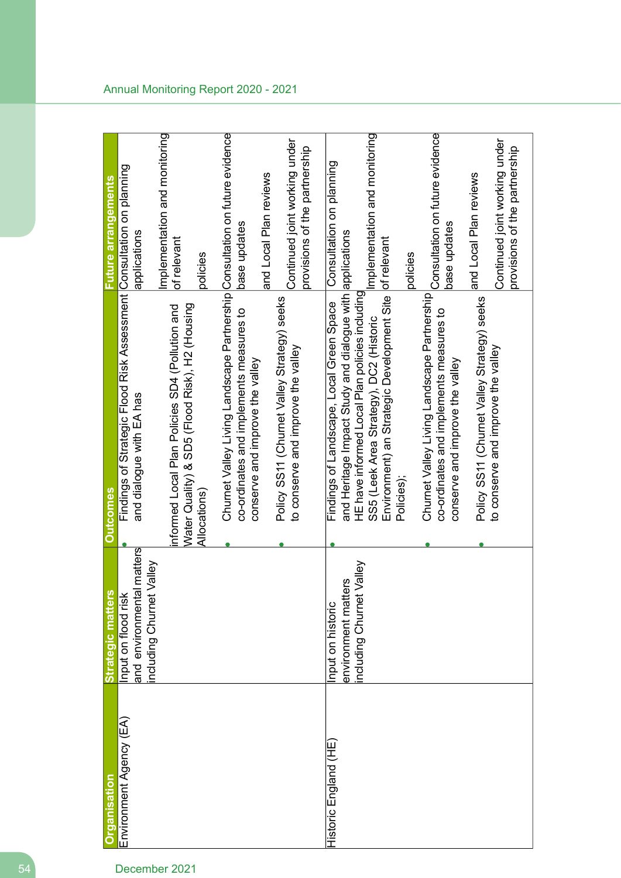| <b>Organisation</b>     | <b>Strategic matters</b>                               | <b>Outcomes</b>                                                                                                        | Future arrangements                             |
|-------------------------|--------------------------------------------------------|------------------------------------------------------------------------------------------------------------------------|-------------------------------------------------|
| Environment Agency (EA) | and environmental matters<br>Input on flood risk       | Findings of Strategic Flood Risk Assessment Consultation on planning<br>and dialogue with EA has                       | applications                                    |
|                         | Valley<br>including Churnet                            |                                                                                                                        |                                                 |
|                         |                                                        | informed Local Plan Policies SD4 (Pollution and                                                                        | Implementation and monitoring                   |
|                         |                                                        | Water Quality) & SD5 (Flood Risk), H2 (Housing                                                                         | of relevant                                     |
|                         |                                                        | Allocations)                                                                                                           | policies                                        |
|                         |                                                        | Churnet Valley Living Landscape Partnership Consultation on future evidence<br>co-ordinates and implements measures to | base updates                                    |
|                         |                                                        | conserve and improve the valley                                                                                        | and Local Plan reviews                          |
|                         |                                                        | Policy SS11 (Churnet Valley Strategy) seeks<br>to conserve and improve the valley                                      | Continued joint working under                   |
|                         |                                                        |                                                                                                                        | provisions of the partnership                   |
| Historic England (HE)   | nput on historic                                       | Findings of Landscape, Local Green Space                                                                               | Consultation on planning                        |
|                         | Valley<br>ters<br>environment matt<br>ncluding Churnet | and Heritage Impact Study and dialogue with applications<br>HE have informed Local Plan policies including             |                                                 |
|                         |                                                        | SS5 (Leek Area Strategy), DC2 (Historic                                                                                | Implementation and monitoring                   |
|                         |                                                        | Environment) an Strategic Development Site<br>Policies);                                                               | of relevant                                     |
|                         |                                                        |                                                                                                                        | policies                                        |
|                         |                                                        | Churnet Valley Living Landscape Partnership<br>co-ordinates and implements measures to                                 | Consultation on future evidence<br>base updates |
|                         |                                                        | conserve and improve the valley                                                                                        |                                                 |
|                         |                                                        | Policy SS11 (Churnet Valley Strategy) seeks                                                                            | and Local Plan reviews                          |
|                         |                                                        | to conserve and improve the valley                                                                                     | Continued joint working under                   |
|                         |                                                        |                                                                                                                        | provisions of the partnership                   |
|                         |                                                        |                                                                                                                        |                                                 |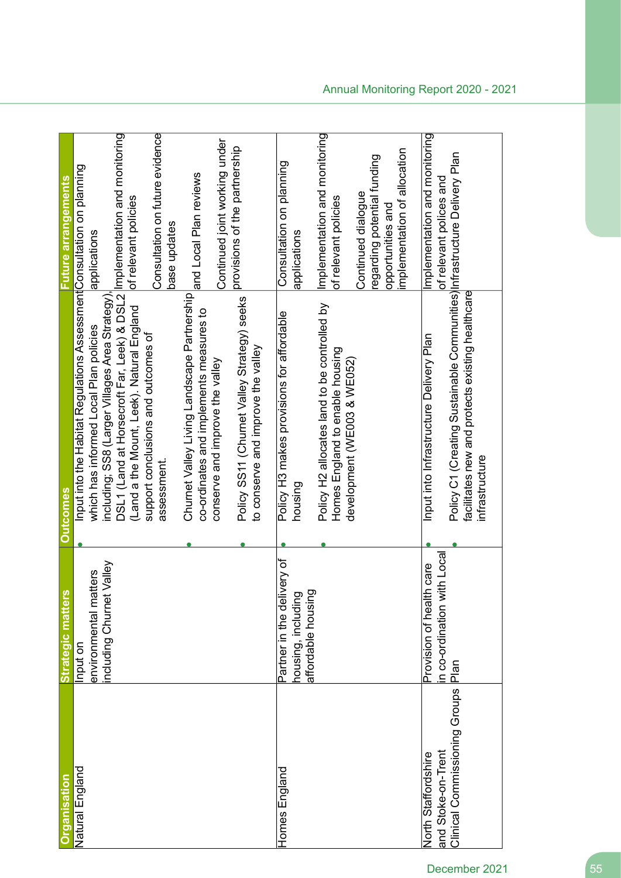| Natural England<br>rganisation            | <b>Strategic matters</b>                         |                                                                                                                                                 |                                                                                                        |
|-------------------------------------------|--------------------------------------------------|-------------------------------------------------------------------------------------------------------------------------------------------------|--------------------------------------------------------------------------------------------------------|
|                                           |                                                  | <b>Outcomes</b>                                                                                                                                 | -uture arrangements                                                                                    |
|                                           | Input on                                         | Input into the Habitat Regulations Assessment Consultation on planning                                                                          |                                                                                                        |
|                                           | environmental matters                            | which has informed Local Plan policies                                                                                                          | applications                                                                                           |
|                                           | Valley<br>including Churnet                      | including; SS8 (Larger Villages Area Strategy)                                                                                                  |                                                                                                        |
|                                           |                                                  | DSL1 (Land at Horsecroft Far, Leek) & DSL2 Implementation and monitoring<br>(Land a the Mount, Leek). Natural England                           | of relevant policies                                                                                   |
|                                           |                                                  | support conclusions and outcomes of<br>assessment.                                                                                              | Consultation on future evidence<br>base updates                                                        |
|                                           |                                                  | Churnet Valley Living Landscape Partnership<br>co-ordinates and implements measures to                                                          | and Local Plan reviews                                                                                 |
|                                           |                                                  | conserve and improve the valley                                                                                                                 | Continued joint working under                                                                          |
|                                           |                                                  | Policy SS11 (Churnet Valley Strategy) seeks<br>to conserve and improve the valley                                                               | provisions of the partnership                                                                          |
| <b>Homes England</b>                      | Partner in the delivery of<br>housing, including | Policy H3 makes provisions for affordable<br>housing                                                                                            | Consultation on planning<br>applications                                                               |
|                                           | affordable housing                               | Policy H2 allocates land to be controlled by<br>Homes England to enable housing                                                                 | Implementation and monitoring<br>of relevant policies                                                  |
|                                           |                                                  | development (WE003 & WE052)                                                                                                                     | implementation of allocation<br>regarding potential funding<br>Continued dialogue<br>opportunities and |
| and Stoke-on-Trent<br>North Staffordshire | Provision of health care                         | Input into Infrastructure Delivery Plan                                                                                                         | Implementation and monitoring                                                                          |
| Clinical Commissioning Groups             | ith Local<br>n co-ordination w<br>Plan           | Policy C1 (Creating Sustainable Communities) Infrastructure Delivery Plan<br>facilitates new and protects existing healthcare<br>infrastructure | of relevant polices and                                                                                |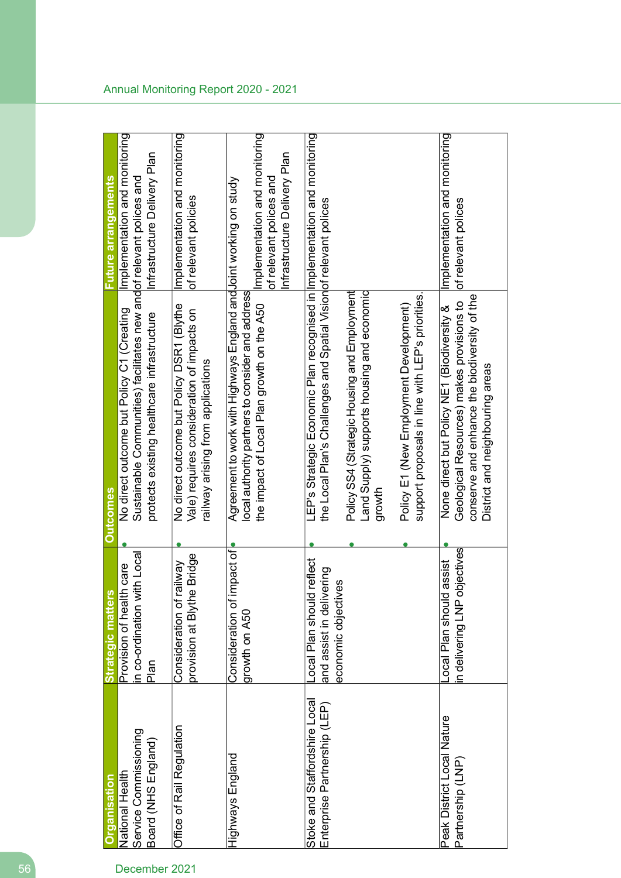| Organisation                                                  | <b>Strategic matters</b>                                                             | <b>Outcomes</b>                                                                                                                                                            | <b>Future arrangements</b>                                                               |
|---------------------------------------------------------------|--------------------------------------------------------------------------------------|----------------------------------------------------------------------------------------------------------------------------------------------------------------------------|------------------------------------------------------------------------------------------|
| National Health                                               | Provision of health care                                                             | No direct outcome but Policy C1 (Creating                                                                                                                                  | Implementation and monitoring                                                            |
| Service Commissioning                                         | in co-ordination with Local                                                          | Sustainable Communities) facilitates new andof relevant polices and                                                                                                        |                                                                                          |
| Board (NHS England)                                           | Plan                                                                                 | protects existing healthcare infrastructure                                                                                                                                | Infrastructure Delivery Plan                                                             |
| Office of Rail Regulation                                     | e Bridge<br>vewlie<br>provision at Blyth<br>Consideration of                         | No direct outcome but Policy DSR1 (Blythe<br>Vale) requires consideration of impacts on<br>railway arising from applications                                               | Implementation and monitoring<br>of relevant policies                                    |
| Highways England                                              | mpact of<br>Consideration of<br>growth on A50                                        | Agreement to work with Highways England and Joint working on study<br>local authority partners to consider and address<br>the impact of Local Plan growth on the A50       | Implementation and monitoring<br>Infrastructure Delivery Plan<br>of relevant polices and |
| Stoke and Staffordshire Local<br>Enterprise Partnership (LEP) | Local Plan should reflect<br>ering<br>êΘ<br>and assist in deliv<br>economic objectiv | LEP's Strategic Economic Plan recognised in limplementation and monitoring<br>the Local Plan's Challenges and Spatial Visionof relevant polices                            |                                                                                          |
|                                                               |                                                                                      | Land Supply) supports housing and economic<br>Policy SS4 (Strategic Housing and Employment<br>growth                                                                       |                                                                                          |
|                                                               |                                                                                      | support proposals in line with LEP's priorities.<br>Policy E1 (New Employment Development)                                                                                 |                                                                                          |
| Peak District Local Nature<br>Partnership (LNP)               | n delivering LNP objectives<br>assist<br>-ocal Plan should                           | conserve and enhance the biodiversity of the<br>Geological Resources) makes provisions to<br>None direct but Policy NE1 (Biodiversity &<br>District and neighbouring areas | Implementation and monitoring<br>of relevant polices                                     |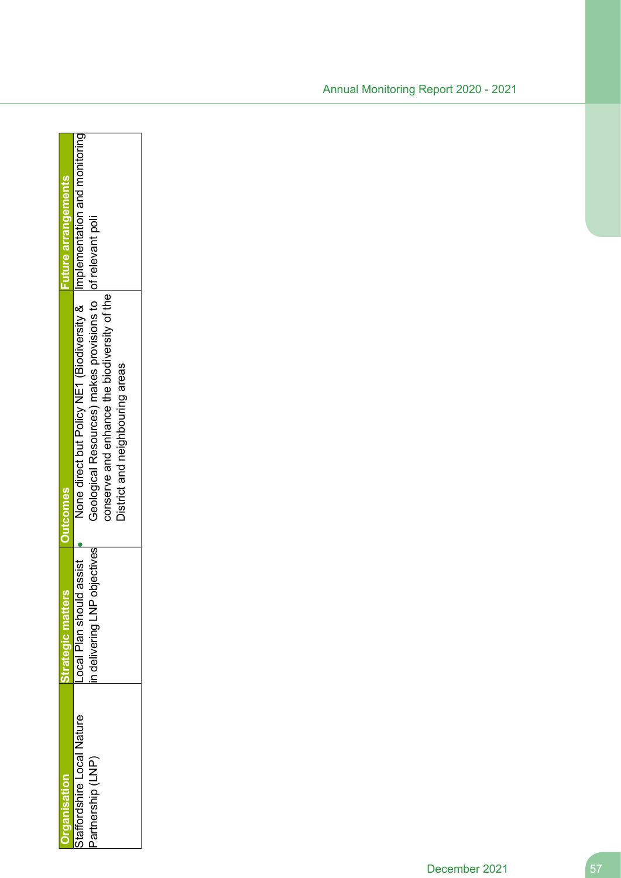|                                               |                                                                 | <b>Jutcomes</b>                                                                                                                                                                                                              | <b>Suleule ous e</b> |
|-----------------------------------------------|-----------------------------------------------------------------|------------------------------------------------------------------------------------------------------------------------------------------------------------------------------------------------------------------------------|----------------------|
| taffordshire Local Nature<br>Partnership (LNP | objectives<br>Id assist<br>Local Plan shoul<br>n delivering LNF | None direct but Policy NE1 (Biodiversity &   Implementation and monitoring<br>Geological Resources) makes provisions to lof relevant poli<br>conserve and enhance the biodiversity of the<br>District and neighbouring areas |                      |
|                                               |                                                                 |                                                                                                                                                                                                                              |                      |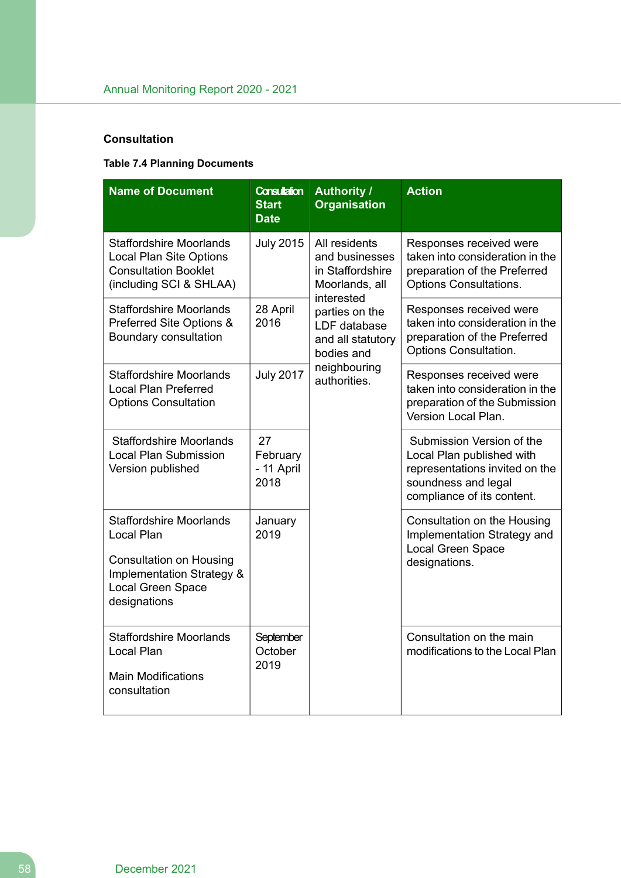# **Consultation**

# **Table 7.4 Planning Documents**

| <b>Name of Document</b>                                                                                                                                 | <b>Consultation</b><br><b>Start</b><br><b>Date</b> | <b>Authority /</b><br><b>Organisation</b>                                           | <b>Action</b>                                                                                                                                 |
|---------------------------------------------------------------------------------------------------------------------------------------------------------|----------------------------------------------------|-------------------------------------------------------------------------------------|-----------------------------------------------------------------------------------------------------------------------------------------------|
| <b>Staffordshire Moorlands</b><br><b>Local Plan Site Options</b><br><b>Consultation Booklet</b><br>(including SCI & SHLAA)                              | <b>July 2015</b>                                   | All residents<br>and businesses<br>in Staffordshire<br>Moorlands, all<br>interested | Responses received were<br>taken into consideration in the<br>preparation of the Preferred<br>Options Consultations.                          |
| <b>Staffordshire Moorlands</b><br>Preferred Site Options &<br>Boundary consultation                                                                     | 28 April<br>2016                                   | parties on the<br>LDF database<br>and all statutory<br>bodies and                   | Responses received were<br>taken into consideration in the<br>preparation of the Preferred<br>Options Consultation.                           |
| <b>Staffordshire Moorlands</b><br><b>Local Plan Preferred</b><br><b>Options Consultation</b>                                                            | <b>July 2017</b>                                   | neighbouring<br>authorities.                                                        | Responses received were<br>taken into consideration in the<br>preparation of the Submission<br>Version Local Plan.                            |
| <b>Staffordshire Moorlands</b><br><b>Local Plan Submission</b><br>Version published                                                                     | 27<br>February<br>- 11 April<br>2018               |                                                                                     | Submission Version of the<br>Local Plan published with<br>representations invited on the<br>soundness and legal<br>compliance of its content. |
| <b>Staffordshire Moorlands</b><br>Local Plan<br><b>Consultation on Housing</b><br>Implementation Strategy &<br><b>Local Green Space</b><br>designations | January<br>2019                                    |                                                                                     | Consultation on the Housing<br>Implementation Strategy and<br>Local Green Space<br>designations.                                              |
| <b>Staffordshire Moorlands</b><br>Local Plan<br><b>Main Modifications</b><br>consultation                                                               | September<br>October<br>2019                       |                                                                                     | Consultation on the main<br>modifications to the Local Plan                                                                                   |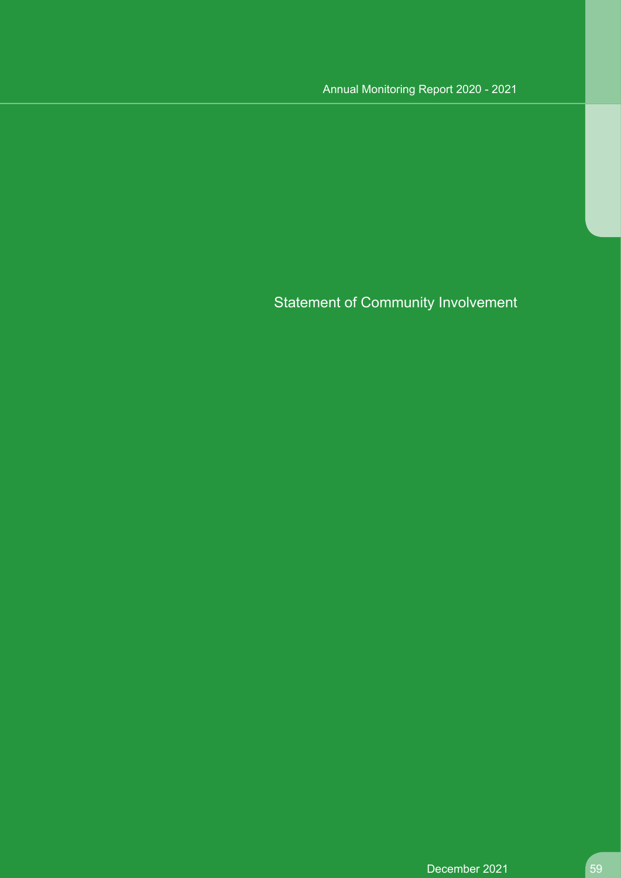Statement of Community Involvement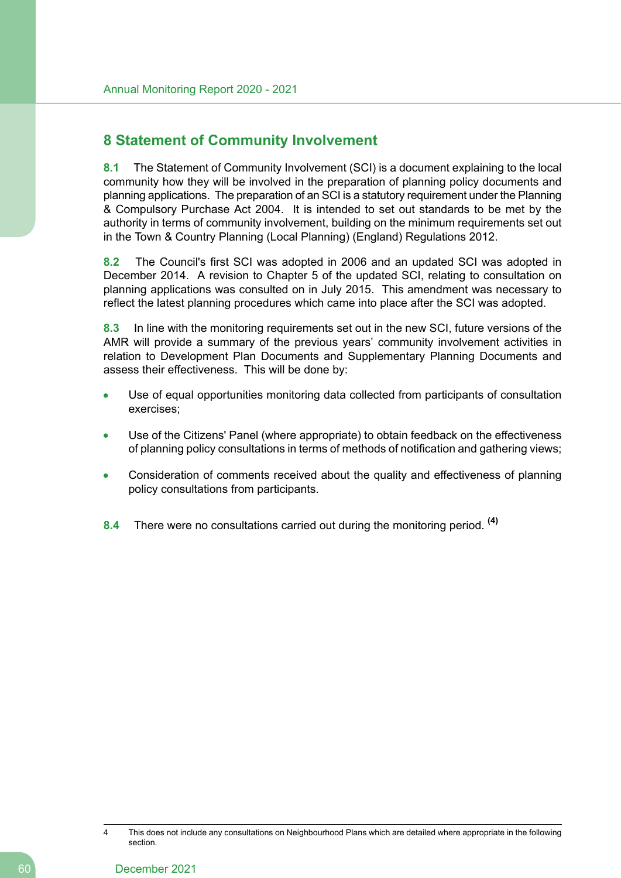# **8 Statement of Community Involvement**

**8.1** The Statement of Community Involvement (SCI) is a document explaining to the local community how they will be involved in the preparation of planning policy documents and planning applications. The preparation of an SCI is a statutory requirement under the Planning & Compulsory Purchase Act 2004. It is intended to set out standards to be met by the authority in terms of community involvement, building on the minimum requirements set out in the Town & Country Planning (Local Planning) (England) Regulations 2012.

**8.2** The Council's first SCI was adopted in 2006 and an updated SCI was adopted in December 2014. A revision to Chapter 5 of the updated SCI, relating to consultation on planning applications was consulted on in July 2015. This amendment was necessary to reflect the latest planning procedures which came into place after the SCI was adopted.

**8.3** In line with the monitoring requirements set out in the new SCI, future versions of the AMR will provide a summary of the previous years' community involvement activities in relation to Development Plan Documents and Supplementary Planning Documents and assess their effectiveness. This will be done by:

- Use of equal opportunities monitoring data collected from participants of consultation exercises;
- Use of the Citizens' Panel (where appropriate) to obtain feedback on the effectiveness of planning policy consultations in terms of methods of notification and gathering views;
- Consideration of comments received about the quality and effectiveness of planning policy consultations from participants.
- **8.4** There were no consultations carried out during the monitoring period. **(4)**

<sup>4</sup> This does not include any consultations on Neighbourhood Plans which are detailed where appropriate in the following section.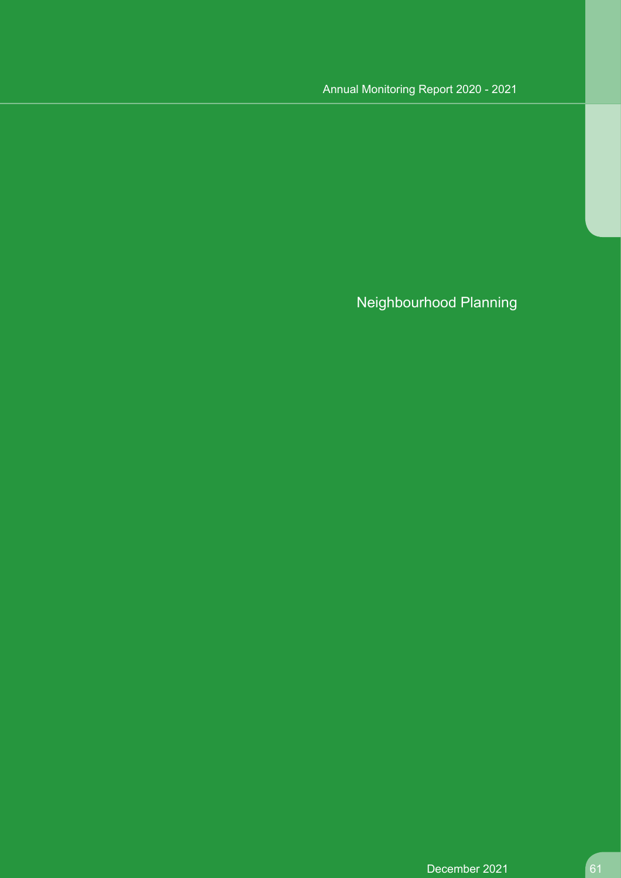# Annual Monitoring Report 2020 - 2021

Neighbourhood Planning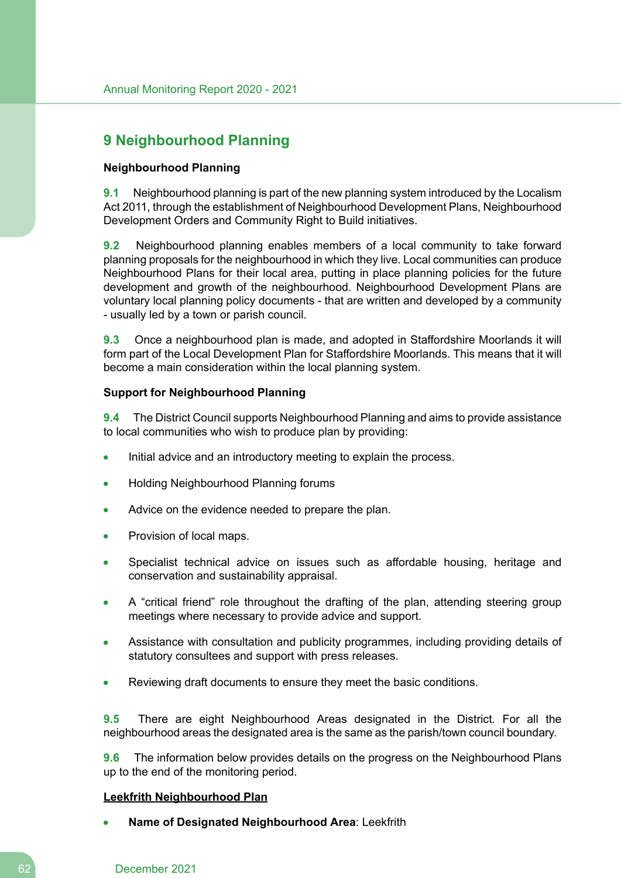# **9 Neighbourhood Planning**

## **Neighbourhood Planning**

**9.1** Neighbourhood planning is part of the new planning system introduced by the Localism Act 2011, through the establishment of Neighbourhood Development Plans, Neighbourhood Development Orders and Community Right to Build initiatives.

**9.2** Neighbourhood planning enables members of a local community to take forward planning proposals for the neighbourhood in which they live. Local communities can produce Neighbourhood Plans for their local area, putting in place planning policies for the future development and growth of the neighbourhood. Neighbourhood Development Plans are voluntary local planning policy documents - that are written and developed by a community - usually led by a town or parish council.

**9.3** Once a neighbourhood plan is made, and adopted in Staffordshire Moorlands it will form part of the Local Development Plan for Staffordshire Moorlands. This means that it will become a main consideration within the local planning system.

## **Support for Neighbourhood Planning**

**9.4** The District Council supports Neighbourhood Planning and aims to provide assistance to local communities who wish to produce plan by providing:

- Initial advice and an introductory meeting to explain the process.
- Holding Neighbourhood Planning forums
- Advice on the evidence needed to prepare the plan.
- Provision of local maps.
- Specialist technical advice on issues such as affordable housing, heritage and conservation and sustainability appraisal.
- A "critical friend" role throughout the drafting of the plan, attending steering group meetings where necessary to provide advice and support.
- Assistance with consultation and publicity programmes, including providing details of statutory consultees and support with press releases.
- Reviewing draft documents to ensure they meet the basic conditions.

**9.5** There are eight Neighbourhood Areas designated in the District. For all the neighbourhood areas the designated area is the same as the parish/town council boundary.

**9.6** The information below provides details on the progress on the Neighbourhood Plans up to the end of the monitoring period.

#### **Leekfrith Neighbourhood Plan**

**Name of Designated Neighbourhood Area**: Leekfrith

#### 62 December 2021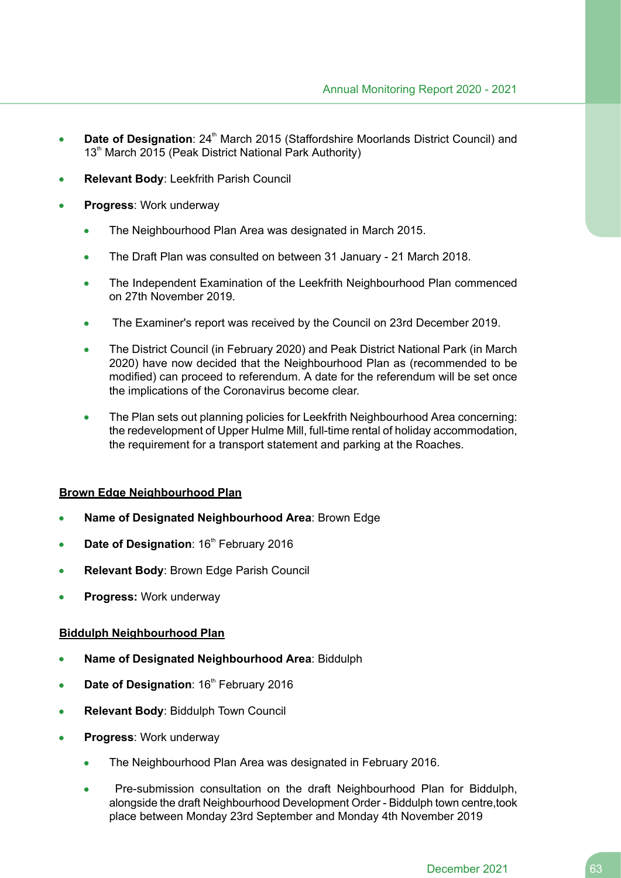- **Date of Designation: 24<sup>th</sup> March 2015 (Staffordshire Moorlands District Council) and**  $\bullet$ 13<sup>th</sup> March 2015 (Peak District National Park Authority)
- **Relevant Body**: Leekfrith Parish Council
- **Progress**: Work underway
	- The Neighbourhood Plan Area was designated in March 2015.
	- The Draft Plan was consulted on between 31 January 21 March 2018.
	- The Independent Examination of the Leekfrith Neighbourhood Plan commenced on 27th November 2019.
	- The Examiner's report was received by the Council on 23rd December 2019.
	- The District Council (in February 2020) and Peak District National Park (in March 2020) have now decided that the Neighbourhood Plan as (recommended to be modified) can proceed to referendum. A date for the referendum will be set once the implications of the Coronavirus become clear.
	- The Plan sets out planning policies for Leekfrith Neighbourhood Area concerning: the redevelopment of Upper Hulme Mill, full-time rental of holiday accommodation, the requirement for a transport statement and parking at the Roaches.

## **Brown Edge Neighbourhood Plan**

- **Name of Designated Neighbourhood Area**: Brown Edge
- **Date of Designation: 16<sup>th</sup> February 2016**
- **Relevant Body**: Brown Edge Parish Council
- **Progress:** Work underway

## **Biddulph Neighbourhood Plan**

- **Name of Designated Neighbourhood Area**: Biddulph
- **Date of Designation: 16<sup>th</sup> February 2016**  $\bullet$
- **Relevant Body**: Biddulph Town Council
- **Progress**: Work underway
	- The Neighbourhood Plan Area was designated in February 2016.
	- Pre-submission consultation on the draft Neighbourhood Plan for Biddulph, alongside the draft Neighbourhood Development Order - Biddulph town centre,took place between Monday 23rd September and Monday 4th November 2019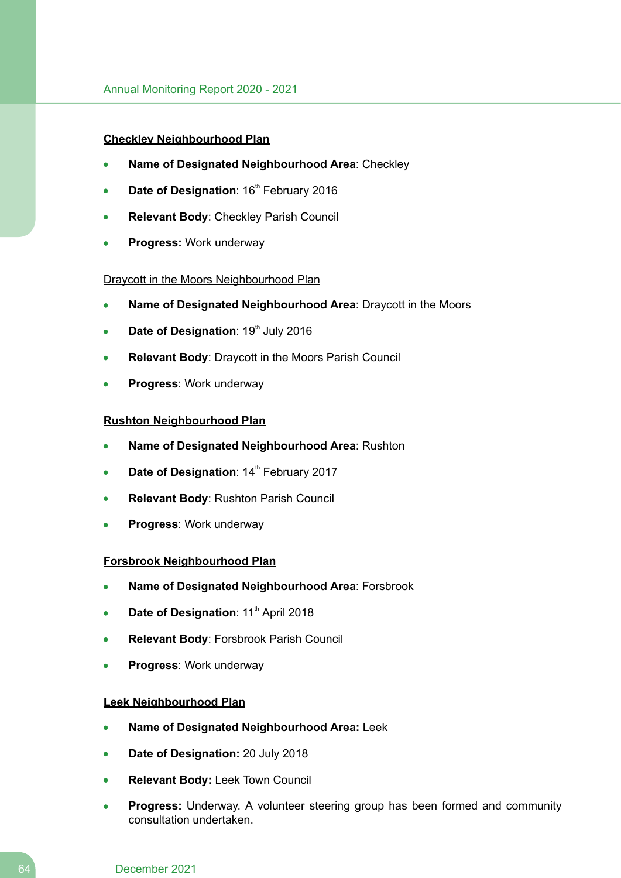## **Checkley Neighbourhood Plan**

- **Name of Designated Neighbourhood Area**: Checkley
- **Date of Designation: 16<sup>th</sup> February 2016**
- **Relevant Body**: Checkley Parish Council
- **Progress:** Work underway

#### Draycott in the Moors Neighbourhood Plan

- **Name of Designated Neighbourhood Area**: Draycott in the Moors
- **Date of Designation: 19th July 2016**
- **Relevant Body**: Draycott in the Moors Parish Council
- **Progress**: Work underway

## **Rushton Neighbourhood Plan**

- **Name of Designated Neighbourhood Area**: Rushton
- **Date of Designation: 14<sup>th</sup> February 2017**
- **Relevant Body**: Rushton Parish Council
- **Progress**: Work underway

#### **Forsbrook Neighbourhood Plan**

- **Name of Designated Neighbourhood Area**: Forsbrook
- **Date of Designation: 11<sup>th</sup> April 2018**
- **Relevant Body**: Forsbrook Parish Council
- **Progress**: Work underway

#### **Leek Neighbourhood Plan**

- **Name of Designated Neighbourhood Area:** Leek
- **Date of Designation:** 20 July 2018
- **Relevant Body:** Leek Town Council
- **Progress:** Underway. A volunteer steering group has been formed and community consultation undertaken.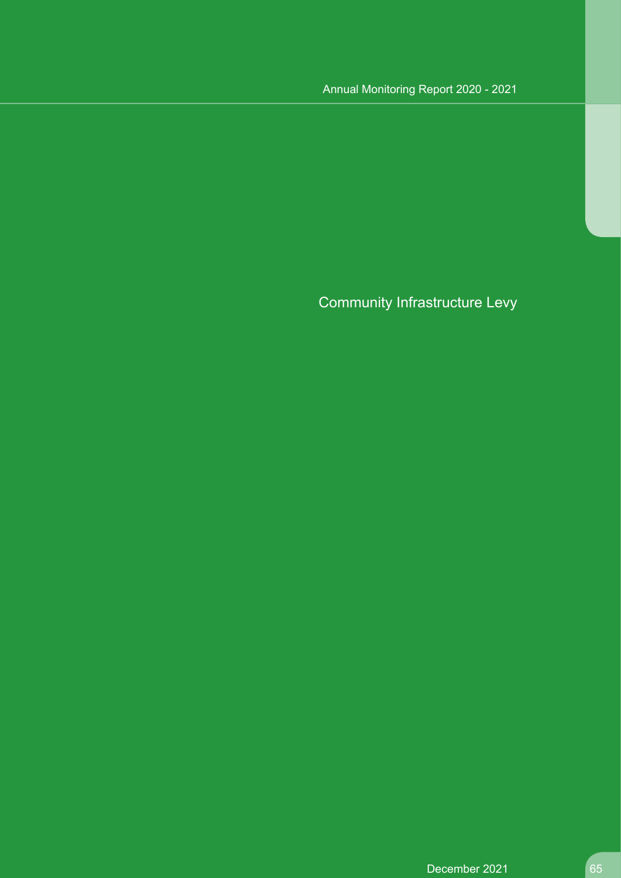# Annual Monitoring Report 2020 - 2021

Community Infrastructure Levy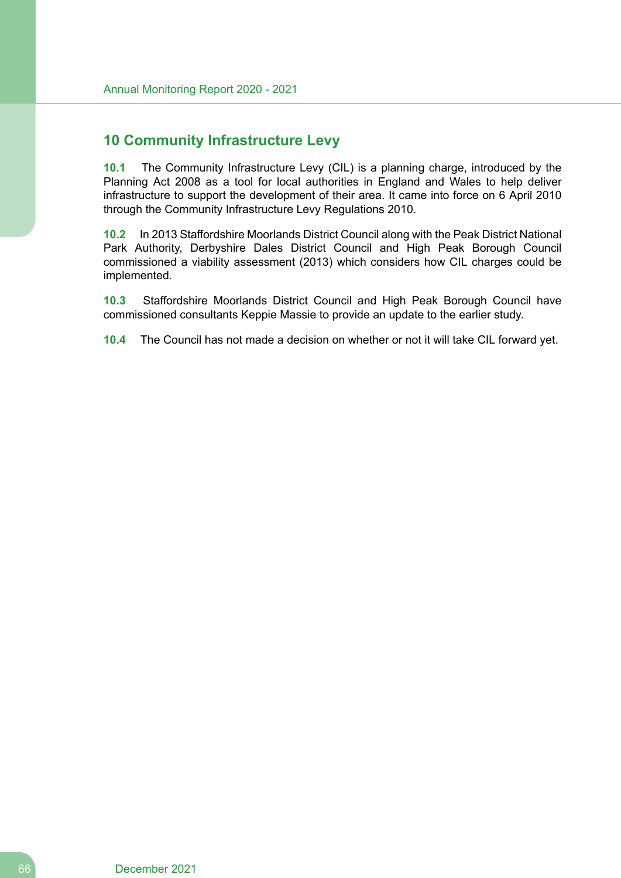# **10 Community Infrastructure Levy**

**10.1** The Community Infrastructure Levy (CIL) is a planning charge, introduced by the Planning Act 2008 as a tool for local authorities in England and Wales to help deliver infrastructure to support the development of their area. It came into force on 6 April 2010 through the Community Infrastructure Levy Regulations 2010.

**10.2** In 2013 Staffordshire Moorlands District Council along with the Peak District National Park Authority, Derbyshire Dales District Council and High Peak Borough Council commissioned a viability assessment (2013) which considers how CIL charges could be implemented.

**10.3** Staffordshire Moorlands District Council and High Peak Borough Council have commissioned consultants Keppie Massie to provide an update to the earlier study.

**10.4** The Council has not made a decision on whether or not it will take CIL forward yet.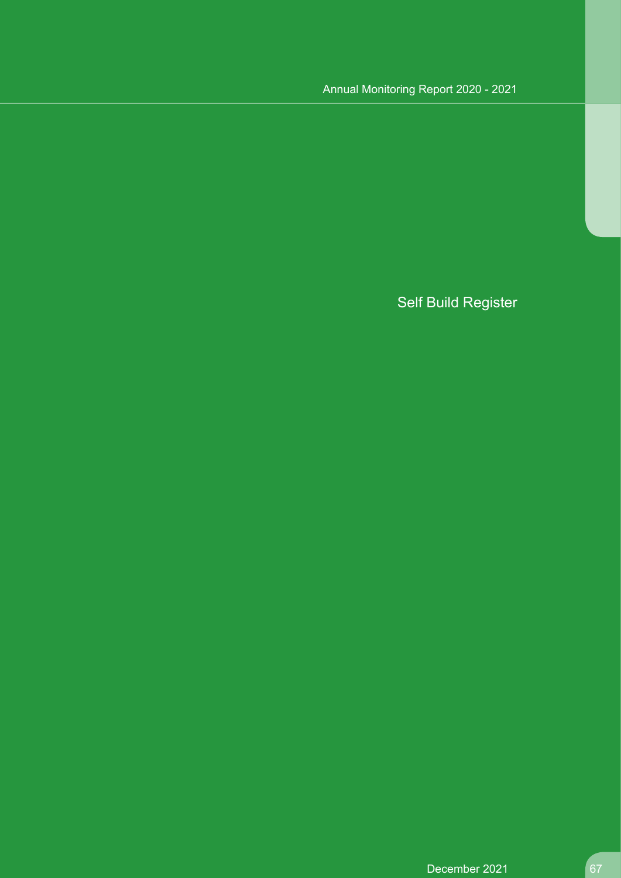# Annual Monitoring Report 2020 - 2021

# Self Build Register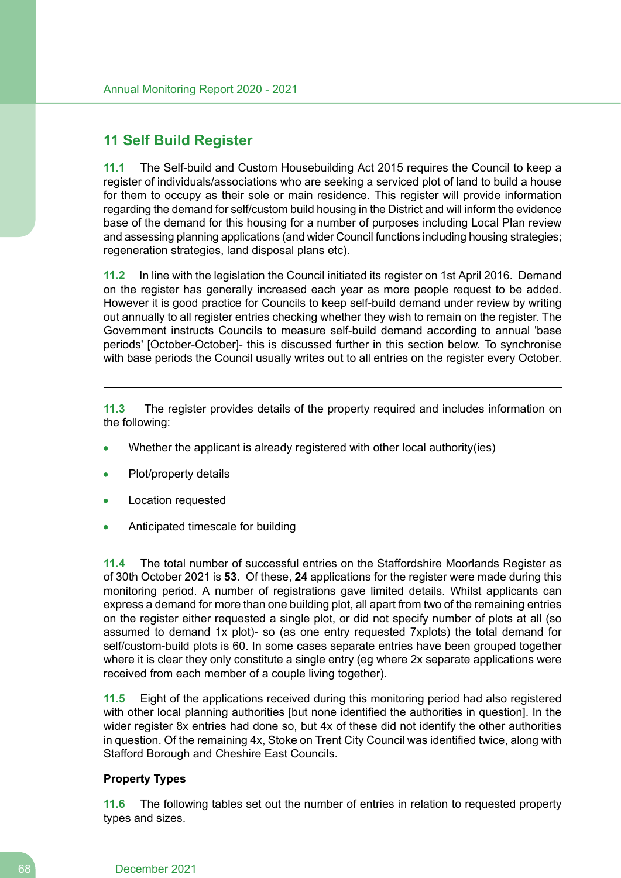# **11 Self Build Register**

**11.1** The Self-build and Custom Housebuilding Act 2015 requires the Council to keep a register of individuals/associations who are seeking a serviced plot of land to build a house for them to occupy as their sole or main residence. This register will provide information regarding the demand for self/custom build housing in the District and will inform the evidence base of the demand for this housing for a number of purposes including Local Plan review and assessing planning applications (and wider Council functions including housing strategies; regeneration strategies, land disposal plans etc).

**11.2** In line with the legislation the Council initiated its register on 1st April 2016. Demand on the register has generally increased each year as more people request to be added. However it is good practice for Councils to keep self-build demand under review by writing out annually to all register entries checking whether they wish to remain on the register. The Government instructs Councils to measure self-build demand according to annual 'base periods' [October-October]- this is discussed further in this section below. To synchronise with base periods the Council usually writes out to all entries on the register every October.

**11.3** The register provides details of the property required and includes information on the following:

- Whether the applicant is already registered with other local authority(ies)
- Plot/property details
- Location requested
- Anticipated timescale for building

**11.4** The total number of successful entries on the Staffordshire Moorlands Register as of 30th October 2021 is **53**. Of these, **24** applications for the register were made during this monitoring period. A number of registrations gave limited details. Whilst applicants can express a demand for more than one building plot, all apart from two of the remaining entries on the register either requested a single plot, or did not specify number of plots at all (so assumed to demand 1x plot)- so (as one entry requested 7xplots) the total demand for self/custom-build plots is 60. In some cases separate entries have been grouped together where it is clear they only constitute a single entry (eq where 2x separate applications were received from each member of a couple living together).

**11.5** Eight of the applications received during this monitoring period had also registered with other local planning authorities [but none identified the authorities in question]. In the wider register 8x entries had done so, but 4x of these did not identify the other authorities in question. Of the remaining 4x, Stoke on Trent City Council was identified twice, along with Stafford Borough and Cheshire East Councils.

## **Property Types**

**11.6** The following tables set out the number of entries in relation to requested property types and sizes.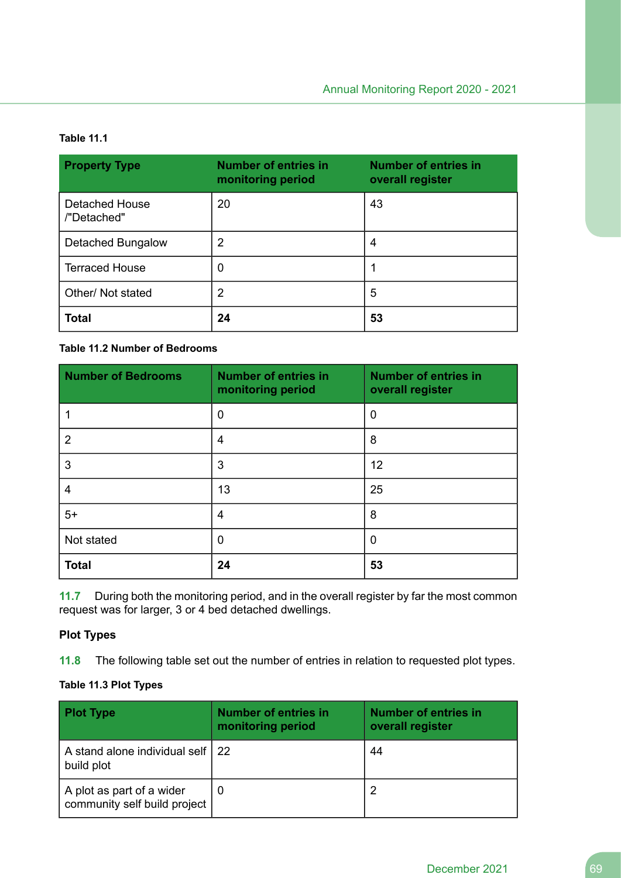## **Table 11.1**

| <b>Property Type</b>                 | <b>Number of entries in</b><br>monitoring period | <b>Number of entries in</b><br>overall register |
|--------------------------------------|--------------------------------------------------|-------------------------------------------------|
| <b>Detached House</b><br>/"Detached" | 20                                               | 43                                              |
| Detached Bungalow                    | $\overline{2}$                                   | 4                                               |
| <b>Terraced House</b>                | 0                                                |                                                 |
| Other/ Not stated                    | 2                                                | 5                                               |
| <b>Total</b>                         | 24                                               | 53                                              |

# **Table 11.2 Number of Bedrooms**

| <b>Number of Bedrooms</b> | <b>Number of entries in</b><br>monitoring period | <b>Number of entries in</b><br>overall register |
|---------------------------|--------------------------------------------------|-------------------------------------------------|
|                           | 0                                                | 0                                               |
| 2                         | $\overline{4}$                                   | 8                                               |
| 3                         | 3                                                | 12                                              |
| 4                         | 13                                               | 25                                              |
| $5+$                      | $\overline{4}$                                   | 8                                               |
| Not stated                | 0                                                | 0                                               |
| <b>Total</b>              | 24                                               | 53                                              |

**11.7** During both the monitoring period, and in the overall register by far the most common request was for larger, 3 or 4 bed detached dwellings.

# **Plot Types**

**11.8** The following table set out the number of entries in relation to requested plot types.

# **Table 11.3 Plot Types**

| <b>Plot Type</b>                                          | <b>Number of entries in</b><br>monitoring period | <b>Number of entries in</b><br>overall register |
|-----------------------------------------------------------|--------------------------------------------------|-------------------------------------------------|
| A stand alone individual self   22<br>build plot          |                                                  | 44                                              |
| A plot as part of a wider<br>community self build project | O                                                |                                                 |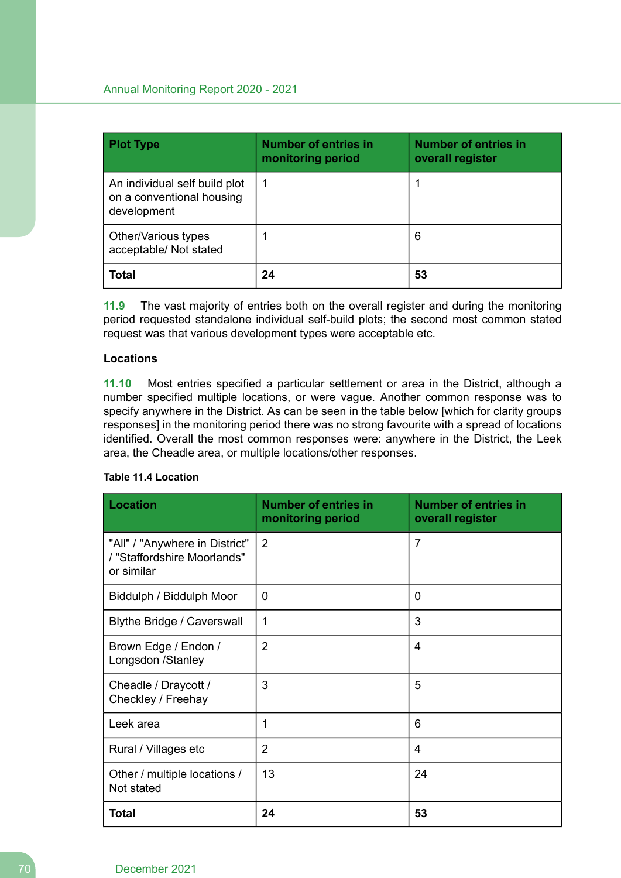| <b>Plot Type</b>                                                          | <b>Number of entries in</b><br>monitoring period | <b>Number of entries in</b><br>overall register |
|---------------------------------------------------------------------------|--------------------------------------------------|-------------------------------------------------|
| An individual self build plot<br>on a conventional housing<br>development | 1                                                |                                                 |
| Other/Various types<br>acceptable/ Not stated                             |                                                  | 6                                               |
| <b>Total</b>                                                              | 24                                               | 53                                              |

**11.9** The vast majority of entries both on the overall register and during the monitoring period requested standalone individual self-build plots; the second most common stated request was that various development types were acceptable etc.

# **Locations**

**11.10** Most entries specified a particular settlement or area in the District, although a number specified multiple locations, or were vague. Another common response was to specify anywhere in the District. As can be seen in the table below [which for clarity groups responses] in the monitoring period there was no strong favourite with a spread of locations identified. Overall the most common responses were: anywhere in the District, the Leek area, the Cheadle area, or multiple locations/other responses.

# **Table 11.4 Location**

| <b>Location</b>                                                             | <b>Number of entries in</b><br>monitoring period | <b>Number of entries in</b><br>overall register |  |
|-----------------------------------------------------------------------------|--------------------------------------------------|-------------------------------------------------|--|
| "All" / "Anywhere in District"<br>/ "Staffordshire Moorlands"<br>or similar | $\overline{2}$                                   | $\overline{7}$                                  |  |
| Biddulph / Biddulph Moor                                                    | 0                                                | $\Omega$                                        |  |
| Blythe Bridge / Caverswall                                                  | 1                                                | 3                                               |  |
| Brown Edge / Endon /<br>Longsdon /Stanley                                   | $\overline{2}$                                   | 4                                               |  |
| Cheadle / Draycott /<br>Checkley / Freehay                                  | 3                                                | 5                                               |  |
| Leek area                                                                   | 1                                                | 6                                               |  |
| Rural / Villages etc                                                        | $\overline{2}$                                   | 4                                               |  |
| Other / multiple locations /<br>Not stated                                  | 13                                               | 24                                              |  |
| <b>Total</b>                                                                | 24                                               | 53                                              |  |

#### 70 December 2021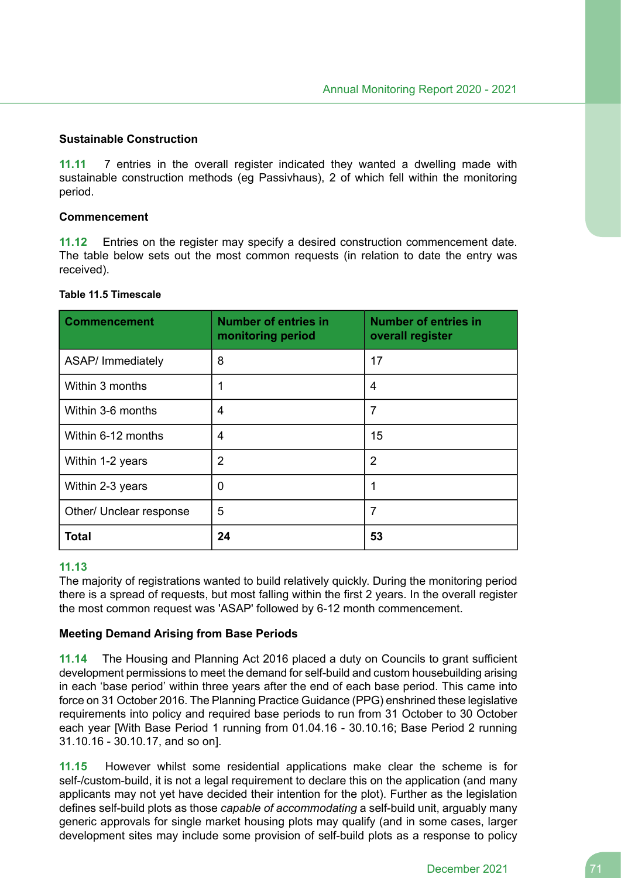#### **Sustainable Construction**

**11.11** 7 entries in the overall register indicated they wanted a dwelling made with sustainable construction methods (eg Passivhaus), 2 of which fell within the monitoring period.

#### **Commencement**

**11.12** Entries on the register may specify a desired construction commencement date. The table below sets out the most common requests (in relation to date the entry was received).

## **Table 11.5 Timescale**

| <b>Commencement</b>     | <b>Number of entries in</b><br><b>Number of entries in</b><br>monitoring period<br>overall register |                |  |
|-------------------------|-----------------------------------------------------------------------------------------------------|----------------|--|
| ASAP/ Immediately       | 8                                                                                                   | 17             |  |
| Within 3 months         | 1                                                                                                   | 4              |  |
| Within 3-6 months       | 4                                                                                                   | 7              |  |
| Within 6-12 months      | 4                                                                                                   | 15             |  |
| Within 1-2 years        | 2                                                                                                   | $\overline{2}$ |  |
| Within 2-3 years        | 0                                                                                                   |                |  |
| Other/ Unclear response | 5                                                                                                   |                |  |
| <b>Total</b>            | 24                                                                                                  | 53             |  |

## **11.13**

The majority of registrations wanted to build relatively quickly. During the monitoring period there is a spread of requests, but most falling within the first 2 years. In the overall register the most common request was 'ASAP' followed by 6-12 month commencement.

#### **Meeting Demand Arising from Base Periods**

**11.14** The Housing and Planning Act 2016 placed a duty on Councils to grant sufficient development permissions to meet the demand for self-build and custom housebuilding arising in each 'base period' within three years after the end of each base period. This came into force on 31 October 2016. The Planning Practice Guidance (PPG) enshrined these legislative requirements into policy and required base periods to run from 31 October to 30 October each year [With Base Period 1 running from 01.04.16 - 30.10.16; Base Period 2 running 31.10.16 - 30.10.17, and so on].

**11.15** However whilst some residential applications make clear the scheme is for self-/custom-build, it is not a legal requirement to declare this on the application (and many applicants may not yet have decided their intention for the plot). Further as the legislation defines self-build plots as those *capable of accommodating* a self-build unit, arguably many generic approvals for single market housing plots may qualify (and in some cases, larger development sites may include some provision of self-build plots as a response to policy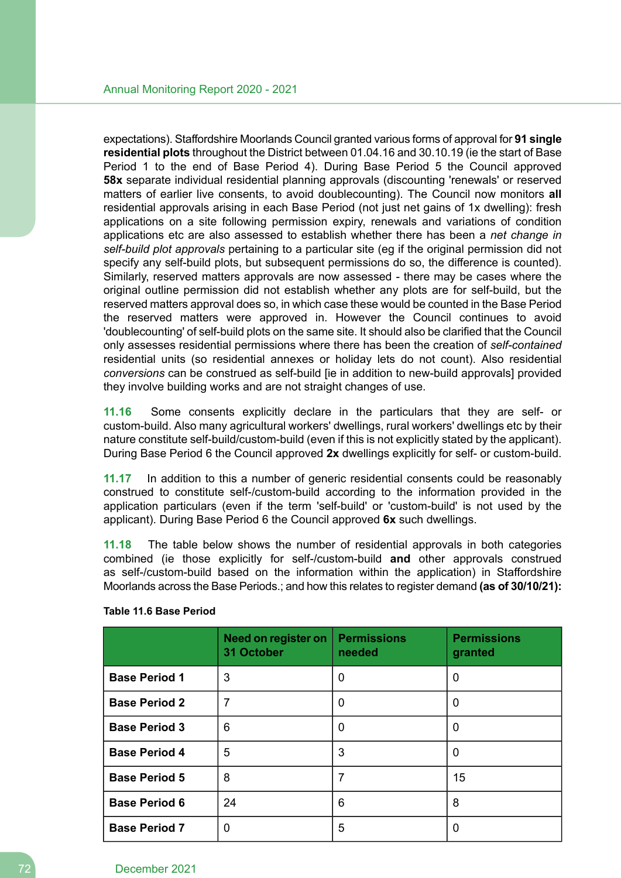expectations). Staffordshire Moorlands Council granted various forms of approval for **91 single residential plots** throughout the District between 01.04.16 and 30.10.19 (ie the start of Base Period 1 to the end of Base Period 4). During Base Period 5 the Council approved **58x** separate individual residential planning approvals (discounting 'renewals' or reserved matters of earlier live consents, to avoid doublecounting). The Council now monitors **all** residential approvals arising in each Base Period (not just net gains of 1x dwelling): fresh applications on a site following permission expiry, renewals and variations of condition applications etc are also assessed to establish whether there has been a *net change in self-build plot approvals* pertaining to a particular site (eg if the original permission did not specify any self-build plots, but subsequent permissions do so, the difference is counted). Similarly, reserved matters approvals are now assessed - there may be cases where the original outline permission did not establish whether any plots are for self-build, but the reserved matters approval does so, in which case these would be counted in the Base Period the reserved matters were approved in. However the Council continues to avoid 'doublecounting' of self-build plots on the same site. It should also be clarified that the Council only assesses residential permissions where there has been the creation of *self-contained* residential units (so residential annexes or holiday lets do not count). Also residential *conversions* can be construed as self-build [ie in addition to new-build approvals] provided they involve building works and are not straight changes of use.

**11.16** Some consents explicitly declare in the particulars that they are self- or custom-build. Also many agricultural workers' dwellings, rural workers' dwellings etc by their nature constitute self-build/custom-build (even if this is not explicitly stated by the applicant). During Base Period 6 the Council approved **2x** dwellings explicitly for self- or custom-build.

**11.17** In addition to this a number of generic residential consents could be reasonably construed to constitute self-/custom-build according to the information provided in the application particulars (even if the term 'self-build' or 'custom-build' is not used by the applicant). During Base Period 6 the Council approved **6x** such dwellings.

**11.18** The table below shows the number of residential approvals in both categories combined (ie those explicitly for self-/custom-build **and** other approvals construed as self-/custom-build based on the information within the application) in Staffordshire Moorlands across the Base Periods.; and how this relates to register demand **(as of 30/10/21):**

|                      | Need on register on<br>31 October | Permissions<br>needed | <b>Permissions</b><br>granted |
|----------------------|-----------------------------------|-----------------------|-------------------------------|
| <b>Base Period 1</b> | 3                                 | 0                     | 0                             |
| <b>Base Period 2</b> | $\overline{7}$                    | 0                     | 0                             |
| <b>Base Period 3</b> | 6                                 | 0                     | 0                             |
| <b>Base Period 4</b> | 5                                 | 3                     | 0                             |
| <b>Base Period 5</b> | 8                                 | 7                     | 15                            |
| <b>Base Period 6</b> | 24                                | 6                     | 8                             |
| <b>Base Period 7</b> | 0                                 | 5                     | 0                             |

#### **Table 11.6 Base Period**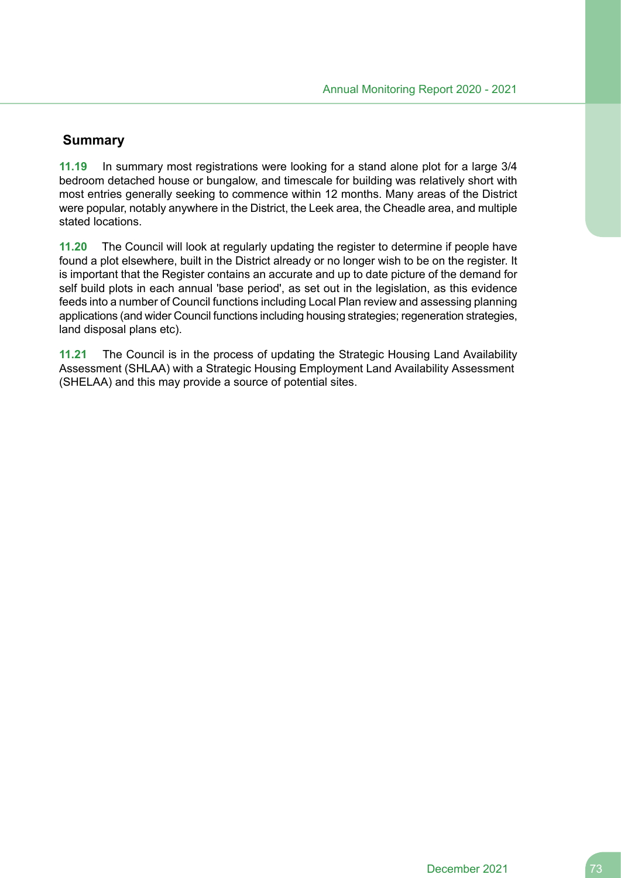## **Summary**

**11.19** In summary most registrations were looking for a stand alone plot for a large 3/4 bedroom detached house or bungalow, and timescale for building was relatively short with most entries generally seeking to commence within 12 months. Many areas of the District were popular, notably anywhere in the District, the Leek area, the Cheadle area, and multiple stated locations.

**11.20** The Council will look at regularly updating the register to determine if people have found a plot elsewhere, built in the District already or no longer wish to be on the register. It is important that the Register contains an accurate and up to date picture of the demand for self build plots in each annual 'base period', as set out in the legislation, as this evidence feeds into a number of Council functions including Local Plan review and assessing planning applications (and wider Council functions including housing strategies; regeneration strategies, land disposal plans etc).

**11.21** The Council is in the process of updating the Strategic Housing Land Availability Assessment (SHLAA) with a Strategic Housing Employment Land Availability Assessment (SHELAA) and this may provide a source of potential sites.